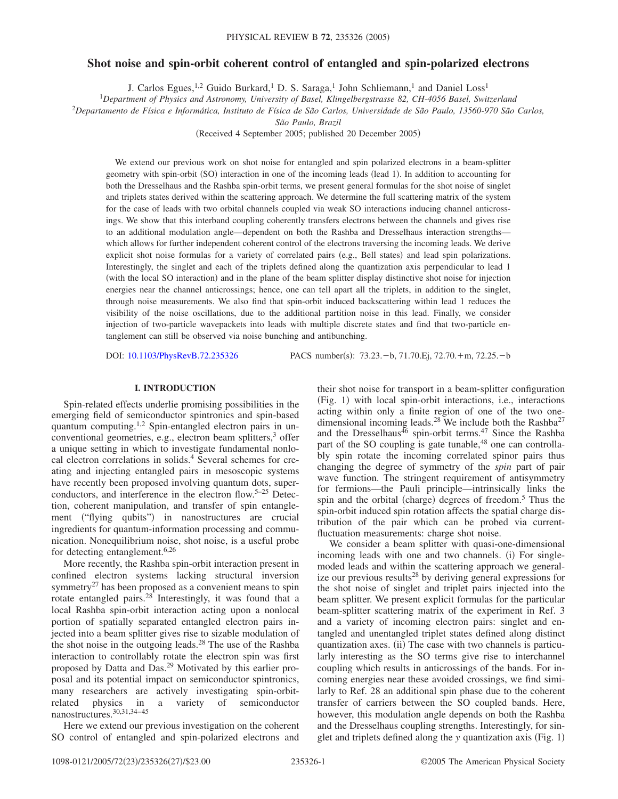# **Shot noise and spin-orbit coherent control of entangled and spin-polarized electrons**

J. Carlos Egues,<sup>1,2</sup> Guido Burkard,<sup>1</sup> D. S. Saraga,<sup>1</sup> John Schliemann,<sup>1</sup> and Daniel Loss<sup>1</sup>

1 *Department of Physics and Astronomy, University of Basel, Klingelbergstrasse 82, CH-4056 Basel, Switzerland*

<sup>2</sup>*Departamento de Física e Informática, Instituto de Física de São Carlos, Universidade de São Paulo, 13560-970 São Carlos,*

*São Paulo, Brazil*

(Received 4 September 2005; published 20 December 2005)

We extend our previous work on shot noise for entangled and spin polarized electrons in a beam-splitter geometry with spin-orbit (SO) interaction in one of the incoming leads (lead 1). In addition to accounting for both the Dresselhaus and the Rashba spin-orbit terms, we present general formulas for the shot noise of singlet and triplets states derived within the scattering approach. We determine the full scattering matrix of the system for the case of leads with two orbital channels coupled via weak SO interactions inducing channel anticrossings. We show that this interband coupling coherently transfers electrons between the channels and gives rise to an additional modulation angle—dependent on both the Rashba and Dresselhaus interaction strengths which allows for further independent coherent control of the electrons traversing the incoming leads. We derive explicit shot noise formulas for a variety of correlated pairs (e.g., Bell states) and lead spin polarizations. Interestingly, the singlet and each of the triplets defined along the quantization axis perpendicular to lead 1 (with the local SO interaction) and in the plane of the beam splitter display distinctive shot noise for injection energies near the channel anticrossings; hence, one can tell apart all the triplets, in addition to the singlet, through noise measurements. We also find that spin-orbit induced backscattering within lead 1 reduces the visibility of the noise oscillations, due to the additional partition noise in this lead. Finally, we consider injection of two-particle wavepackets into leads with multiple discrete states and find that two-particle entanglement can still be observed via noise bunching and antibunching.

DOI: [10.1103/PhysRevB.72.235326](http://dx.doi.org/10.1103/PhysRevB.72.235326)

:  $73.23 - b$ ,  $71.70.Ej$ ,  $72.70.+m$ ,  $72.25.-b$ 

### **I. INTRODUCTION**

Spin-related effects underlie promising possibilities in the emerging field of semiconductor spintronics and spin-based quantum computing.1,2 Spin-entangled electron pairs in unconventional geometries, e.g., electron beam splitters,<sup>3</sup> offer a unique setting in which to investigate fundamental nonlocal electron correlations in solids.<sup>4</sup> Several schemes for creating and injecting entangled pairs in mesoscopic systems have recently been proposed involving quantum dots, superconductors, and interference in the electron flow.<sup>5–25</sup> Detection, coherent manipulation, and transfer of spin entanglement ("flying qubits") in nanostructures are crucial ingredients for quantum-information processing and communication. Nonequilibrium noise, shot noise, is a useful probe for detecting entanglement.6,26

More recently, the Rashba spin-orbit interaction present in confined electron systems lacking structural inversion symmetry<sup>27</sup> has been proposed as a convenient means to spin rotate entangled pairs. $28$  Interestingly, it was found that a local Rashba spin-orbit interaction acting upon a nonlocal portion of spatially separated entangled electron pairs injected into a beam splitter gives rise to sizable modulation of the shot noise in the outgoing leads.<sup>28</sup> The use of the Rashba interaction to controllably rotate the electron spin was first proposed by Datta and Das.29 Motivated by this earlier proposal and its potential impact on semiconductor spintronics, many researchers are actively investigating spin-orbitrelated physics in a variety of semiconductor nanostructures.30,31,34–45

Here we extend our previous investigation on the coherent SO control of entangled and spin-polarized electrons and

their shot noise for transport in a beam-splitter configuration (Fig. 1) with local spin-orbit interactions, i.e., interactions acting within only a finite region of one of the two onedimensional incoming leads.<sup>28</sup> We include both the Rashba<sup>27</sup> and the Dresselhaus<sup>46</sup> spin-orbit terms.<sup>47</sup> Since the Rashba part of the SO coupling is gate tunable,<sup>48</sup> one can controllably spin rotate the incoming correlated spinor pairs thus changing the degree of symmetry of the *spin* part of pair wave function. The stringent requirement of antisymmetry for fermions—the Pauli principle—intrinsically links the spin and the orbital (charge) degrees of freedom.<sup>5</sup> Thus the spin-orbit induced spin rotation affects the spatial charge distribution of the pair which can be probed via currentfluctuation measurements: charge shot noise.

We consider a beam splitter with quasi-one-dimensional incoming leads with one and two channels. (i) For singlemoded leads and within the scattering approach we generalize our previous results<sup>28</sup> by deriving general expressions for the shot noise of singlet and triplet pairs injected into the beam splitter. We present explicit formulas for the particular beam-splitter scattering matrix of the experiment in Ref. 3 and a variety of incoming electron pairs: singlet and entangled and unentangled triplet states defined along distinct quantization axes. (ii) The case with two channels is particularly interesting as the SO terms give rise to interchannel coupling which results in anticrossings of the bands. For incoming energies near these avoided crossings, we find similarly to Ref. 28 an additional spin phase due to the coherent transfer of carriers between the SO coupled bands. Here, however, this modulation angle depends on both the Rashba and the Dresselhaus coupling strengths. Interestingly, for singlet and triplets defined along the *y* quantization axis (Fig. 1)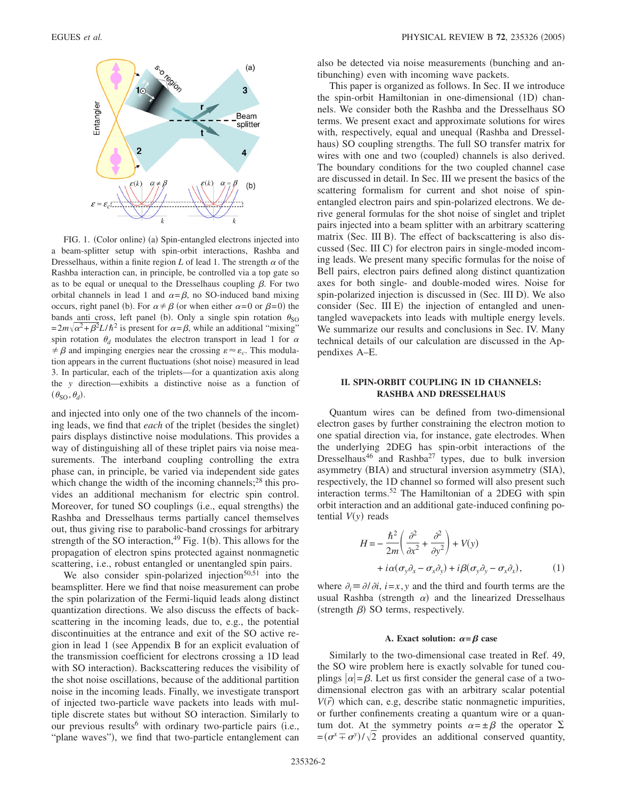

FIG. 1. (Color online) (a) Spin-entangled electrons injected into a beam-splitter setup with spin-orbit interactions, Rashba and Dresselhaus, within a finite region  $L$  of lead 1. The strength  $\alpha$  of the Rashba interaction can, in principle, be controlled via a top gate so as to be equal or unequal to the Dresselhaus coupling  $\beta$ . For two orbital channels in lead 1 and  $\alpha = \beta$ , no SO-induced band mixing occurs, right panel (b). For  $\alpha \neq \beta$  (or when either  $\alpha = 0$  or  $\beta = 0$ ) the bands anti cross, left panel (b). Only a single spin rotation  $\theta_{SO}$  $=2m\sqrt{\alpha^2+\beta^2L/\hbar^2}$  is present for  $\alpha = \beta$ , while an additional "mixing" spin rotation  $\theta_d$  modulates the electron transport in lead 1 for  $\alpha$  $\neq \beta$  and impinging energies near the crossing  $\varepsilon \approx \varepsilon_c$ . This modulation appears in the current fluctuations (shot noise) measured in lead 3. In particular, each of the triplets—for a quantization axis along the *y* direction—exhibits a distinctive noise as a function of  $(\theta_{\text{SO}}, \theta_d)$ .

and injected into only one of the two channels of the incoming leads, we find that *each* of the triplet (besides the singlet) pairs displays distinctive noise modulations. This provides a way of distinguishing all of these triplet pairs via noise measurements. The interband coupling controlling the extra phase can, in principle, be varied via independent side gates which change the width of the incoming channels;<sup>28</sup> this provides an additional mechanism for electric spin control. Moreover, for tuned SO couplings (i.e., equal strengths) the Rashba and Dresselhaus terms partially cancel themselves out, thus giving rise to parabolic-band crossings for arbitrary strength of the SO interaction,  $49$  Fig. 1(b). This allows for the propagation of electron spins protected against nonmagnetic scattering, i.e., robust entangled or unentangled spin pairs.

We also consider spin-polarized injection<sup>50,51</sup> into the beamsplitter. Here we find that noise measurement can probe the spin polarization of the Fermi-liquid leads along distinct quantization directions. We also discuss the effects of backscattering in the incoming leads, due to, e.g., the potential discontinuities at the entrance and exit of the SO active region in lead 1 (see Appendix B for an explicit evaluation of the transmission coefficient for electrons crossing a 1D lead with SO interaction). Backscattering reduces the visibility of the shot noise oscillations, because of the additional partition noise in the incoming leads. Finally, we investigate transport of injected two-particle wave packets into leads with multiple discrete states but without SO interaction. Similarly to our previous results<sup>6</sup> with ordinary two-particle pairs (i.e., "plane waves"), we find that two-particle entanglement can

also be detected via noise measurements (bunching and antibunching) even with incoming wave packets.

This paper is organized as follows. In Sec. II we introduce the spin-orbit Hamiltonian in one-dimensional (1D) channels. We consider both the Rashba and the Dresselhaus SO terms. We present exact and approximate solutions for wires with, respectively, equal and unequal (Rashba and Dresselhaus) SO coupling strengths. The full SO transfer matrix for wires with one and two (coupled) channels is also derived. The boundary conditions for the two coupled channel case are discussed in detail. In Sec. III we present the basics of the scattering formalism for current and shot noise of spinentangled electron pairs and spin-polarized electrons. We derive general formulas for the shot noise of singlet and triplet pairs injected into a beam splitter with an arbitrary scattering matrix (Sec. III B). The effect of backscattering is also discussed (Sec. III C) for electron pairs in single-moded incoming leads. We present many specific formulas for the noise of Bell pairs, electron pairs defined along distinct quantization axes for both single- and double-moded wires. Noise for spin-polarized injection is discussed in (Sec. III D). We also consider (Sec. III E) the injection of entangled and unentangled wavepackets into leads with multiple energy levels. We summarize our results and conclusions in Sec. IV. Many technical details of our calculation are discussed in the Appendixes A–E.

# **II. SPIN-ORBIT COUPLING IN 1D CHANNELS: RASHBA AND DRESSELHAUS**

Quantum wires can be defined from two-dimensional electron gases by further constraining the electron motion to one spatial direction via, for instance, gate electrodes. When the underlying 2DEG has spin-orbit interactions of the Dresselhaus<sup>46</sup> and Rashba<sup>27</sup> types, due to bulk inversion asymmetry (BIA) and structural inversion asymmetry (SIA), respectively, the 1D channel so formed will also present such interaction terms.52 The Hamiltonian of a 2DEG with spin orbit interaction and an additional gate-induced confining potential  $V(y)$  reads

$$
H = -\frac{\hbar^2}{2m} \left( \frac{\partial^2}{\partial x^2} + \frac{\partial^2}{\partial y^2} \right) + V(y) + i\alpha (\sigma_y \partial_x - \sigma_x \partial_y) + i\beta (\sigma_y \partial_y - \sigma_x \partial_x),
$$
 (1)

where  $\partial_i \equiv \partial/\partial i$ ,  $i = x, y$  and the third and fourth terms are the usual Rashba (strength  $\alpha$ ) and the linearized Dresselhaus (strength  $\beta$ ) SO terms, respectively.

#### **A.** Exact solution:  $\alpha = \beta$  case

Similarly to the two-dimensional case treated in Ref. 49, the SO wire problem here is exactly solvable for tuned couplings  $|\alpha| = \beta$ . Let us first consider the general case of a twodimensional electron gas with an arbitrary scalar potential  $V(\vec{r})$  which can, e.g, describe static nonmagnetic impurities, or further confinements creating a quantum wire or a quantum dot. At the symmetry points  $\alpha = \pm \beta$  the operator  $\Sigma$  $= (\sigma^x \pm \sigma^y)/\sqrt{2}$  provides an additional conserved quantity,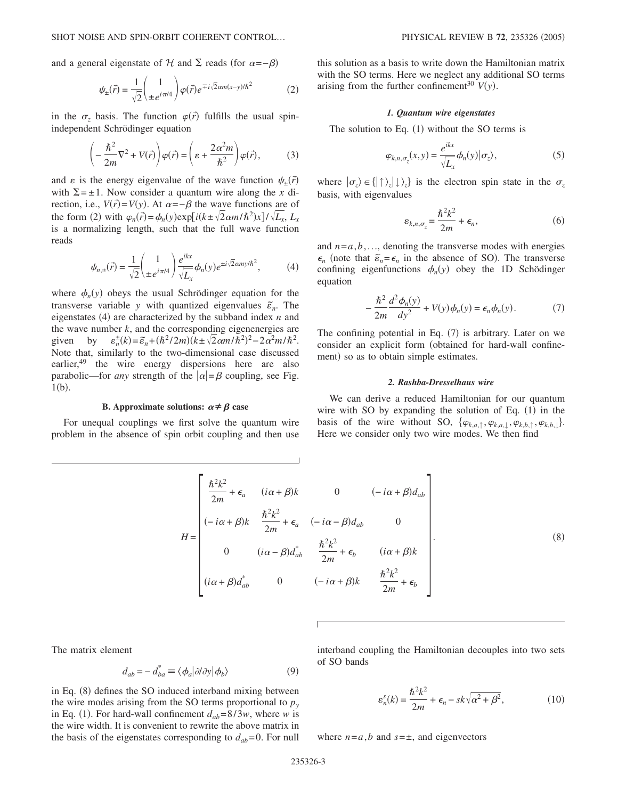and a general eigenstate of  $H$  and  $\Sigma$  reads (for  $\alpha = -\beta$ )

$$
\psi_{\pm}(\vec{r}) = \frac{1}{\sqrt{2}} \begin{pmatrix} 1 \\ \pm e^{i\pi/4} \end{pmatrix} \varphi(\vec{r}) e^{\mp i\sqrt{2}\alpha m(x-y)/\hbar^2}
$$
(2)

in the  $\sigma_z$  basis. The function  $\varphi(\vec{r})$  fulfills the usual spinindependent Schrödinger equation

$$
\left(-\frac{\hbar^2}{2m}\nabla^2 + V(\vec{r})\right)\varphi(\vec{r}) = \left(\varepsilon + \frac{2\alpha^2 m}{\hbar^2}\right)\varphi(\vec{r}),\tag{3}
$$

and  $\varepsilon$  is the energy eigenvalue of the wave function  $\psi_{\pm}(\vec{r})$ with  $\Sigma = \pm 1$ . Now consider a quantum wire along the *x* direction, i.e.,  $V(\vec{r}) = V(y)$ . At  $\alpha = -\beta$  the wave functions are of the form (2) with  $\varphi_n(\vec{r}) = \phi_n(y) \exp[i(k \pm \sqrt{2\alpha m/\hbar^2})x]/\sqrt{L_x}$ ,  $L_x$ is a normalizing length, such that the full wave function reads

$$
\psi_{n,\pm}(\vec{r}) = \frac{1}{\sqrt{2}} \begin{pmatrix} 1 \\ \pm e^{i\pi/4} \end{pmatrix} \frac{e^{ikx}}{\sqrt{L_x}} \phi_n(y) e^{\pm i\sqrt{2}\alpha m y/\hbar^2},\tag{4}
$$

where  $\phi_n(y)$  obeys the usual Schrödinger equation for the transverse variable *y* with quantized eigenvalues  $\tilde{\epsilon}_n$ . The eigenstates (4) are characterized by the subband index *n* and the wave number *k*, and the corresponding eigenenergies are given by  $\epsilon_n^{\pm}(k) = \tilde{\epsilon}_n + (\hbar^2/2m)(k \pm \sqrt{2\alpha m/\hbar^2})^2 - 2\alpha^2 m/\hbar^2$ . Note that, similarly to the two-dimensional case discussed earlier, $49$  the wire energy dispersions here are also parabolic—for *any* strength of the  $|\alpha| = \beta$  coupling, see Fig.  $1(b)$ .

#### **B.** Approximate solutions:  $\alpha \neq \beta$  case

For unequal couplings we first solve the quantum wire problem in the absence of spin orbit coupling and then use this solution as a basis to write down the Hamiltonian matrix with the SO terms. Here we neglect any additional SO terms arising from the further confinement<sup>30</sup>  $V(y)$ .

#### *1. Quantum wire eigenstates*

The solution to Eq.  $(1)$  without the SO terms is

$$
\varphi_{k,n,\sigma_z}(x,y) = \frac{e^{ikx}}{\sqrt{L_x}} \phi_n(y) |\sigma_z\rangle, \tag{5}
$$

where  $|\sigma_z\rangle \in \{|\uparrow\rangle_z |\downarrow\rangle_z\}$  is the electron spin state in the  $\sigma_z$ basis, with eigenvalues

$$
\varepsilon_{k,n,\sigma_z} = \frac{\hbar^2 k^2}{2m} + \epsilon_n,\tag{6}
$$

and  $n=a, b, \ldots$ , denoting the transverse modes with energies  $\epsilon_n$  (note that  $\tilde{\epsilon}_n = \epsilon_n$  in the absence of SO). The transverse confining eigenfunctions  $\phi_n(y)$  obey the 1D Schödinger equation

$$
-\frac{\hbar^2}{2m}\frac{d^2\phi_n(y)}{dy^2} + V(y)\phi_n(y) = \epsilon_n\phi_n(y). \tag{7}
$$

The confining potential in Eq. (7) is arbitrary. Later on we consider an explicit form (obtained for hard-wall confinement) so as to obtain simple estimates.

#### *2. Rashba-Dresselhaus wire*

We can derive a reduced Hamiltonian for our quantum wire with SO by expanding the solution of Eq.  $(1)$  in the basis of the wire without SO,  $\{\varphi_{k,a,\uparrow}, \varphi_{k,a,\downarrow}, \varphi_{k,b,\uparrow}, \varphi_{k,b,\downarrow}\}.$ Here we consider only two wire modes. We then find

$$
H = \begin{bmatrix} \frac{\hbar^2 k^2}{2m} + \epsilon_a & (i\alpha + \beta)k & 0 & (-i\alpha + \beta)d_{ab} \\ (-i\alpha + \beta)k & \frac{\hbar^2 k^2}{2m} + \epsilon_a & (-i\alpha - \beta)d_{ab} & 0 \\ 0 & (i\alpha - \beta)d_{ab}^* & \frac{\hbar^2 k^2}{2m} + \epsilon_b & (i\alpha + \beta)k \\ (i\alpha + \beta)d_{ab}^* & 0 & (-i\alpha + \beta)k & \frac{\hbar^2 k^2}{2m} + \epsilon_b \end{bmatrix}.
$$
 (8)

The matrix element

$$
d_{ab} = -d_{ba}^* \equiv \langle \phi_a | \partial/\partial y | \phi_b \rangle \tag{9}
$$

in Eq. (8) defines the SO induced interband mixing between the wire modes arising from the SO terms proportional to  $p_y$ in Eq. (1). For hard-wall confinement  $d_{ab} = 8/3w$ , where *w* is the wire width. It is convenient to rewrite the above matrix in the basis of the eigenstates corresponding to  $d_{ab} = 0$ . For null interband coupling the Hamiltonian decouples into two sets of SO bands

$$
\varepsilon_n^s(k) = \frac{\hbar^2 k^2}{2m} + \epsilon_n - sk\sqrt{\alpha^2 + \beta^2},\tag{10}
$$

where  $n=a$ , *b* and  $s=\pm$ , and eigenvectors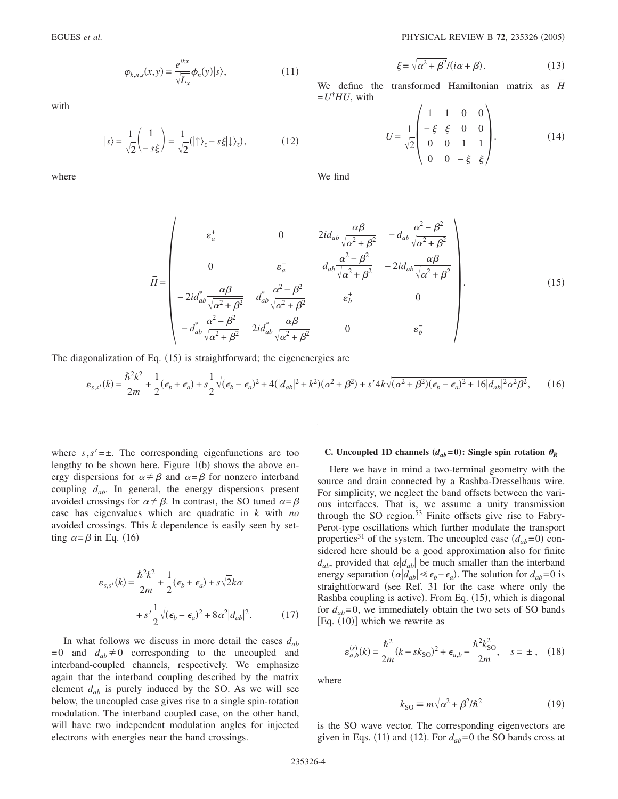with

$$
|s\rangle = \frac{1}{\sqrt{2}} \begin{pmatrix} 1 \\ -s\xi \end{pmatrix} = \frac{1}{\sqrt{2}} (|\uparrow\rangle_z - s\xi| \downarrow\rangle_z),
$$
 (12)

where

$$
\xi = \sqrt{\alpha^2 + \beta^2} / (i\alpha + \beta). \tag{13}
$$

We define the transformed Hamiltonian matrix as *H*  $=U^{\dagger}HU$ , with

$$
U = \frac{1}{\sqrt{2}} \begin{pmatrix} 1 & 1 & 0 & 0 \\ -\xi & \xi & 0 & 0 \\ 0 & 0 & 1 & 1 \\ 0 & 0 & -\xi & \xi \end{pmatrix} .
$$
 (14)

We find

$$
\overline{H} = \begin{pmatrix}\n\epsilon_a^+ & 0 & 2id_{ab}\frac{\alpha\beta}{\sqrt{\alpha^2 + \beta^2}} & -d_{ab}\frac{\alpha^2 - \beta^2}{\sqrt{\alpha^2 + \beta^2}} \\
0 & \epsilon_a^- & d_{ab}\frac{\alpha^2 - \beta^2}{\sqrt{\alpha^2 + \beta^2}} & -2id_{ab}\frac{\alpha\beta}{\sqrt{\alpha^2 + \beta^2}} \\
-2id_{ab}^* \frac{\alpha\beta}{\sqrt{\alpha^2 + \beta^2}} & d_{ab}^* \frac{\alpha^2 - \beta^2}{\sqrt{\alpha^2 + \beta^2}} & \epsilon_b^+ & 0 \\
-d_{ab}^* \frac{\alpha^2 - \beta^2}{\sqrt{\alpha^2 + \beta^2}} & 2id_{ab}^* \frac{\alpha\beta}{\sqrt{\alpha^2 + \beta^2}} & 0 & \epsilon_b^-\n\end{pmatrix}.
$$
\n(15)

The diagonalization of Eq. (15) is straightforward; the eigenenergies are

$$
\varepsilon_{s,s'}(k) = \frac{\hbar^2 k^2}{2m} + \frac{1}{2}(\epsilon_b + \epsilon_a) + s\frac{1}{2}\sqrt{(\epsilon_b - \epsilon_a)^2 + 4(|d_{ab}|^2 + k^2)(\alpha^2 + \beta^2) + s^2 + 4k\sqrt{(\alpha^2 + \beta^2)(\epsilon_b - \epsilon_a)^2 + 16|d_{ab}|^2\alpha^2\beta^2}},
$$
(16)

where  $s, s' = \pm$ . The corresponding eigenfunctions are too lengthy to be shown here. Figure  $1(b)$  shows the above energy dispersions for  $\alpha \neq \beta$  and  $\alpha = \beta$  for nonzero interband coupling *dab*. In general, the energy dispersions present avoided crossings for  $\alpha \neq \beta$ . In contrast, the SO tuned  $\alpha = \beta$ case has eigenvalues which are quadratic in *k* with *no* avoided crossings. This *k* dependence is easily seen by setting  $\alpha = \beta$  in Eq. (16)

$$
\varepsilon_{s,s'}(k) = \frac{\hbar^2 k^2}{2m} + \frac{1}{2} (\epsilon_b + \epsilon_a) + s\sqrt{2}k\alpha
$$

$$
+ s'\frac{1}{2}\sqrt{(\epsilon_b - \epsilon_a)^2 + 8\alpha^2 |d_{ab}|^2}.
$$
 (17)

In what follows we discuss in more detail the cases *dab*  $=0$  and  $d_{ab} \neq 0$  corresponding to the uncoupled and interband-coupled channels, respectively. We emphasize again that the interband coupling described by the matrix element  $d_{ab}$  is purely induced by the SO. As we will see below, the uncoupled case gives rise to a single spin-rotation modulation. The interband coupled case, on the other hand, will have two independent modulation angles for injected electrons with energies near the band crossings.

### **C.** Uncoupled 1D channels  $(d_{ab}=0)$ : Single spin rotation  $\theta_R$

Here we have in mind a two-terminal geometry with the source and drain connected by a Rashba-Dresselhaus wire. For simplicity, we neglect the band offsets between the various interfaces. That is, we assume a unity transmission through the SO region.<sup>53</sup> Finite offsets give rise to Fabry-Perot-type oscillations which further modulate the transport properties<sup>31</sup> of the system. The uncoupled case  $(d_{ab}=0)$  considered here should be a good approximation also for finite  $d_{ab}$ , provided that  $\alpha | d_{ab} |$  be much smaller than the interband energy separation  $(\alpha|d_{ab}| \ll \epsilon_b - \epsilon_a)$ . The solution for  $d_{ab} = 0$  is straightforward (see Ref. 31 for the case where only the Rashba coupling is active). From Eq. (15), which is diagonal for  $d_{ab} = 0$ , we immediately obtain the two sets of SO bands  $[Eq. (10)]$  which we rewrite as

$$
\varepsilon_{a,b}^{(s)}(k) = \frac{\hbar^2}{2m}(k - sk_{\rm SO})^2 + \epsilon_{a,b} - \frac{\hbar^2 k_{\rm SO}^2}{2m}, \quad s = \pm \,, \quad (18)
$$

where

$$
k_{\rm SO} \equiv m \sqrt{\alpha^2 + \beta^2}/\hbar^2 \tag{19}
$$

is the SO wave vector. The corresponding eigenvectors are given in Eqs. (11) and (12). For  $d_{ab} = 0$  the SO bands cross at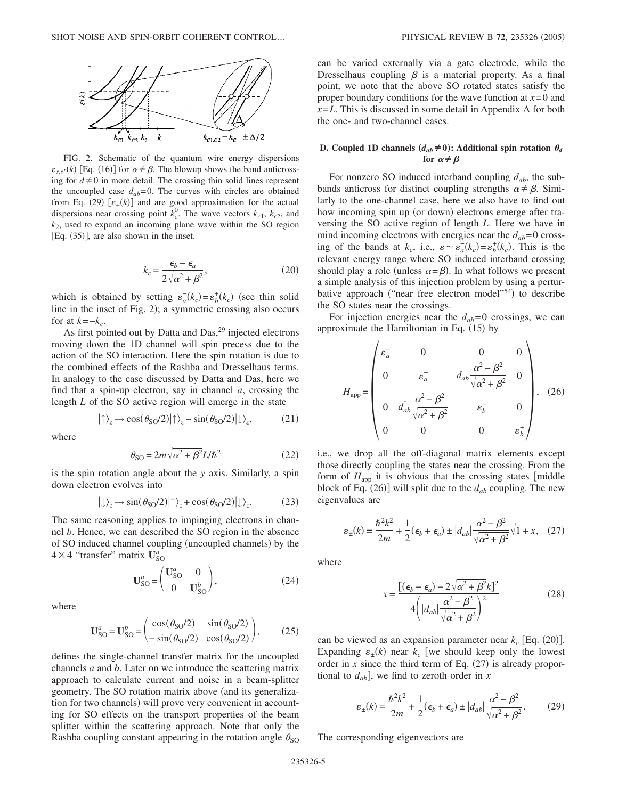

FIG. 2. Schematic of the quantum wire energy dispersions  $\varepsilon_{s,s'}(k)$  [Eq. (16)] for  $\alpha \neq \beta$ . The blowup shows the band anticrossing for  $d \neq 0$  in more detail. The crossing thin solid lines represent the uncoupled case  $d_{ab} = 0$ . The curves with circles are obtained from Eq. (29)  $[\varepsilon_{\pm}(k)]$  and are good approximation for the actual dispersions near crossing point  $k_c^0$ . The wave vectors  $k_{c1}$ ,  $k_{c2}$ , and *k*2, used to expand an incoming plane wave within the SO region [Eq. (35)], are also shown in the inset.

$$
k_c = \frac{\epsilon_b - \epsilon_a}{2\sqrt{\alpha^2 + \beta^2}},\tag{20}
$$

which is obtained by setting  $\varepsilon_a(k_c) = \varepsilon_b^+(k_c)$  (see thin solid line in the inset of Fig. 2); a symmetric crossing also occurs for at  $k=-k_c$ .

As first pointed out by Datta and Das,<sup>29</sup> injected electrons moving down the 1D channel will spin precess due to the action of the SO interaction. Here the spin rotation is due to the combined effects of the Rashba and Dresselhaus terms. In analogy to the case discussed by Datta and Das, here we find that a spin-up electron, say in channel *a*, crossing the length *L* of the SO active region will emerge in the state

$$
|\!\uparrow\rangle_z \to \cos(\theta_{\text{SO}}/2)|\!\uparrow\rangle_z - \sin(\theta_{\text{SO}}/2)|\!\downarrow\rangle_z,\tag{21}
$$

where

$$
\theta_{\rm SO} = 2m\sqrt{\alpha^2 + \beta^2}L/\hbar^2 \tag{22}
$$

is the spin rotation angle about the *y* axis. Similarly, a spin down electron evolves into

$$
|\!\downarrow\rangle_z \rightarrow \sin(\theta_{\text{SO}}/2)|\!\uparrow\rangle_z + \cos(\theta_{\text{SO}}/2)|\!\downarrow\rangle_z. \tag{23}
$$

The same reasoning applies to impinging electrons in channel *b*. Hence, we can described the SO region in the absence of SO induced channel coupling (uncoupled channels) by the  $4 \times 4$  "transfer" matrix  $U_{SO}^u$ 

$$
\mathbf{U}_{\mathrm{SO}}^{u} = \begin{pmatrix} \mathbf{U}_{\mathrm{SO}}^{a} & 0\\ 0 & \mathbf{U}_{\mathrm{SO}}^{b} \end{pmatrix},\tag{24}
$$

where

$$
\mathbf{U}_{\text{SO}}^{a} = \mathbf{U}_{\text{SO}}^{b} = \begin{pmatrix} \cos(\theta_{\text{SO}}/2) & \sin(\theta_{\text{SO}}/2) \\ -\sin(\theta_{\text{SO}}/2) & \cos(\theta_{\text{SO}}/2) \end{pmatrix}, \tag{25}
$$

defines the single-channel transfer matrix for the uncoupled channels *a* and *b*. Later on we introduce the scattering matrix approach to calculate current and noise in a beam-splitter geometry. The SO rotation matrix above (and its generalization for two channels) will prove very convenient in accounting for SO effects on the transport properties of the beam splitter within the scattering approach. Note that only the Rashba coupling constant appearing in the rotation angle  $\theta_{\text{SO}}$  can be varied externally via a gate electrode, while the Dresselhaus coupling  $\beta$  is a material property. As a final point, we note that the above SO rotated states satisfy the proper boundary conditions for the wave function at *x*=0 and  $x=L$ . This is discussed in some detail in Appendix A for both the one- and two-channel cases.

# **D.** Coupled 1D channels  $(d_{ab} \neq 0)$ : Additional spin rotation  $\theta_d$ for  $\alpha \neq \beta$

For nonzero SO induced interband coupling  $d_{ab}$ , the subbands anticross for distinct coupling strengths  $\alpha \neq \beta$ . Similarly to the one-channel case, here we also have to find out how incoming spin up (or down) electrons emerge after traversing the SO active region of length *L*. Here we have in mind incoming electrons with energies near the  $d_{ab}=0$  crossing of the bands at  $k_c$ , i.e.,  $\varepsilon \sim \varepsilon_a^-(k_c) = \varepsilon_b^+(k_c)$ . This is the relevant energy range where SO induced interband crossing should play a role (unless  $\alpha = \beta$ ). In what follows we present a simple analysis of this injection problem by using a perturbative approach ("near free electron model"<sup>54</sup>) to describe the SO states near the crossings.

For injection energies near the  $d_{ab}$ =0 crossings, we can approximate the Hamiltonian in Eq. (15) by

$$
H_{\rm app} = \begin{pmatrix} \varepsilon_a^- & 0 & 0 & 0\\ 0 & \varepsilon_a^+ & d_{ab} \frac{\alpha^2 - \beta^2}{\sqrt{\alpha^2 + \beta^2}} & 0\\ 0 & d_{ab}^* \frac{\alpha^2 - \beta^2}{\sqrt{\alpha^2 + \beta^2}} & \varepsilon_b^- & 0\\ 0 & 0 & 0 & \varepsilon_b^+ \end{pmatrix}, \quad (26)
$$

i.e., we drop all the off-diagonal matrix elements except those directly coupling the states near the crossing. From the form of  $H_{\text{app}}$  it is obvious that the crossing states [middle block of Eq.  $(26)$ ] will split due to the  $d_{ab}$  coupling. The new eigenvalues are

$$
\varepsilon_{\pm}(k) = \frac{\hbar^2 k^2}{2m} + \frac{1}{2} (\epsilon_b + \epsilon_a) \pm |d_{ab}| \frac{\alpha^2 - \beta^2}{\sqrt{\alpha^2 + \beta^2}} \sqrt{1 + x}, \quad (27)
$$

where

$$
x = \frac{\left[ (\epsilon_b - \epsilon_a) - 2\sqrt{\alpha^2 + \beta^2} k \right]^2}{4 \left( |d_{ab}| \frac{\alpha^2 - \beta^2}{\sqrt{\alpha^2 + \beta^2}} \right)^2}
$$
(28)

can be viewed as an expansion parameter near  $k_c$  [Eq. (20)]. Expanding  $\varepsilon_{\pm}(k)$  near  $k_c$  [we should keep only the lowest order in  $x$  since the third term of Eq.  $(27)$  is already proportional to  $d_{ab}$ , we find to zeroth order in *x* 

$$
\varepsilon_{\pm}(k) = \frac{\hbar^2 k^2}{2m} + \frac{1}{2} (\epsilon_b + \epsilon_a) \pm |d_{ab}| \frac{\alpha^2 - \beta^2}{\sqrt{\alpha^2 + \beta^2}}.
$$
 (29)

The corresponding eigenvectors are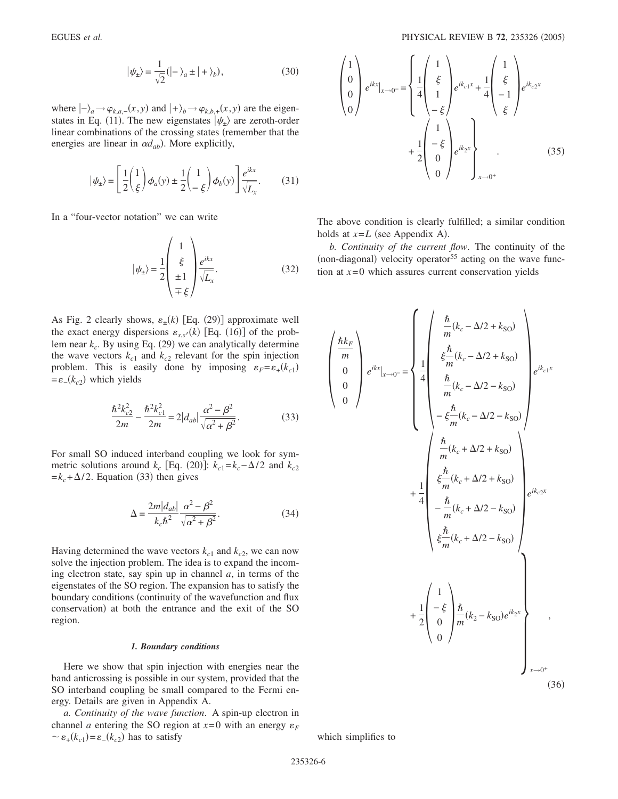where  $|-\rangle_a \rightarrow \varphi_{k,a,-}(x, y)$  and  $|+\rangle_b \rightarrow \varphi_{k,b,+}(x, y)$  are the eigenstates in Eq. (11). The new eigenstates  $|\psi_{\pm}\rangle$  are zeroth-order linear combinations of the crossing states (remember that the energies are linear in  $\alpha d_{ab}$ ). More explicitly,

$$
|\psi_{\pm}\rangle = \left[\frac{1}{2}\binom{1}{\xi}\phi_a(y) \pm \frac{1}{2}\binom{1}{-\xi}\phi_b(y)\right] \frac{e^{ikx}}{\sqrt{L_x}}.\tag{31}
$$

In a "four-vector notation" we can write

$$
|\psi_{\pm}\rangle = \frac{1}{2} \begin{pmatrix} 1 \\ \xi \\ \pm 1 \\ \mp \xi \end{pmatrix} \frac{e^{ikx}}{\sqrt{L_x}}.
$$
 (32)

As Fig. 2 clearly shows,  $\varepsilon_{\pm}(k)$  [Eq. (29)] approximate well the exact energy dispersions  $\varepsilon_{s,s'}(k)$  [Eq. (16)] of the problem near  $k_c$ . By using Eq. (29) we can analytically determine the wave vectors  $k_{c1}$  and  $k_{c2}$  relevant for the spin injection problem. This is easily done by imposing  $\varepsilon_F = \varepsilon_+(k_{c1})$  $=\varepsilon_{-}(k_{c2})$  which yields

$$
\frac{\hbar^2 k_{c2}^2}{2m} - \frac{\hbar^2 k_{c1}^2}{2m} = 2|d_{ab}| \frac{\alpha^2 - \beta^2}{\sqrt{\alpha^2 + \beta^2}}.
$$
 (33)

For small SO induced interband coupling we look for symmetric solutions around  $k_c$  [Eq. (20)]:  $k_{c1} = k_c - \Delta/2$  and  $k_{c2}$  $=k_c + \Delta/2$ . Equation (33) then gives

$$
\Delta = \frac{2m|d_{ab}|}{k_c\hbar^2} \frac{\alpha^2 - \beta^2}{\sqrt{\alpha^2 + \beta^2}}.
$$
\n(34)

Having determined the wave vectors  $k_{c1}$  and  $k_{c2}$ , we can now solve the injection problem. The idea is to expand the incoming electron state, say spin up in channel *a*, in terms of the eigenstates of the SO region. The expansion has to satisfy the boundary conditions (continuity of the wavefunction and flux conservation) at both the entrance and the exit of the SO region.

#### *1. Boundary conditions*

Here we show that spin injection with energies near the band anticrossing is possible in our system, provided that the SO interband coupling be small compared to the Fermi energy. Details are given in Appendix A.

*a. Continuity of the wave function*. A spin-up electron in channel *a* entering the SO region at  $x=0$  with an energy  $\varepsilon_F$  $\sim \varepsilon_+(k_{c1}) = \varepsilon_-(k_{c2})$  has to satisfy

$$
\begin{pmatrix} 1 \\ 0 \\ 0 \\ 0 \end{pmatrix} e^{ikx} \Big|_{x \to 0^-} = \begin{cases} 1 \\ \frac{1}{4} \begin{pmatrix} 1 \\ \xi \\ 1 \\ -\xi \end{pmatrix} e^{ik_c x} + \frac{1}{4} \begin{pmatrix} 1 \\ \xi \\ -1 \\ \xi \end{pmatrix} e^{ik_c x} + \frac{1}{2} \begin{pmatrix} 1 \\ -\xi \\ 0 \\ 0 \end{pmatrix} e^{ik_2 x} + \frac{1}{2} \begin{pmatrix} 1 \\ -\xi \\ 0 \\ 0 \end{pmatrix} e^{ik_2 x} \Big|_{x \to 0^+}
$$
(35)

The above condition is clearly fulfilled; a similar condition holds at  $x=L$  (see Appendix A).

*b. Continuity of the current flow*. The continuity of the (non-diagonal) velocity operator<sup>55</sup> acting on the wave function at *x*=0 which assures current conservation yields

$$
\begin{pmatrix}\n\frac{\hbar k_F}{m} \\
0 \\
0 \\
0\n\end{pmatrix} e^{ikx}|_{x\to 0^-} = \begin{pmatrix}\n\frac{\hbar}{m}(k_c - \Delta/2 + k_{\text{SO}}) \\
\frac{\hbar}{m}(k_c - \Delta/2 + k_{\text{SO}}) \\
\frac{\hbar}{m}(k_c - \Delta/2 - k_{\text{SO}}) \\
-\frac{\hbar}{m}(k_c - \Delta/2 - k_{\text{SO}})\n\end{pmatrix} e^{ik_{c1}x} + \frac{1}{4} \begin{pmatrix}\n\frac{\hbar}{m}(k_c + \Delta/2 + k_{\text{SO}}) \\
\frac{\hbar}{m}(k_c + \Delta/2 + k_{\text{SO}}) \\
\frac{\hbar}{m}(k_c + \Delta/2 - k_{\text{SO}}) \\
-\frac{\hbar}{m}(k_c + \Delta/2 - k_{\text{SO}})\n\end{pmatrix} e^{ik_{c2}x} + \frac{1}{2} \begin{pmatrix}\n1 \\
-\frac{\xi}{m}(k_c + \Delta/2 - k_{\text{SO}}) \\
0 \\
0\n\end{pmatrix} \frac{\hbar}{m}(k_2 - k_{\text{SO}}) e^{ik_2x} + \frac{1}{2} \begin{pmatrix}\n1 \\
-\frac{\xi}{m}(k_2 - k_{\text{SO}}) e^{ik_2x} \\
0 \\
0\n\end{pmatrix} x \rightarrow 0^+ (36)
$$

which simplifies to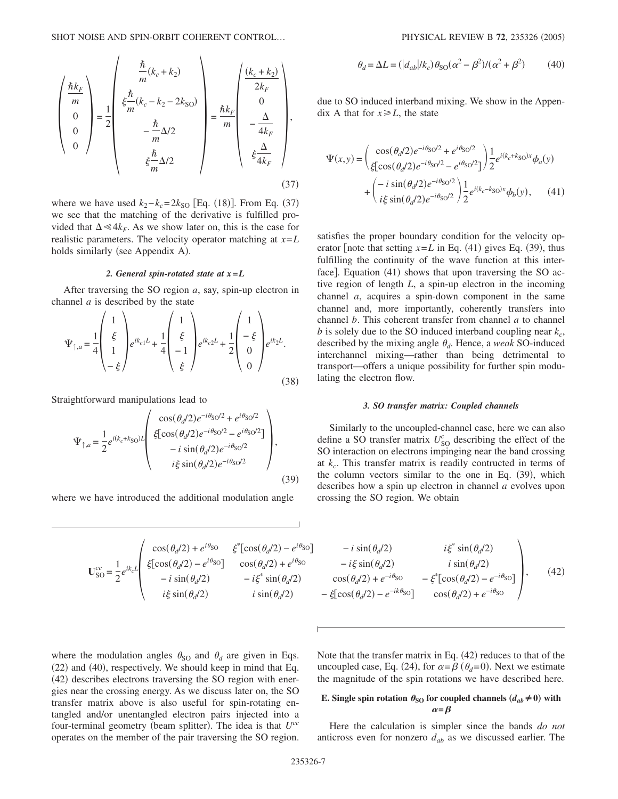$$
\begin{pmatrix}\n\frac{\hbar k_F}{m} \\
0 \\
0 \\
0\n\end{pmatrix} = \frac{1}{2} \begin{pmatrix}\n\frac{\hbar}{m}(k_c + k_2) \\
\frac{\hbar}{m}(k_c - k_2 - 2k_{\text{SO}}) \\
-\frac{\hbar}{m}\Delta/2 \\
\frac{\hbar^2}{m}\Delta/2\n\end{pmatrix} = \frac{\hbar k_F}{m} \begin{pmatrix}\n\frac{(k_c + k_2)}{2k_F} \\
0 \\
-\frac{\Delta}{4k_F} \\
\frac{\Delta}{4k_F}\n\end{pmatrix},
$$
\n(37)

where we have used  $k_2 - k_c = 2k_{\text{SO}}$  [Eq. (18)]. From Eq. (37) we see that the matching of the derivative is fulfilled provided that  $\Delta \ll 4k_F$ . As we show later on, this is the case for realistic parameters. The velocity operator matching at *x*=*L* holds similarly (see Appendix A).

#### *2. General spin-rotated state at x***=***L*

After traversing the SO region *a*, say, spin-up electron in channel *a* is described by the state  $\mathcal{L} = \mathcal{L}$ 

$$
\Psi_{\uparrow,a} = \frac{1}{4} \begin{pmatrix} 1 \\ \xi \\ 1 \\ -\xi \end{pmatrix} e^{ik_c L} + \frac{1}{4} \begin{pmatrix} 1 \\ \xi \\ -1 \\ \xi \end{pmatrix} e^{ik_c 2L} + \frac{1}{2} \begin{pmatrix} 1 \\ -\xi \\ 0 \\ 0 \end{pmatrix} e^{ik_2 L}.
$$
\n(38)

Straightforward manipulations lead to

 $\lambda$   $\lambda$ 

$$
\Psi_{\uparrow,a} = \frac{1}{2} e^{i(k_c + k_{\text{SO}})L} \begin{pmatrix} \cos(\theta_d/2) e^{-i\theta_{\text{SO}}/2} + e^{i\theta_{\text{SO}}/2} \\ \xi [\cos(\theta_d/2) e^{-i\theta_{\text{SO}}/2} - e^{i\theta_{\text{SO}}/2}] \\ -i \sin(\theta_d/2) e^{-i\theta_{\text{SO}}/2} \\ i\xi \sin(\theta_d/2) e^{-i\theta_{\text{SO}}/2} \end{pmatrix},
$$
\n(39)

where we have introduced the additional modulation angle

$$
\mathbf{U}_{\text{SO}}^{cc} = \frac{1}{2} e^{ik_c L} \begin{pmatrix} \cos(\theta_d/2) + e^{i\theta_{\text{SO}}} & \xi^* [\cos(\theta_d/2) - e^{i\theta_{\text{SO}}}] \\ \xi [\cos(\theta_d/2) - e^{i\theta_{\text{SO}}}] & \cos(\theta_d/2) + e^{i\theta_{\text{SO}}} \\ -i \sin(\theta_d/2) & -i \xi^* \sin(\theta_d/2) \\ i \xi \sin(\theta_d/2) & i \sin(\theta_d/2) \end{pmatrix}
$$

$$
\theta_d = \Delta L = (|d_{ab}|/k_c)\theta_{\text{SO}}(\alpha^2 - \beta^2)/(\alpha^2 + \beta^2) \tag{40}
$$

due to SO induced interband mixing. We show in the Appendix A that for  $x \ge L$ , the state

$$
\Psi(x,y) = \left(\frac{\cos(\theta_d/2)e^{-i\theta_{\text{SO}}/2} + e^{i\theta_{\text{SO}}/2}}{\xi[\cos(\theta_d/2)e^{-i\theta_{\text{SO}}/2} - e^{i\theta_{\text{SO}}/2}]\right)} \frac{1}{2} e^{i(k_c+k_{\text{SO}})x} \phi_a(y) + \left(\frac{-i\sin(\theta_d/2)e^{-i\theta_{\text{SO}}/2}}{i\xi\sin(\theta_d/2)e^{-i\theta_{\text{SO}}/2}}\right) \frac{1}{2} e^{i(k_c-k_{\text{SO}})x} \phi_b(y), \quad (41)
$$

satisfies the proper boundary condition for the velocity operator [note that setting  $x=L$  in Eq. (41) gives Eq. (39), thus fulfilling the continuity of the wave function at this interface]. Equation (41) shows that upon traversing the SO active region of length *L*, a spin-up electron in the incoming channel *a*, acquires a spin-down component in the same channel and, more importantly, coherently transfers into channel *b*. This coherent transfer from channel *a* to channel *b* is solely due to the SO induced interband coupling near  $k_c$ , described by the mixing angle  $\theta_d$ . Hence, a *weak* SO-induced interchannel mixing—rather than being detrimental to transport—offers a unique possibility for further spin modulating the electron flow.

## *3. SO transfer matrix: Coupled channels*

Similarly to the uncoupled-channel case, here we can also define a SO transfer matrix  $U_{\text{SO}}^c$  describing the effect of the SO interaction on electrons impinging near the band crossing at *kc*. This transfer matrix is readily contructed in terms of the column vectors similar to the one in Eq. (39), which describes how a spin up electron in channel *a* evolves upon crossing the SO region. We obtain

$$
2) - e^{i\theta_{\text{SO}}}
$$
\n
$$
- i \sin(\theta_d/2)
$$
\n
$$
i \xi^* \sin(\theta_d/2)
$$
\n
$$
i \sin(\theta_d/2)
$$
\n
$$
i \sin(\theta_d/2)
$$
\n
$$
i \sin(\theta_d/2)
$$
\n
$$
i \sin(\theta_d/2)
$$
\n
$$
i \sin(\theta_d/2)
$$
\n
$$
i \sin(\theta_d/2)
$$
\n
$$
i \sin(\theta_d/2)
$$
\n
$$
-i \sin(\theta_d/2)
$$
\n
$$
-i \sin(\theta_d/2)
$$
\n
$$
-i \sin(\theta_d/2)
$$
\n
$$
-i \sin(\theta_d/2)
$$
\n
$$
-i \sin(\theta_d/2)
$$
\n
$$
-i \sin(\theta_d/2)
$$
\n
$$
-i \sin(\theta_d/2)
$$
\n
$$
-i \sin(\theta_d/2)
$$
\n
$$
-i \sin(\theta_d/2)
$$
\n
$$
-i \sin(\theta_d/2)
$$
\n
$$
-i \sin(\theta_d/2)
$$
\n
$$
-i \sin(\theta_d/2)
$$
\n
$$
-i \sin(\theta_d/2)
$$
\n
$$
-i \sin(\theta_d/2)
$$
\n
$$
-i \sin(\theta_d/2)
$$
\n
$$
-i \sin(\theta_d/2)
$$
\n
$$
-i \sin(\theta_d/2)
$$
\n
$$
-i \sin(\theta_d/2)
$$
\n
$$
-i \sin(\theta_d/2)
$$
\n
$$
-i \sin(\theta_d/2)
$$
\n
$$
-i \sin(\theta_d/2)
$$
\n
$$
-i \sin(\theta_d/2)
$$
\n
$$
-i \sin(\theta_d/2)
$$
\n
$$
-i \sin(\theta_d/2)
$$
\n
$$
-i \sin(\theta_d/2)
$$
\n
$$
-i \sin(\theta_d/2)
$$
\n
$$
-i \sin(\theta_d/2)
$$
\n
$$
-i \sin(\theta_d/2)
$$
\n
$$
-i \sin(\theta_d/2)
$$
\n
$$
-i \sin(\theta_d/2)
$$
\n<math display="</math>

where the modulation angles  $\theta_{\text{SO}}$  and  $\theta_d$  are given in Eqs. (22) and (40), respectively. We should keep in mind that Eq. (42) describes electrons traversing the SO region with energies near the crossing energy. As we discuss later on, the SO transfer matrix above is also useful for spin-rotating entangled and/or unentangled electron pairs injected into a four-terminal geometry (beam splitter). The idea is that  $U^{cc}$ operates on the member of the pair traversing the SO region.

Note that the transfer matrix in Eq. (42) reduces to that of the uncoupled case, Eq. (24), for  $\alpha = \beta$  ( $\theta_d = 0$ ). Next we estimate the magnitude of the spin rotations we have described here.

# **E.** Single spin rotation  $\theta_{SO}$  for coupled channels  $(d_{ab} \neq 0)$  with  $\alpha = \beta$

Here the calculation is simpler since the bands *do not* anticross even for nonzero  $d_{ab}$  as we discussed earlier. The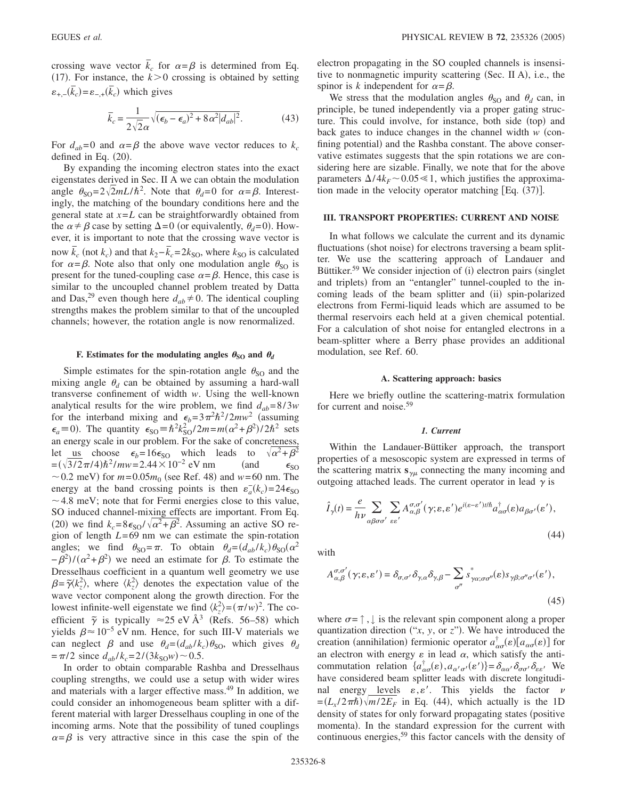crossing wave vector  $\overline{k}_c$  for  $\alpha = \beta$  is determined from Eq. (17). For instance, the  $k>0$  crossing is obtained by setting  $\varepsilon_{+,-}(\bar{k}_c) = \varepsilon_{-,+}(\bar{k}_c)$  which gives

$$
\overline{k}_c = \frac{1}{2\sqrt{2}\alpha} \sqrt{(\epsilon_b - \epsilon_a)^2 + 8\alpha^2 |d_{ab}|^2}.
$$
 (43)

For  $d_{ab} = 0$  and  $\alpha = \beta$  the above wave vector reduces to  $k_c$ defined in Eq.  $(20)$ .

By expanding the incoming electron states into the exact eigenstates derived in Sec. II A we can obtain the modulation angle  $\theta_{\text{SO}} = 2\sqrt{2mL/\hbar^2}$ . Note that  $\theta_d = 0$  for  $\alpha = \beta$ . Interestingly, the matching of the boundary conditions here and the general state at *x*=*L* can be straightforwardly obtained from the  $\alpha \neq \beta$  case by setting  $\Delta = 0$  (or equivalently,  $\theta_d = 0$ ). However, it is important to note that the crossing wave vector is  $\overline{k}_c$  (not  $k_c$ ) and that  $k_2 - \overline{k}_c = 2k_{\text{SO}}$ , where  $k_{\text{SO}}$  is calculated for  $\alpha = \beta$ . Note also that only one modulation angle  $\theta_{SO}$  is present for the tuned-coupling case  $\alpha = \beta$ . Hence, this case is similar to the uncoupled channel problem treated by Datta and Das,<sup>29</sup> even though here  $d_{ab} \neq 0$ . The identical coupling strengths makes the problem similar to that of the uncoupled channels; however, the rotation angle is now renormalized.

### **F.** Estimates for the modulating angles  $\theta_{\text{SO}}$  and  $\theta_d$

Simple estimates for the spin-rotation angle  $\theta_{\text{SO}}$  and the mixing angle  $\theta_d$  can be obtained by assuming a hard-wall transverse confinement of width *w*. Using the well-known analytical results for the wire problem, we find  $d_{ab} = 8/3w$ for the interband mixing and  $\epsilon_b = 3\pi^2\hbar^2/2mw^2$  (assuming  $\epsilon_a = 0$ ). The quantity  $\epsilon_{SO} = \hbar^2 k_{SO}^2 / 2m = m(\alpha^2 + \beta^2) / 2\hbar^2$  sets an energy scale in our problem. For the sake of concreteness, let <u>us</u> choose  $\epsilon_b=16\epsilon_{SO}$  which leads to  $\sqrt{\alpha^2+\beta^2}$  $=$ ( $\sqrt{3}/2\pi/4$ ) $\hbar^2/mw = 2.44 \times 10^{-2}$  eV nm (and  $\epsilon_{\text{SO}}$  $\sim$  0.2 meV) for  $m = 0.05m_0$  (see Ref. 48) and  $w = 60$  nm. The energy at the band crossing points is then  $\varepsilon_a^-(k_c) = 24\epsilon_{SO}$  $\sim$  4.8 meV; note that for Fermi energies close to this value, SO induced channel-mixing effects are important. From Eq. (20) we find  $k_c = 8\epsilon_{\text{SO}}/\sqrt{\alpha^2 + \beta^2}$ . Assuming an active SO region of length *L*=69 nm we can estimate the spin-rotation angles; we find  $\theta_{\text{SO}} = \pi$ . To obtain  $\theta_d = (d_{ab}/k_c) \theta_{\text{SO}}(\alpha^2)$  $-\beta^2$ )/( $\alpha^2 + \beta^2$ ) we need an estimate for  $\beta$ . To estimate the Dresselhaus coefficient in a quantum well geometry we use  $\beta = \tilde{\gamma} \langle k_z^2 \rangle$ , where  $\langle k_z^2 \rangle$  denotes the expectation value of the wave vector component along the growth direction. For the lowest infinite-well eigenstate we find  $\langle k_z^2 \rangle = (\pi/w)^2$ . The coefficient  $\tilde{\gamma}$  is typically  $\approx$  25 eV Å<sup>3</sup> (Refs. 56–58) which yields  $\beta \approx 10^{-5}$  eV nm. Hence, for such III-V materials we can neglect  $\beta$  and use  $\theta_d = (d_{ab}/k_c)\theta_{\text{SO}}$ , which gives  $\theta_d$  $= \pi/2$  since  $d_{ab}/k_c = 2/(3k_{\text{SO}}w) \sim 0.5$ .

In order to obtain comparable Rashba and Dresselhaus coupling strengths, we could use a setup with wider wires and materials with a larger effective mass.49 In addition, we could consider an inhomogeneous beam splitter with a different material with larger Dresselhaus coupling in one of the incoming arms. Note that the possibility of tuned couplings  $\alpha = \beta$  is very attractive since in this case the spin of the electron propagating in the SO coupled channels is insensitive to nonmagnetic impurity scattering (Sec. II A), i.e., the spinor is k independent for  $\alpha = \beta$ .

We stress that the modulation angles  $\theta_{\text{SO}}$  and  $\theta_d$  can, in principle, be tuned independently via a proper gating structure. This could involve, for instance, both side (top) and back gates to induce changes in the channel width  $w$  (confining potential) and the Rashba constant. The above conservative estimates suggests that the spin rotations we are considering here are sizable. Finally, we note that for the above parameters  $\Delta/4k_F \sim 0.05 \ll 1$ , which justifies the approximation made in the velocity operator matching  $[Eq. (37)].$ 

#### **III. TRANSPORT PROPERTIES: CURRENT AND NOISE**

In what follows we calculate the current and its dynamic fluctuations (shot noise) for electrons traversing a beam splitter. We use the scattering approach of Landauer and Büttiker.<sup>59</sup> We consider injection of (i) electron pairs (singlet and triplets) from an "entangler" tunnel-coupled to the incoming leads of the beam splitter and (ii) spin-polarized electrons from Fermi-liquid leads which are assumed to be thermal reservoirs each held at a given chemical potential. For a calculation of shot noise for entangled electrons in a beam-splitter where a Berry phase provides an additional modulation, see Ref. 60.

### **A. Scattering approach: basics**

Here we briefly outline the scattering-matrix formulation for current and noise.<sup>59</sup>

### *1. Current*

Within the Landauer-Büttiker approach, the transport properties of a mesoscopic system are expressed in terms of the scattering matrix  $s_{\gamma\mu}$  connecting the many incoming and outgoing attached leads. The current operator in lead  $\gamma$  is

$$
\hat{I}_{\gamma}(t) = \frac{e}{h\nu} \sum_{\alpha\beta\sigma\sigma'} \sum_{\varepsilon\varepsilon'} A^{\sigma,\sigma'}_{\alpha,\beta}(\gamma;\varepsilon,\varepsilon') e^{i(\varepsilon-\varepsilon')t/\hbar} a^{\dagger}_{\alpha\sigma}(\varepsilon) a_{\beta\sigma'}(\varepsilon'),
$$
\n(44)

with

$$
A^{\sigma,\sigma'}_{\alpha,\beta}(\gamma;\varepsilon,\varepsilon') = \delta_{\sigma,\sigma'}\delta_{\gamma,\alpha}\delta_{\gamma,\beta} - \sum_{\sigma''} s^*_{\gamma\alpha;\sigma\sigma''}(\varepsilon)s_{\gamma\beta;\sigma''\sigma'}(\varepsilon'),
$$
\n(45)

where  $\sigma = \uparrow$ ,  $\downarrow$  is the relevant spin component along a proper quantization direction (" $x$ ,  $y$ , or  $z$ "). We have introduced the creation (annihilation) fermionic operator  $a_{\alpha\sigma}^{\dagger}(\varepsilon)[a_{\alpha\sigma}(\varepsilon)]$  for an electron with energy  $\varepsilon$  in lead  $\alpha$ , which satisfy the anticommutation relation  $\{a_{\alpha\sigma}^{\dagger}(\varepsilon), a_{\alpha'\sigma'}(\varepsilon')\} = \delta_{\alpha\alpha'}\delta_{\sigma\sigma'}\delta_{\varepsilon\varepsilon'}$  We have considered beam splitter leads with discrete longitudinal energy levels  $\varepsilon, \varepsilon'$ . This yields the factor  $\nu$  $= (L_x/2\pi\hbar)\sqrt{m/2E_F}$  in Eq. (44), which actually is the 1D density of states for only forward propagating states (positive momenta). In the standard expression for the current with continuous energies,<sup>59</sup> this factor cancels with the density of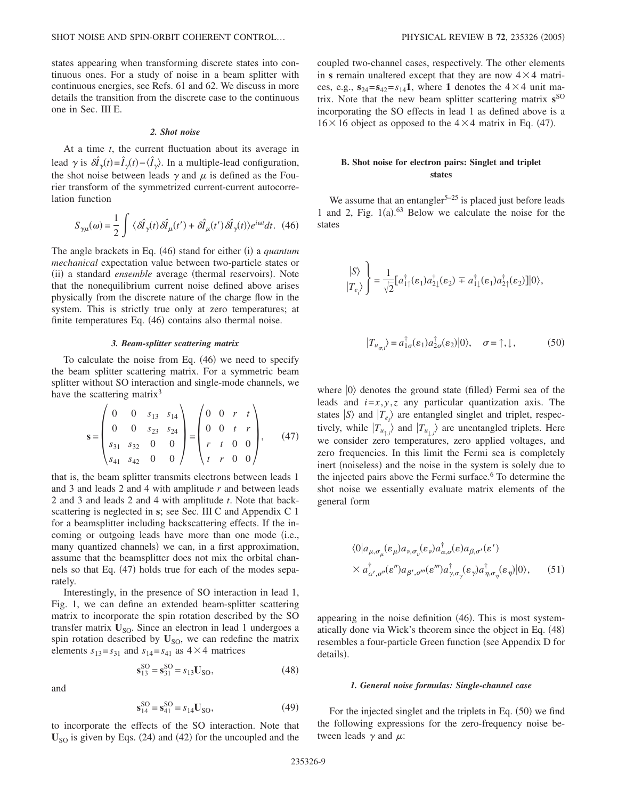states appearing when transforming discrete states into continuous ones. For a study of noise in a beam splitter with continuous energies, see Refs. 61 and 62. We discuss in more details the transition from the discrete case to the continuous one in Sec. III E.

## *2. Shot noise*

At a time *t*, the current fluctuation about its average in lead  $\gamma$  is  $\frac{\partial \hat{I}_{\gamma}(t) = \hat{I}_{\gamma}(t) - \langle \hat{I}_{\gamma} \rangle}{\langle \hat{I}_{\gamma}(t) \rangle}$ . In a multiple-lead configuration, the shot noise between leads  $\gamma$  and  $\mu$  is defined as the Fourier transform of the symmetrized current-current autocorrelation function

$$
S_{\gamma\mu}(\omega) = \frac{1}{2} \int \langle \hat{\delta l}_{\gamma}(t) \hat{\delta l}_{\mu}(t') + \hat{\delta l}_{\mu}(t') \hat{\delta l}_{\gamma}(t) \rangle e^{i\omega t} dt. (46)
$$

The angle brackets in Eq. (46) stand for either (i) a *quantum mechanical* expectation value between two-particle states or (ii) a standard *ensemble* average (thermal reservoirs). Note that the nonequilibrium current noise defined above arises physically from the discrete nature of the charge flow in the system. This is strictly true only at zero temperatures; at finite temperatures Eq. (46) contains also thermal noise.

#### *3. Beam-splitter scattering matrix*

To calculate the noise from Eq. (46) we need to specify the beam splitter scattering matrix. For a symmetric beam splitter without SO interaction and single-mode channels, we have the scattering matrix<sup>3</sup>

$$
\mathbf{s} = \begin{pmatrix} 0 & 0 & s_{13} & s_{14} \\ 0 & 0 & s_{23} & s_{24} \\ s_{31} & s_{32} & 0 & 0 \\ s_{41} & s_{42} & 0 & 0 \end{pmatrix} = \begin{pmatrix} 0 & 0 & r & t \\ 0 & 0 & t & r \\ r & t & 0 & 0 \\ t & r & 0 & 0 \end{pmatrix}, \qquad (47)
$$

that is, the beam splitter transmits electrons between leads 1 and 3 and leads 2 and 4 with amplitude *r* and between leads 2 and 3 and leads 2 and 4 with amplitude *t*. Note that backscattering is neglected in **s**; see Sec. III C and Appendix C 1 for a beamsplitter including backscattering effects. If the incoming or outgoing leads have more than one mode (i.e., many quantized channels) we can, in a first approximation, assume that the beamsplitter does not mix the orbital channels so that Eq. (47) holds true for each of the modes separately.

Interestingly, in the presence of SO interaction in lead 1, Fig. 1, we can define an extended beam-splitter scattering matrix to incorporate the spin rotation described by the SO transfer matrix  $U_{SO}$ . Since an electron in lead 1 undergoes a spin rotation described by  $U<sub>SO</sub>$ , we can redefine the matrix elements  $s_{13}=s_{31}$  and  $s_{14}=s_{41}$  as  $4 \times 4$  matrices

$$
\mathbf{s}_{13}^{\text{SO}} = \mathbf{s}_{31}^{\text{SO}} = s_{13} \mathbf{U}_{\text{SO}},\tag{48}
$$

and

$$
\mathbf{s}_{14}^{\text{SO}} = \mathbf{s}_{41}^{\text{SO}} = s_{14} \mathbf{U}_{\text{SO}},\tag{49}
$$

to incorporate the effects of the SO interaction. Note that  $U<sub>SO</sub>$  is given by Eqs. (24) and (42) for the uncoupled and the

coupled two-channel cases, respectively. The other elements in s remain unaltered except that they are now  $4 \times 4$  matrices, e.g.,  $s_{24}=s_{42}=s_{14}1$ , where 1 denotes the  $4\times4$  unit matrix. Note that the new beam splitter scattering matrix  $s^{SO}$ incorporating the SO effects in lead 1 as defined above is a  $16 \times 16$  object as opposed to the  $4 \times 4$  matrix in Eq. (47).

# **B. Shot noise for electron pairs: Singlet and triplet states**

We assume that an entangler<sup>5–25</sup> is placed just before leads 1 and 2, Fig.  $1(a)$ .<sup>63</sup> Below we calculate the noise for the states

$$
\begin{aligned}\n|S\rangle \\
|T_{e_i}\rangle\n\end{aligned}\n=\frac{1}{\sqrt{2}}[a_{1\uparrow}^{\dagger}(\varepsilon_1)a_{2\downarrow}^{\dagger}(\varepsilon_2)\mp a_{1\downarrow}^{\dagger}(\varepsilon_1)a_{2\uparrow}^{\dagger}(\varepsilon_2)]|0\rangle,
$$

$$
|T_{u_{\sigma,i}}\rangle = a_{1\sigma}^{\dagger}(\varepsilon_1)a_{2\sigma}^{\dagger}(\varepsilon_2)|0\rangle, \quad \sigma = \uparrow, \downarrow,
$$
 (50)

where  $|0\rangle$  denotes the ground state (filled) Fermi sea of the leads and  $i=x, y, z$  any particular quantization axis. The states  $|S\rangle$  and  $|T_{e_i}\rangle$  are entangled singlet and triplet, respectively, while  $|T_{u_{\uparrow,i}}\rangle$  and  $|T_{u_{\downarrow,i}}\rangle$  are unentangled triplets. Here we consider zero temperatures, zero applied voltages, and zero frequencies. In this limit the Fermi sea is completely inert (noiseless) and the noise in the system is solely due to the injected pairs above the Fermi surface.<sup>6</sup> To determine the shot noise we essentially evaluate matrix elements of the general form

$$
\langle 0|a_{\mu,\sigma_{\mu}}(\varepsilon_{\mu})a_{\nu,\sigma_{\nu}}(\varepsilon_{\nu})a_{\alpha,\sigma}^{\dagger}(\varepsilon)a_{\beta,\sigma'}(\varepsilon')
$$
  
 
$$
\times a_{\alpha',\sigma''}^{\dagger}(\varepsilon'')a_{\beta',\sigma'''}(\varepsilon''')a_{\gamma,\sigma_{\gamma}}^{\dagger}(\varepsilon_{\gamma})a_{\eta,\sigma_{\eta}}^{\dagger}(\varepsilon_{\eta})|0\rangle, \qquad (51)
$$

appearing in the noise definition (46). This is most systematically done via Wick's theorem since the object in Eq. (48) resembles a four-particle Green function (see Appendix D for details).

#### *1. General noise formulas: Single-channel case*

For the injected singlet and the triplets in Eq. (50) we find the following expressions for the zero-frequency noise between leads  $\gamma$  and  $\mu$ :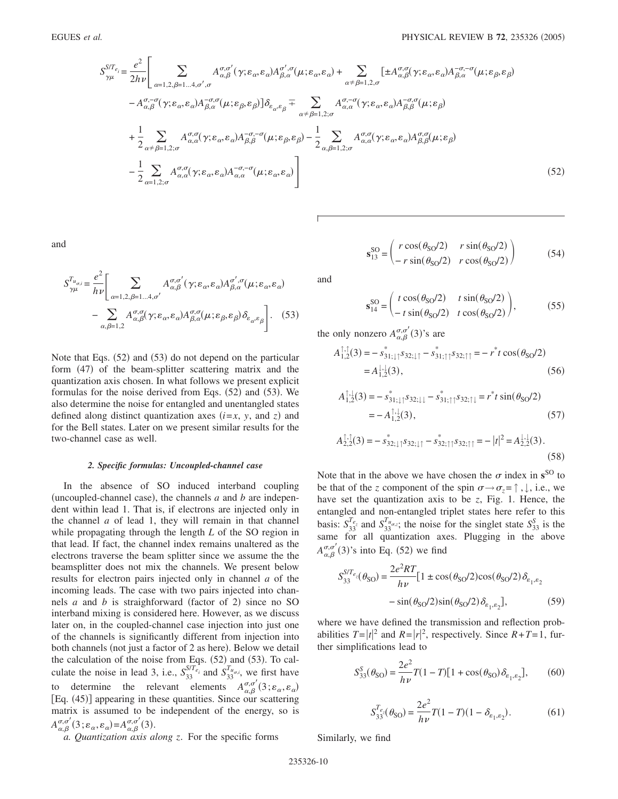$$
S_{\gamma\mu}^{ST_{e_i}} = \frac{e^2}{2h\nu} \left[ \sum_{\alpha=1,2,\beta=1...4,\sigma',\sigma} A_{\alpha,\beta}^{\sigma,\sigma'}(\gamma;\varepsilon_{\alpha},\varepsilon_{\alpha}) A_{\beta,\alpha}^{\sigma',\sigma}(\mu;\varepsilon_{\alpha},\varepsilon_{\alpha}) + \sum_{\alpha \neq \beta=1,2,\sigma} \left[ \pm A_{\alpha,\beta}^{\sigma,\sigma}(\gamma;\varepsilon_{\alpha},\varepsilon_{\alpha}) A_{\beta,\alpha}^{-\sigma,-\sigma}(\mu;\varepsilon_{\beta},\varepsilon_{\beta}) \right] \right]
$$
  
\n
$$
-A_{\alpha,\beta}^{\sigma,-\sigma}(\gamma;\varepsilon_{\alpha},\varepsilon_{\alpha}) A_{\beta,\alpha}^{-\sigma,\sigma}(\mu;\varepsilon_{\beta},\varepsilon_{\beta}) \Big] \delta_{\varepsilon_{\alpha},\varepsilon_{\beta}} \mp \sum_{\alpha \neq \beta=1,2;\sigma} A_{\alpha,\alpha}^{\sigma,-\sigma}(\gamma;\varepsilon_{\alpha},\varepsilon_{\alpha}) A_{\beta,\beta}^{-\sigma,\sigma}(\mu;\varepsilon_{\beta})
$$
  
\n
$$
+ \frac{1}{2} \sum_{\alpha \neq \beta=1,2;\sigma} A_{\alpha,\alpha}^{\sigma,\sigma}(\gamma;\varepsilon_{\alpha},\varepsilon_{\alpha}) A_{\beta,\beta}^{-\sigma,-\sigma}(\mu;\varepsilon_{\beta},\varepsilon_{\beta}) - \frac{1}{2} \sum_{\alpha,\beta=1,2;\sigma} A_{\alpha,\alpha}^{\sigma,\sigma}(\gamma;\varepsilon_{\alpha},\varepsilon_{\alpha}) A_{\beta,\beta}^{\sigma,\sigma}(\mu;\varepsilon_{\beta})
$$
  
\n
$$
- \frac{1}{2} \sum_{\alpha=1,2;\sigma} A_{\alpha,\alpha}^{\sigma,\sigma}(\gamma;\varepsilon_{\alpha},\varepsilon_{\alpha}) A_{\alpha,\alpha}^{-\sigma,-\sigma}(\mu;\varepsilon_{\alpha},\varepsilon_{\alpha}) \Big]
$$
(52)

and

$$
S_{\gamma\mu}^{T_{u_{\sigma,i}}} = \frac{e^2}{h\nu} \Bigg[ \sum_{\alpha=1,2,\beta=1...4,\sigma'} A_{\alpha,\beta}^{\sigma,\sigma'}(\gamma;\varepsilon_{\alpha},\varepsilon_{\alpha}) A_{\beta,\alpha}^{\sigma',\sigma}(\mu;\varepsilon_{\alpha},\varepsilon_{\alpha}) - \sum_{\alpha,\beta=1,2} A_{\alpha,\beta}^{\sigma,\sigma}(\gamma;\varepsilon_{\alpha},\varepsilon_{\alpha}) A_{\beta,\alpha}^{\sigma,\sigma}(\mu;\varepsilon_{\beta},\varepsilon_{\beta}) \delta_{\varepsilon_{\alpha},\varepsilon_{\beta}} \Bigg].
$$
 (53)

Note that Eqs. (52) and (53) do not depend on the particular form (47) of the beam-splitter scattering matrix and the quantization axis chosen. In what follows we present explicit formulas for the noise derived from Eqs. (52) and (53). We also determine the noise for entangled and unentangled states defined along distinct quantization axes  $(i=x, y, and z)$  and for the Bell states. Later on we present similar results for the two-channel case as well.

### *2. Specific formulas: Uncoupled-channel case*

In the absence of SO induced interband coupling (uncoupled-channel case), the channels  $a$  and  $b$  are independent within lead 1. That is, if electrons are injected only in the channel *a* of lead 1, they will remain in that channel while propagating through the length *L* of the SO region in that lead. If fact, the channel index remains unaltered as the electrons traverse the beam splitter since we assume the the beamsplitter does not mix the channels. We present below results for electron pairs injected only in channel *a* of the incoming leads. The case with two pairs injected into channels  $a$  and  $b$  is straighforward (factor of 2) since no SO interband mixing is considered here. However, as we discuss later on, in the coupled-channel case injection into just one of the channels is significantly different from injection into both channels (not just a factor of 2 as here). Below we detail the calculation of the noise from Eqs.  $(52)$  and  $(53)$ . To calculate the noise in lead 3, i.e.,  $S_{33}^{ST_{e_i}}$  and  $S_{33}^{T_{u_{\sigma i}}}$ , we first have to determine the relevant elements  $A^{\sigma,\sigma'}_{\alpha,\beta}(3; \varepsilon_{\alpha}, \varepsilon_{\alpha})$ [Eq. (45)] appearing in these quantities. Since our scattering matrix is assumed to be independent of the energy, so is  $A^{\sigma,\sigma'}_{\alpha,\beta}(3; \varepsilon_\alpha, \varepsilon_\alpha) = A^{\sigma,\sigma'}_{\alpha,\beta}(3).$ 

*a. Quantization axis along z*. For the specific forms

and

$$
\mathbf{s}_{14}^{\text{SO}} = \begin{pmatrix} t\cos(\theta_{\text{SO}}/2) & t\sin(\theta_{\text{SO}}/2) \\ -t\sin(\theta_{\text{SO}}/2) & t\cos(\theta_{\text{SO}}/2) \end{pmatrix},\tag{55}
$$

 $(54)$ 

the only nonzero  $A^{\sigma,\sigma'}_{\alpha,\beta}(3)$ 's are

$$
A_{1,2}^{\uparrow,\uparrow}(3) = -s_{31;\downarrow\uparrow}^* s_{32;\downarrow\uparrow} - s_{31;\uparrow\uparrow}^* s_{32;\uparrow\uparrow} = -r^* t \cos(\theta_{\text{SO}}/2)
$$
  
=  $A_{1,2}^{\downarrow,\downarrow}(3)$ , (56)

 $\mathbf{s}_{13}^{\text{SO}} = \begin{pmatrix} r \cos(\theta_{\text{SO}}/2) & r \sin(\theta_{\text{SO}}/2) \\ -r \sin(\theta_{\text{SO}}/2) & r \cos(\theta_{\text{SO}}/2) \end{pmatrix}$ 

$$
A_{1,2}^{\uparrow,\downarrow}(3) = -s_{31;\downarrow\uparrow}^* s_{32;\downarrow\downarrow} - s_{31;\uparrow\uparrow}^* s_{32;\uparrow\downarrow} = r^* t \sin(\theta_{\text{SO}}/2)
$$
  
=  $-A_{1,2}^{\uparrow,\downarrow}(3)$ , (57)

$$
A_{2,2}^{\uparrow,\uparrow}(3) = -s_{32;\downarrow\uparrow}^*s_{32;\downarrow\uparrow} - s_{32;\uparrow\uparrow}^*s_{32;\uparrow\uparrow} = -|t|^2 = A_{2,2}^{\downarrow,\downarrow}(3). \tag{58}
$$

Note that in the above we have chosen the  $\sigma$  index in  $\mathbf{s}^{\text{SO}}$  to be that of the *z* component of the spin  $\sigma \rightarrow \sigma_z = \uparrow, \downarrow, \text{ i.e., we}$ have set the quantization axis to be *z*, Fig. 1. Hence, the entangled and non-entangled triplet states here refer to this basis:  $S_{33}^{T_{e}}$  and  $S_{33}^{T_{u_{\sigma z}}}$ ; the noise for the singlet state  $S_{33}^{S}$  is the same for all quantization axes. Plugging in the above  $A^{\sigma,\sigma'}_{\alpha,\beta}(3)$ 's into Eq. (52) we find

$$
S_{33}^{ST_{e}}( \theta_{SO} ) = \frac{2e^2RT}{h\nu} [1 \pm \cos(\theta_{SO}/2)\cos(\theta_{SO}/2)\delta_{e_1,e_2} - \sin(\theta_{SO}/2)\sin(\theta_{SO}/2)\delta_{e_1,e_2}], \qquad (59)
$$

where we have defined the transmission and reflection probabilities  $T = |t|^2$  and  $R = |r|^2$ , respectively. Since  $R + T = 1$ , further simplifications lead to

$$
S_{33}^S(\theta_{\text{SO}}) = \frac{2e^2}{h\nu}T(1-T)[1+\cos(\theta_{\text{SO}})\delta_{\varepsilon_1,\varepsilon_2}],\qquad(60)
$$

$$
S_{33}^{T_{e}}(\theta_{\text{SO}}) = \frac{2e^2}{h\nu}T(1-T)(1-\delta_{e_1,e_2}).\tag{61}
$$

Similarly, we find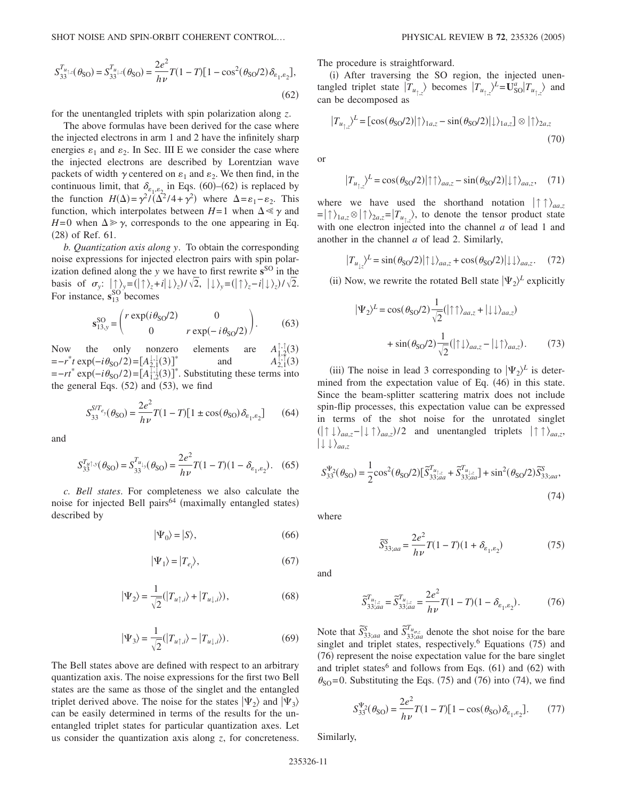$$
S_{33}^{T_{u_{1}}}( \theta_{\text{SO}}) = S_{33}^{T_{u_{1}}}( \theta_{\text{SO}}) = \frac{2e^2}{h\nu} T(1 - T) [1 - \cos^2(\theta_{\text{SO}}/2) \delta_{\varepsilon_1, \varepsilon_2}],
$$
\n(62)

for the unentangled triplets with spin polarization along *z*.

The above formulas have been derived for the case where the injected electrons in arm 1 and 2 have the infinitely sharp energies  $\varepsilon_1$  and  $\varepsilon_2$ . In Sec. III E we consider the case where the injected electrons are described by Lorentzian wave packets of width  $\gamma$  centered on  $\varepsilon_1$  and  $\varepsilon_2$ . We then find, in the continuous limit, that  $\delta_{\epsilon_1,\epsilon_2}$  in Eqs. (60)–(62) is replaced by the function  $H(\Delta) = \gamma^2 / (\Delta^2 / 4 + \gamma^2)$  where  $\Delta = \varepsilon_1 - \varepsilon_2$ . This function, which interpolates between  $H=1$  when  $\Delta \ll \gamma$  and  $H=0$  when  $\Delta \gg \gamma$ , corresponds to the one appearing in Eq.  $(28)$  of Ref. 61.

*b. Quantization axis along y*. To obtain the corresponding noise expressions for injected electron pairs with spin polarization defined along the  $y$  we have to first rewrite  $s^{SO}$  in the basis of  $\sigma_y$ :  $|\uparrow\rangle_y = (|\uparrow\rangle_z + i|\downarrow\rangle_z)/\sqrt{2}$ ,  $|\downarrow\rangle_y = (|\uparrow\rangle_z - i|\downarrow\rangle_z)/\sqrt{2}$ . For instance,  $s_{13}^{\rm SO}$  becomes

$$
\mathbf{s}_{13,y}^{\text{SO}} = \begin{pmatrix} r \exp(i\theta_{\text{SO}}/2) & 0\\ 0 & r \exp(-i\theta_{\text{SO}}/2) \end{pmatrix} . \tag{63}
$$

Now the only nonzero elements are  $\int_{1.2}^{1.1}(3)$  $=-r^*$ *t* exp( $-i\theta_{SO}/2$ ) = [A<sup>1</sup><sub>2,1</sub>(3)] \* and  $A_{2,1}^{[\,]}(3)$  $=-rt^* \exp(-i\theta_{\text{SO}}/2) = [A_{1,2}^{\text{T,I}}(3)]^*$ . Substituting these terms into the general Eqs.  $(52)$  and  $(53)$ , we find

$$
S_{33}^{ST_{e}}(\theta_{\text{SO}}) = \frac{2e^2}{h\nu}T(1-T)[1 \pm \cos(\theta_{\text{SO}})\delta_{e_1, e_2}] \tag{64}
$$

and

$$
S_{33}^{T_{\mu\uparrow,\nu}}(\theta_{\text{SO}}) = S_{33}^{T_{\mu\downarrow,\nu}}(\theta_{\text{SO}}) = \frac{2e^2}{h\nu}T(1-T)(1-\delta_{\varepsilon_1,\varepsilon_2}).\tag{65}
$$

*c. Bell states*. For completeness we also calculate the noise for injected Bell pairs<sup>64</sup> (maximally entangled states) described by

$$
|\Psi_0\rangle = |S\rangle,\tag{66}
$$

$$
|\Psi_1\rangle = |T_{e_i}\rangle,\tag{67}
$$

$$
|\Psi_2\rangle = \frac{1}{\sqrt{2}} (|T_{u\uparrow,i}\rangle + |T_{u\downarrow,i}\rangle), \tag{68}
$$

$$
|\Psi_3\rangle = \frac{1}{\sqrt{2}} (|T_{u\uparrow,i}\rangle - |T_{u\downarrow,i}\rangle). \tag{69}
$$

The Bell states above are defined with respect to an arbitrary quantization axis. The noise expressions for the first two Bell states are the same as those of the singlet and the entangled triplet derived above. The noise for the states  $|\Psi_2\rangle$  and  $|\Psi_3\rangle$ can be easily determined in terms of the results for the unentangled triplet states for particular quantization axes. Let us consider the quantization axis along *z*, for concreteness.

The procedure is straightforward.

(i) After traversing the SO region, the injected unentangled triplet state  $|T_{u_{\uparrow,z}}\rangle$  becomes  $|T_{u_{\uparrow,z}}\rangle^L = \mathbf{U}_{\text{SO}}^a |T_{u_{\uparrow,z}}\rangle$  and can be decomposed as

$$
|T_{u_{\uparrow,z}}\rangle^L = \left[\cos(\theta_{\text{SO}}/2)|\uparrow\rangle_{1a,z} - \sin(\theta_{\text{SO}}/2)|\downarrow\rangle_{1a,z}\right] \otimes |\uparrow\rangle_{2a,z}
$$
\n(70)

or

$$
|T_{u_{\uparrow,z}}\rangle^L = \cos(\theta_{\text{SO}}/2)|\uparrow\uparrow\rangle_{aa,z} - \sin(\theta_{\text{SO}}/2)|\downarrow\uparrow\rangle_{aa,z}, \quad (71)
$$

where we have used the shorthand notation  $|\uparrow \uparrow \rangle_{aa,z}$  $=|\uparrow\rangle_{1a,z} \otimes |\uparrow\rangle_{2a,z} = |T_{u_{\uparrow,z}}\rangle$ , to denote the tensor product state with one electron injected into the channel *a* of lead 1 and another in the channel *a* of lead 2. Similarly,

$$
|T_{u_{\downarrow z}}\rangle^{L} = \sin(\theta_{\text{SO}}/2)|\uparrow\downarrow\rangle_{aa,z} + \cos(\theta_{\text{SO}}/2)|\downarrow\downarrow\rangle_{aa,z}.\tag{72}
$$

(ii) Now, we rewrite the rotated Bell state  $|\Psi_2\rangle^L$  explicitly

$$
|\Psi_2\rangle^L = \cos(\theta_{\text{SO}}/2) \frac{1}{\sqrt{2}} (|\uparrow \uparrow \rangle_{aa,z} + |\downarrow \downarrow \rangle_{aa,z})
$$

$$
+ \sin(\theta_{\text{SO}}/2) \frac{1}{\sqrt{2}} (|\uparrow \downarrow \rangle_{aa,z} - |\downarrow \uparrow \rangle_{aa,z}). \tag{73}
$$

(iii) The noise in lead 3 corresponding to  $|\Psi_2\rangle^L$  is determined from the expectation value of Eq. (46) in this state. Since the beam-splitter scattering matrix does not include spin-flip processes, this expectation value can be expressed in terms of the shot noise for the unrotated singlet  $(| \uparrow \downarrow \rangle_{aa,z} - | \downarrow \uparrow \rangle_{aa,z})/2$  and unentangled triplets  $| \uparrow \uparrow \rangle_{aa,z}$ ,  $|\downarrow \downarrow\rangle_{aa,z}$ 

$$
S_{33}^{\Psi_2}(\theta_{\text{SO}}) = \frac{1}{2} \cos^2(\theta_{\text{SO}}/2) \left[ \tilde{S}_{33;aa}^{T_{u_{1,z}} + \tilde{S}_{33;aa}^{T_{u_{1,z}}}\right] + \sin^2(\theta_{\text{SO}}/2) \tilde{S}_{33;aa}^S,\tag{74}
$$

where

$$
\widetilde{S}_{33;aa}^{S} = \frac{2e^2}{h\nu}T(1-T)(1+\delta_{\varepsilon_1,\varepsilon_2})
$$
\n(75)

and

$$
\widetilde{S}_{33;\alpha a}^{T_{u}} = \widetilde{S}_{33;\alpha a}^{T_{u}} = \frac{2e^2}{h\nu} T(1 - T)(1 - \delta_{\varepsilon_1, \varepsilon_2}).\tag{76}
$$

Note that  $\tilde{S}_{33;aa}^S$  and  $\tilde{S}_{33;aa}^{T_{u_{\sigma,z}}}$  denote the shot noise for the bare singlet and triplet states, respectively. $6$  Equations (75) and (76) represent the noise expectation value for the bare singlet and triplet states<sup>6</sup> and follows from Eqs.  $(61)$  and  $(62)$  with  $\theta_{\text{SO}} = 0$ . Substituting the Eqs. (75) and (76) into (74), we find

$$
S_{33}^{\Psi_2}(\theta_{\text{SO}}) = \frac{2e^2}{h\nu}T(1-T)[1-\cos(\theta_{\text{SO}})\delta_{\varepsilon_1,\varepsilon_2}].
$$
 (77)

Similarly,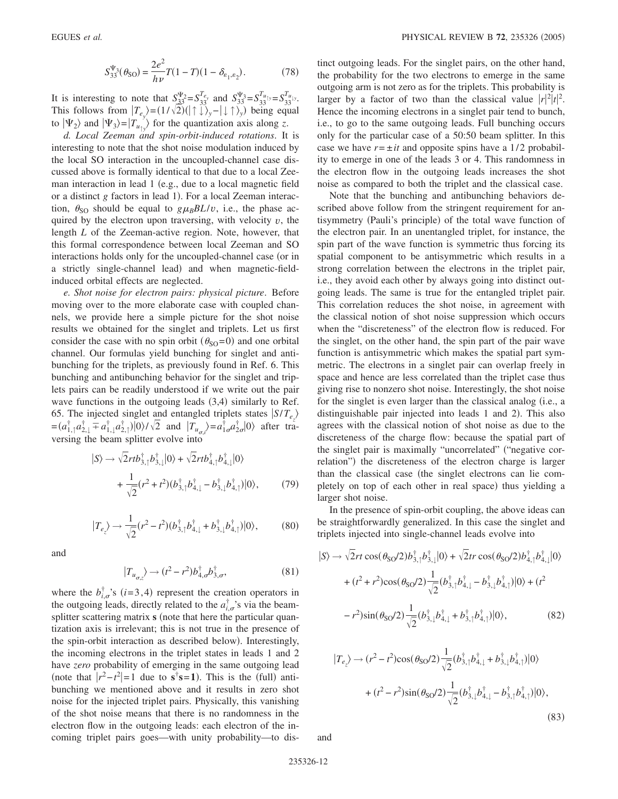$$
S_{33}^{\Psi_3}(\theta_{\text{SO}}) = \frac{2e^2}{h\nu}T(1-T)(1-\delta_{\varepsilon_1,\varepsilon_2}).\tag{78}
$$

It is interesting to note that  $S_{33}^{\Psi_2} = S_{33}^{T_{e_y}}$  and  $S_{33}^{\Psi_3} = S_{33}^{T_{u_{|y}}} = S_{33}^{T_{u_{|y}}}$ . This follows from  $|T_{e_y}\rangle = (1/\sqrt{2})(|\uparrow \downarrow \rangle_y - |\downarrow \uparrow \rangle_y)$  being equal to  $|\Psi_2\rangle$  and  $|\Psi_3\rangle = |T_{u_{1y}}\rangle$  for the quantization axis along *z*.

*d. Local Zeeman and spin-orbit-induced rotations*. It is interesting to note that the shot noise modulation induced by the local SO interaction in the uncoupled-channel case discussed above is formally identical to that due to a local Zeeman interaction in lead  $1$  (e.g., due to a local magnetic field or a distinct *g* factors in lead 1). For a local Zeeman interaction,  $\theta_{\text{SO}}$  should be equal to  $g\mu_B BL/v$ , i.e., the phase acquired by the electron upon traversing, with velocity *v*, the length *L* of the Zeeman-active region. Note, however, that this formal correspondence between local Zeeman and SO interactions holds only for the uncoupled-channel case (or in a strictly single-channel lead) and when magnetic-fieldinduced orbital effects are neglected.

*e. Shot noise for electron pairs: physical picture*. Before moving over to the more elaborate case with coupled channels, we provide here a simple picture for the shot noise results we obtained for the singlet and triplets. Let us first consider the case with no spin orbit  $(\theta_{SO}=0)$  and one orbital channel. Our formulas yield bunching for singlet and antibunching for the triplets, as previously found in Ref. 6. This bunching and antibunching behavior for the singlet and triplets pairs can be readily understood if we write out the pair wave functions in the outgoing leads  $(3,4)$  similarly to Ref. 65. The injected singlet and entangled triplets states  $|S/T_{e_2}\rangle$  $=(a_{1,1}^{\dagger}a_{2,1}^{\dagger} \mp a_{1,1}^{\dagger}a_{2,1}^{\dagger})|0\rangle/\sqrt{2}$  and  $|T_{u_{\sigma,i}}\rangle = a_{1\sigma}^{\dagger}a_{2\sigma}^{\dagger}|0\rangle$  after traversing the beam splitter evolve into

$$
|S\rangle \rightarrow \sqrt{2}rtb_{3,\uparrow}^{\dagger}b_{3,\downarrow}^{\dagger}|0\rangle + \sqrt{2}rtb_{4,\uparrow}^{\dagger}b_{4,\downarrow}^{\dagger}|0\rangle + \frac{1}{\sqrt{2}}(r^{2}+t^{2})(b_{3,\uparrow}^{\dagger}b_{4,\downarrow}^{\dagger}-b_{3,\downarrow}^{\dagger}b_{4,\uparrow}^{\dagger})|0\rangle, \qquad (79)
$$

$$
|T_{e_{z}}\rangle \rightarrow \frac{1}{\sqrt{2}}(r^{2}-t^{2})(b_{3,\uparrow}^{\dagger}b_{4,\downarrow}^{\dagger}+b_{3,\downarrow}^{\dagger}b_{4,\uparrow}^{\dagger})|0\rangle, \tag{80}
$$

and

$$
|T_{u_{\sigma,z}}\rangle \to (t^2 - r^2)b_{4,\sigma}^{\dagger}b_{3,\sigma}^{\dagger},
$$
\n(81)

where the  $b_{i,\sigma}^{\dagger}$ 's (*i*=3,4) represent the creation operators in the outgoing leads, directly related to the  $a_{i,\sigma}^{\dagger}$ 's via the beamsplitter scattering matrix **s** (note that here the particular quantization axis is irrelevant; this is not true in the presence of the spin-orbit interaction as described below). Interestingly, the incoming electrons in the triplet states in leads 1 and 2 have *zero* probability of emerging in the same outgoing lead (note that  $|r^2 - t^2| = 1$  due to  $s^{\dagger}s = 1$ ). This is the (full) antibunching we mentioned above and it results in zero shot noise for the injected triplet pairs. Physically, this vanishing of the shot noise means that there is no randomness in the electron flow in the outgoing leads: each electron of the incoming triplet pairs goes—with unity probability—to distinct outgoing leads. For the singlet pairs, on the other hand, the probability for the two electrons to emerge in the same outgoing arm is not zero as for the triplets. This probability is larger by a factor of two than the classical value  $|r|^2|t|^2$ . Hence the incoming electrons in a singlet pair tend to bunch, i.e., to go to the same outgoing leads. Full bunching occurs only for the particular case of a 50:50 beam splitter. In this case we have  $r = \pm it$  and opposite spins have a 1/2 probability to emerge in one of the leads 3 or 4. This randomness in the electron flow in the outgoing leads increases the shot noise as compared to both the triplet and the classical case.

Note that the bunching and antibunching behaviors described above follow from the stringent requirement for antisymmetry (Pauli's principle) of the total wave function of the electron pair. In an unentangled triplet, for instance, the spin part of the wave function is symmetric thus forcing its spatial component to be antisymmetric which results in a strong correlation between the electrons in the triplet pair, i.e., they avoid each other by always going into distinct outgoing leads. The same is true for the entangled triplet pair. This correlation reduces the shot noise, in agreement with the classical notion of shot noise suppression which occurs when the "discreteness" of the electron flow is reduced. For the singlet, on the other hand, the spin part of the pair wave function is antisymmetric which makes the spatial part symmetric. The electrons in a singlet pair can overlap freely in space and hence are less correlated than the triplet case thus giving rise to nonzero shot noise. Interestingly, the shot noise for the singlet is even larger than the classical analog (i.e., a distinguishable pair injected into leads 1 and 2). This also agrees with the classical notion of shot noise as due to the discreteness of the charge flow: because the spatial part of the singlet pair is maximally "uncorrelated" ("negative correlation") the discreteness of the electron charge is larger than the classical case (the singlet electrons can lie completely on top of each other in real space) thus yielding a larger shot noise.

In the presence of spin-orbit coupling, the above ideas can be straightforwardly generalized. In this case the singlet and triplets injected into single-channel leads evolve into

$$
|S\rangle \rightarrow \sqrt{2}rt\cos(\theta_{\text{SO}}/2)b_{3,\uparrow}^{\dagger}b_{3,\downarrow}^{\dagger}|0\rangle + \sqrt{2}tr\cos(\theta_{\text{SO}}/2)b_{4,\uparrow}^{\dagger}b_{4,\downarrow}^{\dagger}|0\rangle
$$

$$
+ (t^2 + r^2)\cos(\theta_{\text{SO}}/2)\frac{1}{\sqrt{2}}(b_{3,\uparrow}^{\dagger}b_{4,\downarrow}^{\dagger} - b_{3,\downarrow}^{\dagger}b_{4,\uparrow}^{\dagger})|0\rangle + (t^2
$$

$$
- r^2)\sin(\theta_{\text{SO}}/2)\frac{1}{\sqrt{2}}(b_{3,\downarrow}^{\dagger}b_{4,\downarrow}^{\dagger} + b_{3,\uparrow}^{\dagger}b_{4,\uparrow}^{\dagger})|0\rangle, \tag{82}
$$

$$
|T_{e_z}\rangle \rightarrow (r^2 - t^2)\cos(\theta_{\text{SO}}/2)\frac{1}{\sqrt{2}}(b_{3,\uparrow}^{\dagger}b_{4,\downarrow}^{\dagger} + b_{3,\downarrow}^{\dagger}b_{4,\uparrow}^{\dagger})|0\rangle
$$
  
+  $(t^2 - r^2)\sin(\theta_{\text{SO}}/2)\frac{1}{\sqrt{2}}(b_{3,\downarrow}^{\dagger}b_{4,\downarrow}^{\dagger} - b_{3,\uparrow}^{\dagger}b_{4,\uparrow}^{\dagger})|0\rangle,$  (83)

and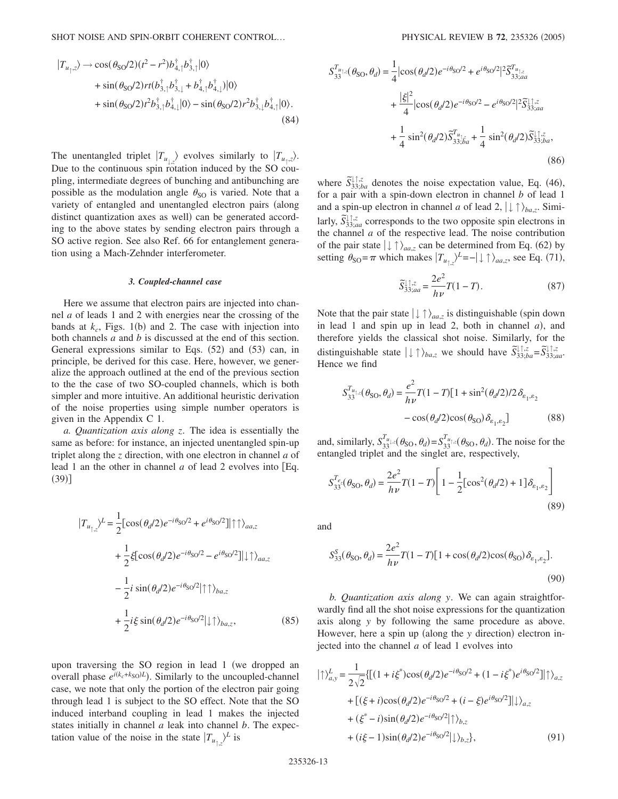$$
|T_{u_{\uparrow},z}\rangle \to \cos(\theta_{\text{SO}}/2)(t^2 - r^2)b_{4,\uparrow}^{\dagger}b_{3,\uparrow}^{\dagger}|0\rangle
$$
  
+ 
$$
\sin(\theta_{\text{SO}}/2)rt(b_{3,\uparrow}^{\dagger}b_{3,\downarrow}^{\dagger} + b_{4,\uparrow}^{\dagger}b_{4,\downarrow}^{\dagger})|0\rangle
$$
  
+ 
$$
\sin(\theta_{\text{SO}}/2)t^2b_{3,\uparrow}^{\dagger}b_{4,\downarrow}^{\dagger}|0\rangle - \sin(\theta_{\text{SO}}/2)r^2b_{3,\downarrow}^{\dagger}b_{4,\uparrow}^{\dagger}|0\rangle.
$$
(84)

The unentangled triplet  $|T_{u_{\downarrow,z}}\rangle$  evolves similarly to  $|T_{u_{\uparrow,z}}\rangle$ . Due to the continuous spin rotation induced by the SO coupling, intermediate degrees of bunching and antibunching are possible as the modulation angle  $\theta_{SO}$  is varied. Note that a variety of entangled and unentangled electron pairs (along distinct quantization axes as well) can be generated according to the above states by sending electron pairs through a SO active region. See also Ref. 66 for entanglement generation using a Mach-Zehnder interferometer.

### *3. Coupled-channel case*

Here we assume that electron pairs are injected into channel *a* of leads 1 and 2 with energies near the crossing of the bands at  $k_c$ , Figs. 1(b) and 2. The case with injection into both channels *a* and *b* is discussed at the end of this section. General expressions similar to Eqs. (52) and (53) can, in principle, be derived for this case. Here, however, we generalize the approach outlined at the end of the previous section to the the case of two SO-coupled channels, which is both simpler and more intuitive. An additional heuristic derivation of the noise properties using simple number operators is given in the Appendix C 1.

*a. Quantization axis along z*. The idea is essentially the same as before: for instance, an injected unentangled spin-up triplet along the *z* direction, with one electron in channel *a* of lead 1 an the other in channel  $a$  of lead 2 evolves into [Eq.  $(39)]$ 

$$
|T_{u_{\uparrow,z}}\rangle^{L} = \frac{1}{2} [\cos(\theta_{d}/2)e^{-i\theta_{\text{SO}}/2} + e^{i\theta_{\text{SO}}/2}]|\uparrow\uparrow\rangle_{aa,z}
$$
  
+ 
$$
\frac{1}{2} \xi [\cos(\theta_{d}/2)e^{-i\theta_{\text{SO}}/2} - e^{i\theta_{\text{SO}}/2}]|\downarrow\uparrow\rangle_{aa,z}
$$
  
- 
$$
\frac{1}{2} i \sin(\theta_{d}/2)e^{-i\theta_{\text{SO}}/2}|\uparrow\uparrow\rangle_{ba,z}
$$
  
+ 
$$
\frac{1}{2} i \xi \sin(\theta_{d}/2)e^{-i\theta_{\text{SO}}/2}|\downarrow\uparrow\rangle_{ba,z},
$$
(85)

upon traversing the SO region in lead 1 (we dropped an overall phase  $e^{i(k_c+k_{\text{SO}})L}$ ). Similarly to the uncoupled-channel case, we note that only the portion of the electron pair going through lead 1 is subject to the SO effect. Note that the SO induced interband coupling in lead 1 makes the injected states initially in channel *a* leak into channel *b*. The expectation value of the noise in the state  $|T_{u_{\uparrow,z}}\rangle^L$  is

$$
S_{33}^{T_{u_{\uparrow,z}}}(\theta_{\text{SO}},\theta_{d}) = \frac{1}{4} |\cos(\theta_{d}/2)e^{-i\theta_{\text{SO}}/2} + e^{i\theta_{\text{SO}}/2}|^2 \tilde{S}_{33;aa}^{T_{u_{\uparrow,z}}} + \frac{|\xi|^2}{4} |\cos(\theta_{d}/2)e^{-i\theta_{\text{SO}}/2} - e^{i\theta_{\text{SO}}/2}|^2 \tilde{S}_{33;aa}^{|\xi|,z} + \frac{1}{4} \sin^2(\theta_{d}/2) \tilde{S}_{33;ba}^{T_{u_{\uparrow,z}}} + \frac{1}{4} \sin^2(\theta_{d}/2) \tilde{S}_{33;ba}^{|\xi|,z},
$$
(86)

where  $\tilde{S}_{33;ba}^{\downarrow\uparrow,z}$  denotes the noise expectation value, Eq. (46), for a pair with a spin-down electron in channel *b* of lead 1 and a spin-up electron in channel *a* of lead 2,  $|\downarrow \uparrow\rangle_{ba,z}$ . Similarly,  $\tilde{S}_{33;aa}^{1,2}$  corresponds to the two opposite spin electrons in the channel *a* of the respective lead. The noise contribution of the pair state  $|\downarrow \uparrow \rangle_{aa,z}$  can be determined from Eq. (62) by setting  $\theta_{SO} = \pi$  which makes  $|T_{u_{\uparrow,z}}\rangle^L = -|\downarrow\uparrow\rangle_{aa,z}$ , see Eq. (71),

$$
\widetilde{S}_{33;aa}^{\downarrow\uparrow,z} = \frac{2e^2}{h\nu}T(1-T). \tag{87}
$$

Note that the pair state  $|\downarrow \uparrow \rangle_{aa,z}$  is distinguishable (spin down in lead 1 and spin up in lead 2, both in channel  $a$ ), and therefore yields the classical shot noise. Similarly, for the distinguishable state  $| \downarrow \uparrow \rangle_{ba,z}$  we should have  $\tilde{S}^{\downarrow \uparrow,z}_{33;ba} = \tilde{S}^{\downarrow \uparrow,z}_{33;aa}$ . Hence we find

$$
S_{33}^{T_{u_{1}}z}(\theta_{\text{SO}}, \theta_{d}) = \frac{e^{2}}{h\nu}T(1 - T)[1 + \sin^{2}(\theta_{d}/2)/2\delta_{\varepsilon_{1}, \varepsilon_{2}} - \cos(\theta_{d}/2)\cos(\theta_{\text{SO}})\delta_{\varepsilon_{1}, \varepsilon_{2}}]
$$
(88)

and, similarly,  $S_{33}^{T_u}(\theta_{\text{SO}}, \theta_d) = S_{33}^{T_u}(\theta_{\text{SO}}, \theta_d)$ . The noise for the entangled triplet and the singlet are, respectively,

$$
S_{33}^{T_{e}}(\theta_{\text{SO}}, \theta_d) = \frac{2e^2}{h\nu}T(1-T)\left[1 - \frac{1}{2}[\cos^2(\theta_d/2) + 1]\delta_{e_1, e_2}\right]
$$
(89)

and

$$
S_{33}^{S}(\theta_{\text{SO}}, \theta_{d}) = \frac{2e^{2}}{h\nu}T(1 - T)[1 + \cos(\theta_{d}/2)\cos(\theta_{\text{SO}})\delta_{\varepsilon_{1}, \varepsilon_{2}}].
$$
\n(90)

*b. Quantization axis along y*. We can again straightforwardly find all the shot noise expressions for the quantization axis along *y* by following the same procedure as above. However, here a spin up (along the *y* direction) electron injected into the channel *a* of lead 1 evolves into

$$
|\uparrow\rangle_{a,y}^{L} = \frac{1}{2\sqrt{2}} \{ [(1 + i\xi^{*})\cos(\theta_{d}/2)e^{-i\theta_{\text{SO}}/2} + (1 - i\xi^{*})e^{i\theta_{\text{SO}}/2}] | \uparrow\rangle_{a,z} + [(\xi + i)\cos(\theta_{d}/2)e^{-i\theta_{\text{SO}}/2} + (i - \xi)e^{i\theta_{\text{SO}}/2}] | \downarrow\rangle_{a,z} + (\xi^{*} - i)\sin(\theta_{d}/2)e^{-i\theta_{\text{SO}}/2} | \uparrow\rangle_{b,z} + (i\xi - 1)\sin(\theta_{d}/2)e^{-i\theta_{\text{SO}}/2} | \downarrow\rangle_{b,z}, \qquad (91)
$$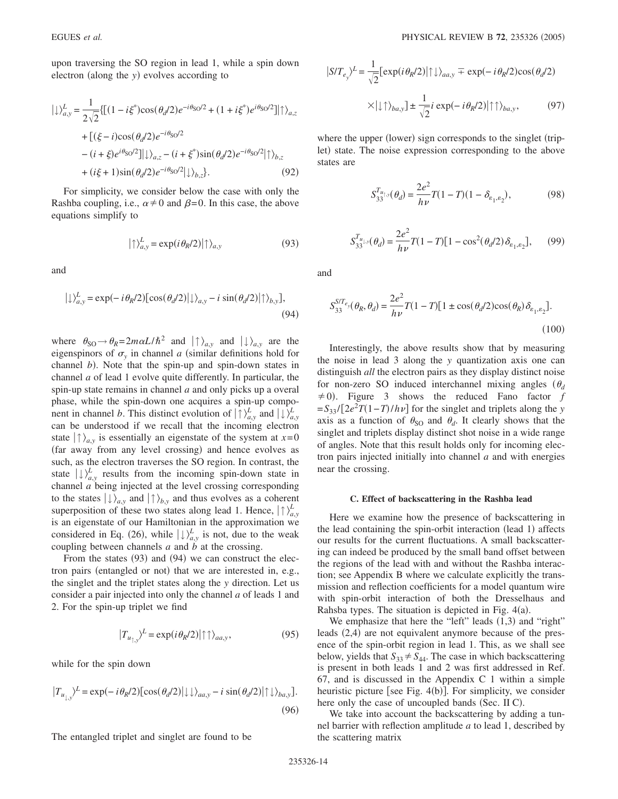upon traversing the SO region in lead 1, while a spin down electron (along the *y*) evolves according to

$$
|\!\!\downarrow\rangle_{a,y}^{L} = \frac{1}{2\sqrt{2}} \{ [(1 - i\xi^*)\cos(\theta_d/2)e^{-i\theta_{\rm SO}/2} + (1 + i\xi^*)e^{i\theta_{\rm SO}/2}]\!\!\uparrow\rangle_{a,z} \n+ [(\xi - i)\cos(\theta_d/2)e^{-i\theta_{\rm SO}/2} \n- (i + \xi)e^{i\theta_{\rm SO}/2}]\!\!\downarrow\rangle_{a,z} - (i + \xi^*)\sin(\theta_d/2)e^{-i\theta_{\rm SO}/2}|\!\!\uparrow\rangle_{b,z} \n+ (i\xi + 1)\sin(\theta_d/2)e^{-i\theta_{\rm SO}/2}|\!\!\downarrow\rangle_{b,z} \}. \tag{92}
$$

For simplicity, we consider below the case with only the Rashba coupling, i.e.,  $\alpha \neq 0$  and  $\beta = 0$ . In this case, the above equations simplify to

$$
|\!\uparrow\rangle_{a,y}^L = \exp(i\theta_R/2)|\!\uparrow\rangle_{a,y} \tag{93}
$$

and

$$
|\!\downarrow\rangle_{a,y}^{L} = \exp(-i\theta_R/2)[\cos(\theta_d/2)|\!\downarrow\rangle_{a,y} - i\sin(\theta_d/2)|\!\uparrow\rangle_{b,y}],
$$
\n(94)

where  $\theta_{SO} \rightarrow \theta_R = 2m\alpha L/\hbar^2$  and  $|\uparrow\rangle_{a,y}$  and  $|\downarrow\rangle_{a,y}$  are the eigenspinors of  $\sigma_{v}$  in channel *a* (similar definitions hold for channel  $b$ ). Note that the spin-up and spin-down states in channel *a* of lead 1 evolve quite differently. In particular, the spin-up state remains in channel *a* and only picks up a overal phase, while the spin-down one acquires a spin-up component in channel *b*. This distinct evolution of  $| \uparrow \rangle_{a,y}^L$  and  $| \downarrow \rangle_{a,y}^L$ can be understood if we recall that the incoming electron state  $| \uparrow \rangle_{a,y}$  is essentially an eigenstate of the system at  $x=0$ (far away from any level crossing) and hence evolves as such, as the electron traverses the SO region. In contrast, the state  $| \downarrow \rangle_{a,y}^L$  results from the incoming spin-down state in channel *a* being injected at the level crossing corresponding to the states  $| \downarrow \rangle_{a,y}$  and  $| \uparrow \rangle_{b,y}$  and thus evolves as a coherent superposition of these two states along lead 1. Hence,  $|\uparrow\rangle_{a,y}^L$ is an eigenstate of our Hamiltonian in the approximation we considered in Eq. (26), while  $|\downarrow\rangle_{a,y}^{L}$  is not, due to the weak coupling between channels *a* and *b* at the crossing.

From the states (93) and (94) we can construct the electron pairs (entangled or not) that we are interested in, e.g., the singlet and the triplet states along the *y* direction. Let us consider a pair injected into only the channel *a* of leads 1 and 2. For the spin-up triplet we find

$$
|T_{u_{\uparrow,y}}\rangle^L = \exp(i\theta_R/2)|\uparrow\uparrow\rangle_{aa,y},\tag{95}
$$

while for the spin down

$$
|T_{u_{\downarrow,y}}\rangle^L = \exp(-i\theta_R/2)[\cos(\theta_d/2)|\downarrow\downarrow\rangle_{aa,y} - i\sin(\theta_d/2)|\uparrow\downarrow\rangle_{ba,y}].
$$
\n(96)

The entangled triplet and singlet are found to be

$$
|S/T_{e_y}\rangle^L = \frac{1}{\sqrt{2}} [\exp(i\theta_R/2)|\uparrow\downarrow\rangle_{aa,y} \mp \exp(-i\theta_R/2)\cos(\theta_d/2)
$$

$$
\times |\downarrow\uparrow\rangle_{ba,y}] \pm \frac{1}{\sqrt{2}} i \exp(-i\theta_R/2)|\uparrow\uparrow\rangle_{ba,y}, \tag{97}
$$

where the upper (lower) sign corresponds to the singlet (triplet) state. The noise expression corresponding to the above states are

$$
S_{33}^{T_{u_{1},v}}(\theta_d) = \frac{2e^2}{h\nu}T(1-T)(1-\delta_{\varepsilon_1,\varepsilon_2}),\tag{98}
$$

$$
S_{33}^{T_{u_{\downarrow,v}}}(\theta_d) = \frac{2e^2}{h\nu}T(1-T)[1-\cos^2(\theta_d/2)\delta_{\varepsilon_1,\varepsilon_2}],\qquad(99)
$$

and

$$
S_{33}^{ST_{e_y}}(\theta_R, \theta_d) = \frac{2e^2}{h\nu}T(1 - T)[1 \pm \cos(\theta_d/2)\cos(\theta_R)\delta_{e_1, e_2}].
$$
\n(100)

Interestingly, the above results show that by measuring the noise in lead 3 along the *y* quantization axis one can distinguish *all* the electron pairs as they display distinct noise for non-zero SO induced interchannel mixing angles  $(\theta_d)$  $\neq$  0). Figure 3 shows the reduced Fano factor *f*  $=S_{33}/[2e^{2}T(1-T)/h\nu]$  for the singlet and triplets along the *y* axis as a function of  $\theta_{SO}$  and  $\theta_d$ . It clearly shows that the singlet and triplets display distinct shot noise in a wide range of angles. Note that this result holds only for incoming electron pairs injected initially into channel *a* and with energies near the crossing.

#### **C. Effect of backscattering in the Rashba lead**

Here we examine how the presence of backscattering in the lead containing the spin-orbit interaction (lead 1) affects our results for the current fluctuations. A small backscattering can indeed be produced by the small band offset between the regions of the lead with and without the Rashba interaction; see Appendix B where we calculate explicitly the transmission and reflection coefficients for a model quantum wire with spin-orbit interaction of both the Dresselhaus and Rahsba types. The situation is depicted in Fig.  $4(a)$ .

We emphasize that here the "left" leads  $(1,3)$  and "right" leads (2,4) are not equivalent anymore because of the presence of the spin-orbit region in lead 1. This, as we shall see below, yields that  $S_{33} \neq S_{44}$ . The case in which backscattering is present in both leads 1 and 2 was first addressed in Ref. 67, and is discussed in the Appendix C 1 within a simple heuristic picture [see Fig. 4(b)]. For simplicity, we consider here only the case of uncoupled bands (Sec. II C).

We take into account the backscattering by adding a tunnel barrier with reflection amplitude *a* to lead 1, described by the scattering matrix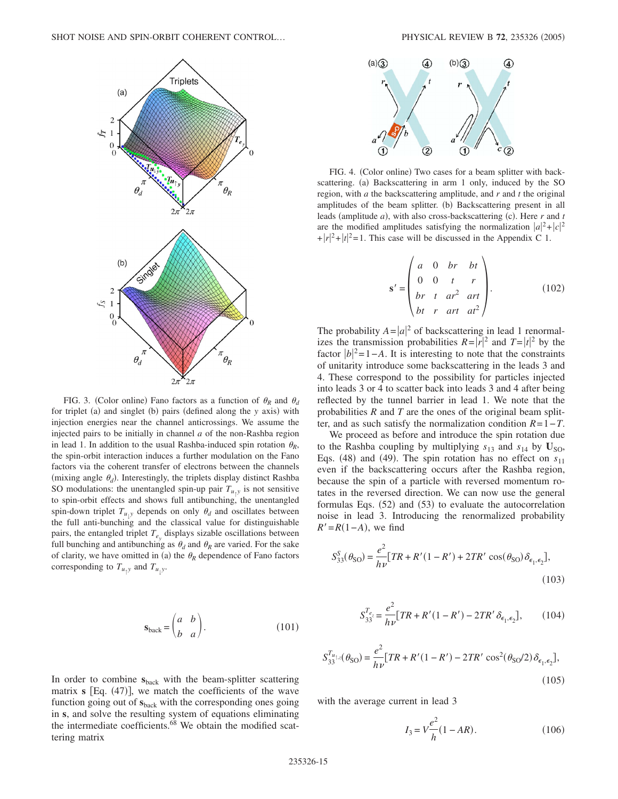

FIG. 3. (Color online) Fano factors as a function of  $\theta_R$  and  $\theta_d$ for triplet (a) and singlet (b) pairs (defined along the *y* axis) with injection energies near the channel anticrossings. We assume the injected pairs to be initially in channel *a* of the non-Rashba region in lead 1. In addition to the usual Rashba-induced spin rotation  $\theta_R$ , the spin-orbit interaction induces a further modulation on the Fano factors via the coherent transfer of electrons between the channels (mixing angle  $\theta_d$ ). Interestingly, the triplets display distinct Rashba SO modulations: the unentangled spin-up pair  $T_{u<sub>γ</sub>y}$  is not sensitive to spin-orbit effects and shows full antibunching, the unentangled spin-down triplet  $T_{u_1y}$  depends on only  $\theta_d$  and oscillates between the full anti-bunching and the classical value for distinguishable pairs, the entangled triplet  $T_{e_y}$  displays sizable oscillations between full bunching and antibunching as  $\theta_d$  and  $\theta_R$  are varied. For the sake of clarity, we have omitted in (a) the  $\theta_R$  dependence of Fano factors corresponding to  $T_{u_1y}$  and  $T_{u_1y}$ .

$$
\mathbf{s}_{\text{back}} = \begin{pmatrix} a & b \\ b & a \end{pmatrix} . \tag{101}
$$

In order to combine **s**back with the beam-splitter scattering matrix  $s$  [Eq.  $(47)$ ], we match the coefficients of the wave function going out of **s**back with the corresponding ones going in **s**, and solve the resulting system of equations eliminating the intermediate coefficients.<sup>68</sup> We obtain the modified scattering matrix



FIG. 4. (Color online) Two cases for a beam splitter with backscattering. (a) Backscattering in arm 1 only, induced by the SO region, with *a* the backscattering amplitude, and *r* and *t* the original amplitudes of the beam splitter. (b) Backscattering present in all leads (amplitude *a*), with also cross-backscattering (c). Here *r* and *t* are the modified amplitudes satisfying the normalization  $|a|^2 + |c|^2$  $+|r|^2+|t|^2=1$ . This case will be discussed in the Appendix C 1.

$$
\mathbf{s}' = \begin{pmatrix} a & 0 & br & bt \\ 0 & 0 & t & r \\ br & t & ar^2 & art \\ bt & r & art & at^2 \end{pmatrix} . \tag{102}
$$

The probability  $A = |a|^2$  of backscattering in lead 1 renormalizes the transmission probabilities  $R = |r|^2$  and  $T = |t|^2$  by the factor  $|b|^2 = 1 - A$ . It is interesting to note that the constraints of unitarity introduce some backscattering in the leads 3 and 4. These correspond to the possibility for particles injected into leads 3 or 4 to scatter back into leads 3 and 4 after being reflected by the tunnel barrier in lead 1. We note that the probabilities *R* and *T* are the ones of the original beam splitter, and as such satisfy the normalization condition *R*=1−*T*.

We proceed as before and introduce the spin rotation due to the Rashba coupling by multiplying  $s_{13}$  and  $s_{14}$  by  $\mathbf{U}_{\text{SO}}$ , Eqs. (48) and (49). The spin rotation has no effect on  $s_{11}$ even if the backscattering occurs after the Rashba region, because the spin of a particle with reversed momentum rotates in the reversed direction. We can now use the general formulas Eqs.  $(52)$  and  $(53)$  to evaluate the autocorrelation noise in lead 3. Introducing the renormalized probability  $R' = R(1-A)$ , we find

$$
S_{33}^S(\theta_{\text{SO}}) = \frac{e^2}{h\nu} [TR + R'(1 - R') + 2TR' \cos(\theta_{\text{SO}}) \delta_{\epsilon_1, \epsilon_2}],
$$
\n(103)

$$
S_{33}^{T_e} = \frac{e^2}{h\nu} [TR + R'(1 - R') - 2TR' \delta_{\epsilon_1, \epsilon_2}], \qquad (104)
$$

$$
S_{33}^{T_{u_{1,c}}}(\theta_{\text{SO}}) = \frac{e^2}{h\nu} [TR + R'(1 - R') - 2TR'\cos^2(\theta_{\text{SO}}/2)\delta_{\epsilon_1, \epsilon_2}],
$$
\n(105)

with the average current in lead 3

$$
I_3 = V \frac{e^2}{h} (1 - AR). \tag{106}
$$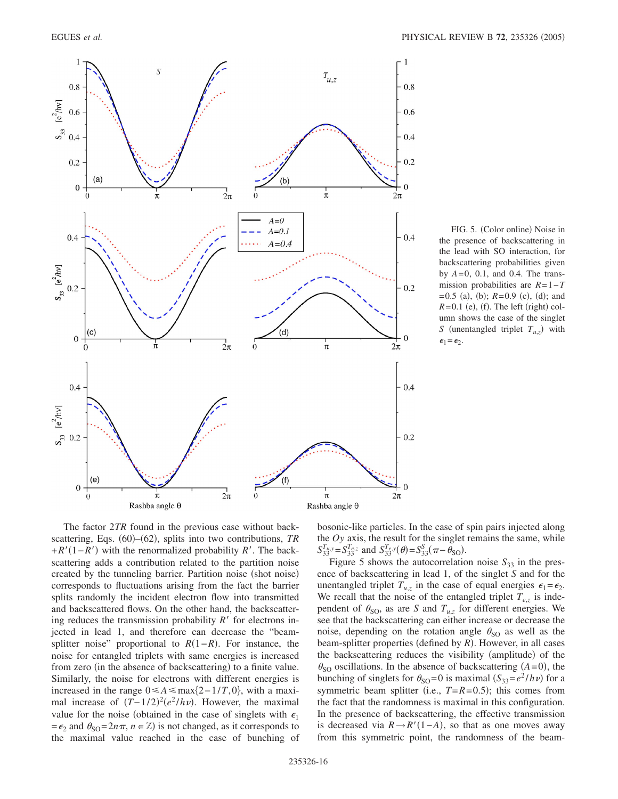

FIG. 5. (Color online) Noise in the presence of backscattering in the lead with SO interaction, for backscattering probabilities given by *A*=0, 0.1, and 0.4. The transmission probabilities are *R*=1−*T*  $=0.5$  (a), (b);  $R=0.9$  (c), (d); and  $R=0.1$  (e), (f). The left (right) column shows the case of the singlet *S* (unentangled triplet  $T_{u,z}$ ) with  $\epsilon_1=\epsilon_2$ .

The factor 2*TR* found in the previous case without backscattering, Eqs. (60)–(62), splits into two contributions, TR +*R*'(1−*R*') with the renormalized probability *R*'. The backscattering adds a contribution related to the partition noise created by the tunneling barrier. Partition noise (shot noise) corresponds to fluctuations arising from the fact the barrier splits randomly the incident electron flow into transmitted and backscattered flows. On the other hand, the backscattering reduces the transmission probability  $R'$  for electrons injected in lead 1, and therefore can decrease the "beamsplitter noise" proportional to  $R(1-R)$ . For instance, the noise for entangled triplets with same energies is increased from zero (in the absence of backscattering) to a finite value. Similarly, the noise for electrons with different energies is increased in the range  $0 \le A \le \max\{2-1/T, 0\}$ , with a maximal increase of  $(T-1/2)^2(e^2/h\nu)$ . However, the maximal value for the noise (obtained in the case of singlets with  $\epsilon_1$  $=\epsilon_2$  and  $\theta_{\text{SO}} = 2n\pi$ ,  $n \in \mathbb{Z}$ ) is not changed, as it corresponds to the maximal value reached in the case of bunching of bosonic-like particles. In the case of spin pairs injected along the *Oy* axis, the result for the singlet remains the same, while  $S_{33}^{T_{u,y}} = S_{33}^{T_{e,z}}$  and  $S_{33}^{T_{e,y}}(\theta) = S_{33}^{S}(\pi - \theta_{SO})$ .

Figure 5 shows the autocorrelation noise  $S_{33}$  in the presence of backscattering in lead 1, of the singlet *S* and for the unentangled triplet  $T_{u,z}$  in the case of equal energies  $\epsilon_1 = \epsilon_2$ . We recall that the noise of the entangled triplet  $T_{e,z}$  is independent of  $\theta_{\text{SO}}$ , as are *S* and  $T_{u,z}$  for different energies. We see that the backscattering can either increase or decrease the noise, depending on the rotation angle  $\theta_{SO}$  as well as the beam-splitter properties (defined by *R*). However, in all cases the backscattering reduces the visibility (amplitude) of the  $\theta_{SO}$  oscillations. In the absence of backscattering  $(A=0)$ , the bunching of singlets for  $\theta_{\text{SO}}=0$  is maximal  $(S_{33}=e^2/h\nu)$  for a symmetric beam splitter (i.e.,  $T=R=0.5$ ); this comes from the fact that the randomness is maximal in this configuration. In the presence of backscattering, the effective transmission is decreased via  $R \rightarrow R'(1-A)$ , so that as one moves away from this symmetric point, the randomness of the beam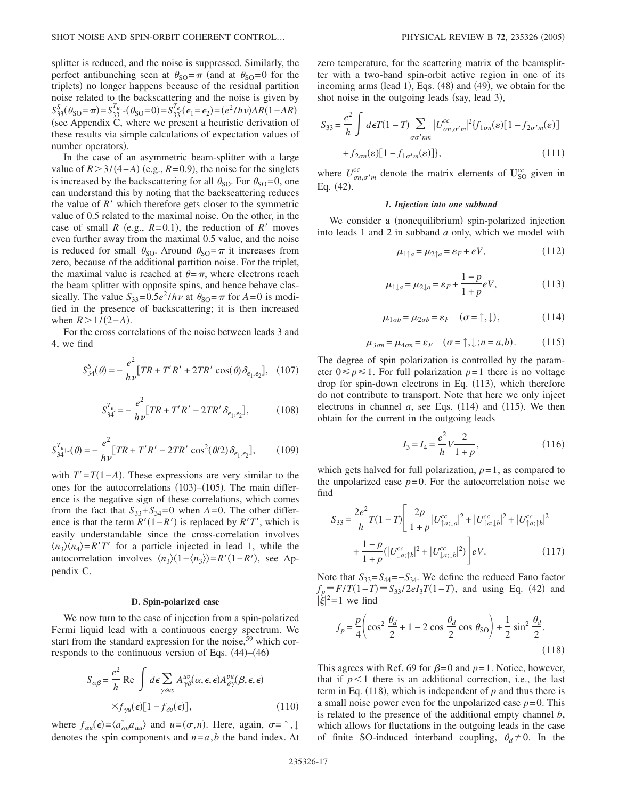splitter is reduced, and the noise is suppressed. Similarly, the perfect antibunching seen at  $\theta_{\text{SO}} = \pi$  (and at  $\theta_{\text{SO}} = 0$  for the triplets) no longer happens because of the residual partition noise related to the backscattering and the noise is given by  $S_{33}^S(\theta_{\text{SO}} = \pi) = S_{33}^{T_{u_{1}}z}(\theta_{\text{SO}} = 0) = S_{33}^{T_{e}}(\epsilon_1 = \epsilon_2) = (e^2/hv)AR(1 - AR)$ (see Appendix  $\tilde{C}$ , where we present a heuristic derivation of these results via simple calculations of expectation values of number operators).

In the case of an asymmetric beam-splitter with a large value of  $R > 3/(4-A)$  (e.g.,  $R=0.9$ ), the noise for the singlets is increased by the backscattering for all  $\theta_{\text{SO}}$ . For  $\theta_{\text{SO}}=0$ , one can understand this by noting that the backscattering reduces the value of  $R'$  which therefore gets closer to the symmetric value of 0.5 related to the maximal noise. On the other, in the case of small *R* (e.g.,  $R=0.1$ ), the reduction of *R'* moves even further away from the maximal 0.5 value, and the noise is reduced for small  $\theta_{\text{SO}}$ . Around  $\theta_{\text{SO}} = \pi$  it increases from zero, because of the additional partition noise. For the triplet, the maximal value is reached at  $\theta = \pi$ , where electrons reach the beam splitter with opposite spins, and hence behave classically. The value  $S_{33}=0.5e^2/h\nu$  at  $\theta_{SO}=\pi$  for  $A=0$  is modified in the presence of backscattering; it is then increased when  $R > 1/(2-A)$ .

For the cross correlations of the noise between leads 3 and 4, we find

$$
S_{34}^S(\theta) = -\frac{e^2}{h\nu} [TR + T'R' + 2TR'\cos(\theta)\delta_{\epsilon_1, \epsilon_2}], \quad (107)
$$

$$
S_{34}^{T_e} = -\frac{e^2}{h\nu} [TR + T'R' - 2TR'\delta_{\epsilon_1, \epsilon_2}], \qquad (108)
$$

$$
S_{34}^{T_{\mu}}(\theta) = -\frac{e^2}{h\nu} [TR + T'R' - 2TR'\cos^2(\theta/2)\delta_{\epsilon_1, \epsilon_2}],
$$
 (109)

with  $T' = T(1-A)$ . These expressions are very similar to the ones for the autocorrelations  $(103)$ – $(105)$ . The main difference is the negative sign of these correlations, which comes from the fact that  $S_{33} + S_{34} = 0$  when  $A = 0$ . The other difference is that the term  $R'(1 - R')$  is replaced by  $R'T'$ , which is easily understandable since the cross-correlation involves  $\langle n_3 \rangle \langle n_4 \rangle = R'T'$  for a particle injected in lead 1, while the autocorrelation involves  $\langle n_3 \rangle (1 - \langle n_3 \rangle) = R'(1 - R')$ , see Appendix C.

### **D. Spin-polarized case**

We now turn to the case of injection from a spin-polarized Fermi liquid lead with a continuous energy spectrum. We start from the standard expression for the noise,<sup>59</sup> which corresponds to the continuous version of Eqs.  $(44)$ – $(46)$ 

$$
S_{\alpha\beta} = \frac{e^2}{h} \text{ Re } \int d\epsilon \sum_{\gamma \delta uv} A_{\gamma \delta}^{uv}(\alpha, \epsilon, \epsilon) A_{\delta \gamma}^{vu}(\beta, \epsilon, \epsilon)
$$

$$
\times f_{\gamma u}(\epsilon) [1 - f_{\delta v}(\epsilon)], \qquad (110)
$$

where  $f_{\alpha u}(\epsilon) = \langle a_{\alpha u}^{\dagger} a_{\alpha u} \rangle$  and  $u = (\sigma, n)$ . Here, again,  $\sigma = \uparrow, \downarrow$ denotes the spin components and  $n=a$ , *b* the band index. At zero temperature, for the scattering matrix of the beamsplitter with a two-band spin-orbit active region in one of its incoming arms (lead 1), Eqs. (48) and (49), we obtain for the shot noise in the outgoing leads (say, lead 3),

$$
S_{33} = \frac{e^2}{h} \int d\epsilon T (1 - T) \sum_{\sigma\sigma' n m} |U_{\sigma n,\sigma' m}^{cc}|^2 \{f_{1\sigma n}(\epsilon)[1 - f_{2\sigma' m}(\epsilon)]
$$
  
+  $f_{2\sigma n}(\epsilon)[1 - f_{1\sigma' m}(\epsilon)]\},$  (111)

where  $U_{\sigma n,\sigma' m}^{cc}$  denote the matrix elements of  $U_{\text{SO}}^{cc}$  given in Eq.  $(42)$ .

#### *1. Injection into one subband*

We consider a (nonequilibrium) spin-polarized injection into leads 1 and 2 in subband *a* only, which we model with

$$
\mu_{1\uparrow a} = \mu_{2\uparrow a} = \varepsilon_F + eV,\tag{112}
$$

$$
\mu_{1\downarrow a} = \mu_{2\downarrow a} = \varepsilon_F + \frac{1 - p}{1 + p} eV,\tag{113}
$$

$$
\mu_{1\sigma b} = \mu_{2\sigma b} = \varepsilon_F \quad (\sigma = \uparrow, \downarrow), \tag{114}
$$

$$
\mu_{3\sigma n} = \mu_{4\sigma n} = \varepsilon_F \quad (\sigma = \uparrow, \downarrow; n = a, b). \tag{115}
$$

The degree of spin polarization is controlled by the parameter  $0 \le p \le 1$ . For full polarization  $p=1$  there is no voltage drop for spin-down electrons in Eq. (113), which therefore do not contribute to transport. Note that here we only inject electrons in channel  $a$ , see Eqs.  $(114)$  and  $(115)$ . We then obtain for the current in the outgoing leads

$$
I_3 = I_4 = \frac{e^2}{h} V \frac{2}{1+p},
$$
\n(116)

which gets halved for full polarization,  $p=1$ , as compared to the unpolarized case  $p=0$ . For the autocorrelation noise we find

$$
S_{33} = \frac{2e^2}{h} T(1 - T) \left[ \frac{2p}{1 + p} |U^{cc}_{\uparrow a;\downarrow a}|^2 + |U^{cc}_{\uparrow a;\downarrow b}|^2 + |U^{cc}_{\uparrow a;\uparrow b}|^2 + \frac{1 - p}{1 + p} (|U^{cc}_{\downarrow a;\uparrow b}|^2 + |U^{cc}_{\downarrow a;\downarrow b}|^2) \right] eV.
$$
 (117)

Note that  $S_{33}=S_{44}=-S_{34}$ . We define the reduced Fano factor  $f_p \equiv F/T(1-T) \equiv S_{33}/2eI_3T(1-T)$ , and using Eq. (42) and  $|\dot{\xi}|^2$ =1 we find

$$
f_p = \frac{p}{4} \left( \cos^2 \frac{\theta_d}{2} + 1 - 2 \cos \frac{\theta_d}{2} \cos \theta_{\text{SO}} \right) + \frac{1}{2} \sin^2 \frac{\theta_d}{2}.
$$
\n(118)

This agrees with Ref. 69 for  $\beta = 0$  and  $p = 1$ . Notice, however, that if  $p<1$  there is an additional correction, i.e., the last term in Eq.  $(118)$ , which is independent of  $p$  and thus there is a small noise power even for the unpolarized case *p*=0. This is related to the presence of the additional empty channel *b*, which allows for fluctations in the outgoing leads in the case of finite SO-induced interband coupling,  $\theta_d \neq 0$ . In the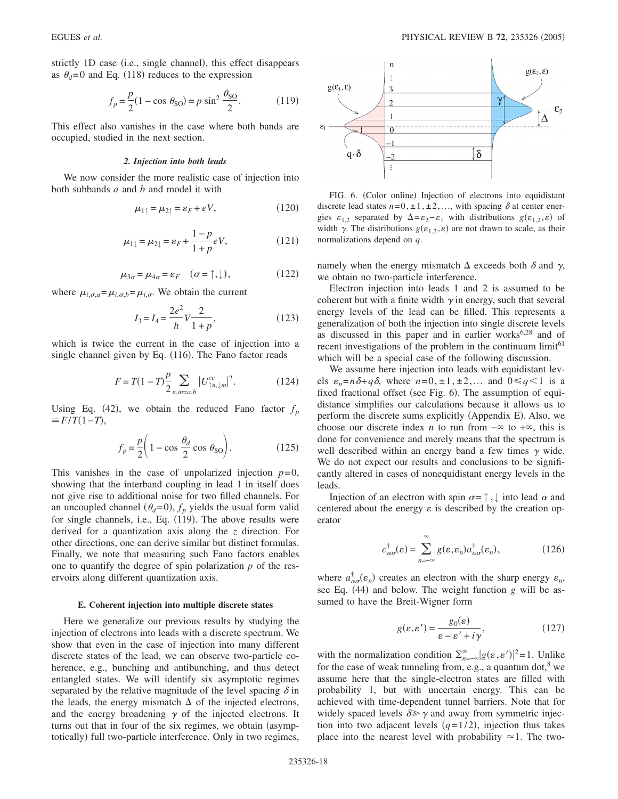strictly 1D case (i.e., single channel), this effect disappears as  $\theta_d = 0$  and Eq. (118) reduces to the expression

$$
f_p = \frac{p}{2}(1 - \cos \theta_{\text{SO}}) = p \sin^2 \frac{\theta_{\text{SO}}}{2}.
$$
 (119)

This effect also vanishes in the case where both bands are occupied, studied in the next section.

### *2. Injection into both leads*

We now consider the more realistic case of injection into both subbands *a* and *b* and model it with

$$
\mu_{1\uparrow} = \mu_{2\uparrow} = \varepsilon_F + eV,\tag{120}
$$

$$
\mu_{1\downarrow} = \mu_{2\downarrow} = \varepsilon_F + \frac{1-p}{1+p}eV,\tag{121}
$$

$$
\mu_{3\sigma} = \mu_{4\sigma} = \varepsilon_F \quad (\sigma = \uparrow, \downarrow), \tag{122}
$$

where  $\mu_{i,\sigma,a} = \mu_{i,\sigma,b} = \mu_{i,\sigma}$ . We obtain the current

$$
I_3 = I_4 = \frac{2e^2}{h} V \frac{2}{1+p},
$$
\n(123)

which is twice the current in the case of injection into a single channel given by Eq. (116). The Fano factor reads

$$
F = T(1 - T) \frac{p}{2} \sum_{n,m=a,b} |U_{\uparrow n,\downarrow m}^{cc}|^2.
$$
 (124)

Using Eq. (42), we obtain the reduced Fano factor  $f_p$  $\equiv$ *F*/*T*(1-*T*),

$$
f_p = \frac{p}{2} \left( 1 - \cos \frac{\theta_d}{2} \cos \theta_{\text{SO}} \right). \tag{125}
$$

This vanishes in the case of unpolarized injection  $p=0$ , showing that the interband coupling in lead 1 in itself does not give rise to additional noise for two filled channels. For an uncoupled channel  $(\theta_d=0)$ ,  $f_p$  yields the usual form valid for single channels, i.e., Eq. (119). The above results were derived for a quantization axis along the *z* direction. For other directions, one can derive similar but distinct formulas. Finally, we note that measuring such Fano factors enables one to quantify the degree of spin polarization *p* of the reservoirs along different quantization axis.

### **E. Coherent injection into multiple discrete states**

Here we generalize our previous results by studying the injection of electrons into leads with a discrete spectrum. We show that even in the case of injection into many different discrete states of the lead, we can observe two-particle coherence, e.g., bunching and antibunching, and thus detect entangled states. We will identify six asymptotic regimes separated by the relative magnitude of the level spacing  $\delta$  in the leads, the energy mismatch  $\Delta$  of the injected electrons, and the energy broadening  $\gamma$  of the injected electrons. It turns out that in four of the six regimes, we obtain (asymptotically) full two-particle interference. Only in two regimes,



FIG. 6. (Color online) Injection of electrons into equidistant discrete lead states  $n=0, \pm 1, \pm 2,...$ , with spacing  $\delta$  at center energies  $\varepsilon_{1,2}$  separated by  $\Delta = \varepsilon_2 - \varepsilon_1$  with distributions  $g(\varepsilon_{1,2}, \varepsilon)$  of width  $\gamma$ . The distributions  $g(\varepsilon_{1,2}, \varepsilon)$  are not drawn to scale, as their normalizations depend on *q*.

namely when the energy mismatch  $\Delta$  exceeds both  $\delta$  and  $\gamma$ , we obtain no two-particle interference.

Electron injection into leads 1 and 2 is assumed to be coherent but with a finite width  $\gamma$  in energy, such that several energy levels of the lead can be filled. This represents a generalization of both the injection into single discrete levels as discussed in this paper and in earlier works<sup>6,28</sup> and of recent investigations of the problem in the continuum limit<sup>61</sup> which will be a special case of the following discussion.

We assume here injection into leads with equidistant levels  $\varepsilon_n = n\delta + q\delta$ , where  $n=0, \pm 1, \pm 2,...$  and  $0 \le q < 1$  is a fixed fractional offset (see Fig. 6). The assumption of equidistance simplifies our calculations because it allows us to perform the discrete sums explicitly (Appendix E). Also, we choose our discrete index *n* to run from  $-\infty$  to  $+\infty$ , this is done for convenience and merely means that the spectrum is well described within an energy band a few times  $\gamma$  wide. We do not expect our results and conclusions to be significantly altered in cases of nonequidistant energy levels in the leads.

Injection of an electron with spin  $\sigma = \uparrow$ ,  $\downarrow$  into lead  $\alpha$  and centered about the energy  $\varepsilon$  is described by the creation operator

$$
c_{\alpha\sigma}^{\dagger}(\varepsilon) = \sum_{n=-\infty}^{\infty} g(\varepsilon, \varepsilon_n) a_{\alpha\sigma}^{\dagger}(\varepsilon_n), \qquad (126)
$$

where  $a_{\alpha\sigma}^{\dagger}(\varepsilon_n)$  creates an electron with the sharp energy  $\varepsilon_n$ , see Eq. (44) and below. The weight function *g* will be assumed to have the Breit-Wigner form

$$
g(\varepsilon, \varepsilon') = \frac{g_0(\varepsilon)}{\varepsilon - \varepsilon' + i\gamma},\tag{127}
$$

with the normalization condition  $\sum_{n=-\infty}^{\infty} |g(\varepsilon, \varepsilon')|^2 = 1$ . Unlike for the case of weak tunneling from, e.g., a quantum dot,  $8$  we assume here that the single-electron states are filled with probability 1, but with uncertain energy. This can be achieved with time-dependent tunnel barriers. Note that for widely spaced levels  $\delta \gg \gamma$  and away from symmetric injection into two adjacent levels  $(q=1/2)$ , injection thus takes place into the nearest level with probability  $\approx$  1. The two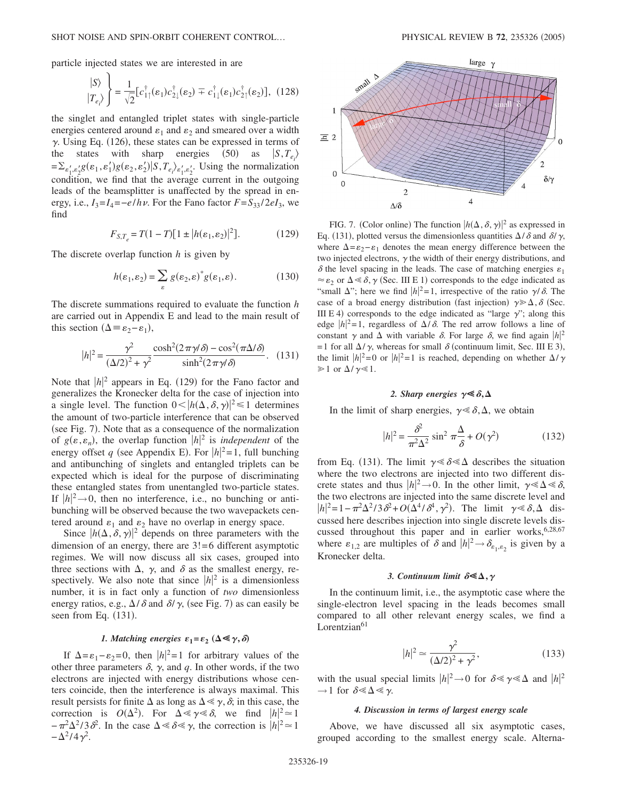particle injected states we are interested in are

$$
\begin{aligned}\n|S\rangle \\
|T_{e_i}\rangle\n\end{aligned}\n=\frac{1}{\sqrt{2}}[c_{1\uparrow}^{\dagger}(\varepsilon_1)c_{2\downarrow}^{\dagger}(\varepsilon_2) \mp c_{1\downarrow}^{\dagger}(\varepsilon_1)c_{2\uparrow}^{\dagger}(\varepsilon_2)], (128)
$$

the singlet and entangled triplet states with single-particle energies centered around  $\varepsilon_1$  and  $\varepsilon_2$  and smeared over a width  $\gamma$ . Using Eq. (126), these states can be expressed in terms of the states with sharp energies (50) as  $|S, T_{e_i}|$  $|S,T_e\rangle$  $=\sum_{\epsilon'_1,\epsilon'_2} g(\epsilon_1,\epsilon'_1)g(\epsilon_2,\epsilon'_2) | S, T_{\epsilon'_i}\rangle_{\epsilon'_1,\epsilon'_2}.$  Using the normalization condition, we find that the average current in the outgoing leads of the beamsplitter is unaffected by the spread in energy, i.e.,  $I_3 = I_4 = -e/hv$ . For the Fano factor  $F = S_{33} / 2eI_3$ , we find

$$
F_{S,T_e} = T(1-T)[1 \pm |h(\varepsilon_1, \varepsilon_2)|^2]. \tag{129}
$$

The discrete overlap function *h* is given by

$$
h(\varepsilon_1, \varepsilon_2) = \sum_{\varepsilon} g(\varepsilon_2, \varepsilon)^* g(\varepsilon_1, \varepsilon).
$$
 (130)

The discrete summations required to evaluate the function *h* are carried out in Appendix E and lead to the main result of this section  $(\Delta = \varepsilon_2 - \varepsilon_1)$ ,

$$
|h|^2 = \frac{\gamma^2}{(\Delta/2)^2 + \gamma^2} \frac{\cosh^2(2\pi\gamma/\delta) - \cos^2(\pi\Delta/\delta)}{\sinh^2(2\pi\gamma/\delta)}.
$$
 (131)

Note that  $|h|^2$  appears in Eq. (129) for the Fano factor and generalizes the Kronecker delta for the case of injection into a single level. The function  $0 < |h(\Delta, \delta, \gamma)|^2 \le 1$  determines the amount of two-particle interference that can be observed (see Fig. 7). Note that as a consequence of the normalization of  $g(\varepsilon, \varepsilon_n)$ , the overlap function  $|h|^2$  is *independent* of the energy offset *q* (see Appendix E). For  $|h|^2 = 1$ , full bunching and antibunching of singlets and entangled triplets can be expected which is ideal for the purpose of discriminating these entangled states from unentangled two-particle states. If  $|h|^2 \rightarrow 0$ , then no interference, i.e., no bunching or antibunching will be observed because the two wavepackets centered around  $\varepsilon_1$  and  $\varepsilon_2$  have no overlap in energy space.

Since  $|h(\Delta, \delta, \gamma)|^2$  depends on three parameters with the dimension of an energy, there are 3!=6 different asymptotic regimes. We will now discuss all six cases, grouped into three sections with  $\Delta$ ,  $\gamma$ , and  $\delta$  as the smallest energy, respectively. We also note that since  $|h|^2$  is a dimensionless number, it is in fact only a function of *two* dimensionless energy ratios, e.g.,  $\Delta/\delta$  and  $\delta/\gamma$ , (see Fig. 7) as can easily be seen from Eq. (131).

# *1. Matching energies*  $\varepsilon_1 = \varepsilon_2 \ (\Delta \ll \gamma, \delta)$

If  $\Delta = \varepsilon_1 - \varepsilon_2 = 0$ , then  $|h|^2 = 1$  for arbitrary values of the other three parameters  $\delta$ ,  $\gamma$ , and q. In other words, if the two electrons are injected with energy distributions whose centers coincide, then the interference is always maximal. This result persists for finite  $\Delta$  as long as  $\Delta \ll \gamma$ ,  $\delta$ ; in this case, the correction is  $O(\Delta^2)$ . For  $\Delta \ll \gamma \ll \delta$ , we find  $|h|^2 \approx 1$  $-\pi^2\Delta^2/3\delta^2$ . In the case  $\Delta \le \delta \le \gamma$ , the correction is  $|h|^2 \approx 1$  $-\Delta^2/4\gamma^2$ .



FIG. 7. (Color online) The function  $|h(\Delta, \delta, \gamma)|^2$  as expressed in Eq. (131), plotted versus the dimensionless quantities  $\Delta/\delta$  and  $\delta/\gamma$ , where  $\Delta = \varepsilon_2 - \varepsilon_1$  denotes the mean energy difference between the two injected electrons,  $\gamma$  the width of their energy distributions, and  $\delta$  the level spacing in the leads. The case of matching energies  $\varepsilon_1$  $\approx \varepsilon_2$  or  $\Delta \ll \delta$ ,  $\gamma$  (Sec. III E 1) corresponds to the edge indicated as "small  $\Delta$ "; here we find  $|h|^2 = 1$ , irrespective of the ratio  $\gamma/\delta$ . The case of a broad energy distribution (fast injection)  $\gamma \gg \Delta$ ,  $\delta$  (Sec. III E 4) corresponds to the edge indicated as "large  $\gamma$ "; along this edge  $|h|^2 = 1$ , regardless of  $\Delta/\delta$ . The red arrow follows a line of constant  $\gamma$  and  $\Delta$  with variable  $\delta$ . For large  $\delta$ , we find again  $|h|^2$ = 1 for all  $\Delta/\gamma$ , whereas for small  $\delta$  (continuum limit, Sec. III E 3), the limit  $|h|^2 = 0$  or  $|h|^2 = 1$  is reached, depending on whether  $\Delta/\gamma$  $\geq 1$  or  $\Delta/\gamma \ll 1$ .

## 2. Sharp energies  $\gamma \leq \delta, \Delta$

In the limit of sharp energies,  $\gamma \ll \delta$ ,  $\Delta$ , we obtain

$$
|h|^2 = \frac{\delta^2}{\pi^2 \Delta^2} \sin^2 \pi \frac{\Delta}{\delta} + O(\gamma^2)
$$
 (132)

from Eq. (131). The limit  $\gamma \ll \delta \ll \Delta$  describes the situation where the two electrons are injected into two different discrete states and thus  $|h|^2 \rightarrow 0$ . In the other limit,  $\gamma \ll \Delta \ll \delta$ , the two electrons are injected into the same discrete level and  $|h|^2 = 1 - \pi^2 \Delta^2 / 3 \delta^2 + O(\Delta^4 / \delta^4, \gamma^2)$ . The limit  $\gamma \ll \delta, \Delta$  discussed here describes injection into single discrete levels discussed throughout this paper and in earlier works,  $6,28,67$ where  $\varepsilon_{1,2}$  are multiples of  $\delta$  and  $|h|^2 \rightarrow \delta_{\varepsilon_1,\varepsilon_2}$  is given by a Kronecker delta.

## 3. Continuum limit  $\delta \leq \Delta$ ,  $\gamma$

In the continuum limit, i.e., the asymptotic case where the single-electron level spacing in the leads becomes small compared to all other relevant energy scales, we find a Lorentzian<sup>61</sup>

$$
|h|^2 \simeq \frac{\gamma^2}{(\Delta/2)^2 + \gamma^2},\tag{133}
$$

with the usual special limits  $|h|^2 \to 0$  for  $\delta \ll \gamma \ll \Delta$  and  $|h|^2$  $\rightarrow$  1 for  $\delta \ll \Delta \ll \gamma$ .

#### *4. Discussion in terms of largest energy scale*

Above, we have discussed all six asymptotic cases, grouped according to the smallest energy scale. Alterna-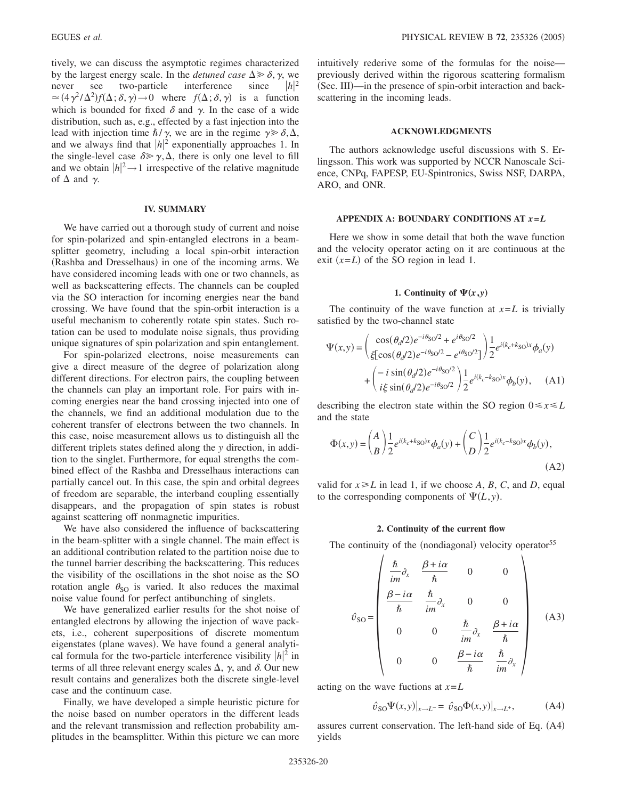tively, we can discuss the asymptotic regimes characterized by the largest energy scale. In the *detuned case*  $\Delta \ge \delta$ ,  $\gamma$ , we never see two-particle interference since  $|h|^2$  $\approx (4\gamma^2/\Delta^2)f(\Delta;\delta,\gamma) \to 0$  where  $f(\Delta;\delta,\gamma)$  is a function which is bounded for fixed  $\delta$  and  $\gamma$ . In the case of a wide distribution, such as, e.g., effected by a fast injection into the lead with injection time  $\hbar/\gamma$ , we are in the regime  $\gamma \gg \delta, \Delta$ , and we always find that  $|h|^2$  exponentially approaches 1. In the single-level case  $\delta \gg \gamma, \Delta$ , there is only one level to fill and we obtain  $|h|^2 \rightarrow 1$  irrespective of the relative magnitude of  $\Delta$  and  $\gamma$ .

### **IV. SUMMARY**

We have carried out a thorough study of current and noise for spin-polarized and spin-entangled electrons in a beamsplitter geometry, including a local spin-orbit interaction (Rashba and Dresselhaus) in one of the incoming arms. We have considered incoming leads with one or two channels, as well as backscattering effects. The channels can be coupled via the SO interaction for incoming energies near the band crossing. We have found that the spin-orbit interaction is a useful mechanism to coherently rotate spin states. Such rotation can be used to modulate noise signals, thus providing unique signatures of spin polarization and spin entanglement.

For spin-polarized electrons, noise measurements can give a direct measure of the degree of polarization along different directions. For electron pairs, the coupling between the channels can play an important role. For pairs with incoming energies near the band crossing injected into one of the channels, we find an additional modulation due to the coherent transfer of electrons between the two channels. In this case, noise measurement allows us to distinguish all the different triplets states defined along the *y* direction, in addition to the singlet. Furthermore, for equal strengths the combined effect of the Rashba and Dresselhaus interactions can partially cancel out. In this case, the spin and orbital degrees of freedom are separable, the interband coupling essentially disappears, and the propagation of spin states is robust against scattering off nonmagnetic impurities.

We have also considered the influence of backscattering in the beam-splitter with a single channel. The main effect is an additional contribution related to the partition noise due to the tunnel barrier describing the backscattering. This reduces the visibility of the oscillations in the shot noise as the SO rotation angle  $\theta_{SO}$  is varied. It also reduces the maximal noise value found for perfect antibunching of singlets.

We have generalized earlier results for the shot noise of entangled electrons by allowing the injection of wave packets, i.e., coherent superpositions of discrete momentum eigenstates (plane waves). We have found a general analytical formula for the two-particle interference visibility  $|h|^2$  in terms of all three relevant energy scales  $\Delta$ ,  $\gamma$ , and  $\delta$ . Our new result contains and generalizes both the discrete single-level case and the continuum case.

Finally, we have developed a simple heuristic picture for the noise based on number operators in the different leads and the relevant transmission and reflection probability amplitudes in the beamsplitter. Within this picture we can more intuitively rederive some of the formulas for the noise previously derived within the rigorous scattering formalism (Sec. III)—in the presence of spin-orbit interaction and backscattering in the incoming leads.

## **ACKNOWLEDGMENTS**

The authors acknowledge useful discussions with S. Erlingsson. This work was supported by NCCR Nanoscale Science, CNPq, FAPESP, EU-Spintronics, Swiss NSF, DARPA, ARO, and ONR.

#### **APPENDIX A: BOUNDARY CONDITIONS AT** *x***=***L*

Here we show in some detail that both the wave function and the velocity operator acting on it are continuous at the exit  $(x=L)$  of the SO region in lead 1.

### **1. Continuity of**  $\Psi(x,y)$

The continuity of the wave function at  $x = L$  is trivially satisfied by the two-channel state

$$
\Psi(x,y) = \left(\frac{\cos(\theta_d/2)e^{-i\theta_{\text{SO}}/2} + e^{i\theta_{\text{SO}}/2}}{\xi[\cos(\theta_d/2)e^{-i\theta_{\text{SO}}/2} - e^{i\theta_{\text{SO}}/2}]\right)} \frac{1}{2} e^{i(k_c+k_{\text{SO}})x} \phi_a(y)
$$

$$
+ \left(\frac{-i\sin(\theta_d/2)e^{-i\theta_{\text{SO}}/2}}{i\xi\sin(\theta_d/2)e^{-i\theta_{\text{SO}}/2}}\right) \frac{1}{2} e^{i(k_c-k_{\text{SO}})x} \phi_b(y), \quad \text{(A1)}
$$

describing the electron state within the SO region  $0 \le x \le L$ and the state

$$
\Phi(x,y) = \binom{A}{B} \frac{1}{2} e^{i(k_c + k_{\text{SO}})x} \phi_a(y) + \binom{C}{D} \frac{1}{2} e^{i(k_c - k_{\text{SO}})x} \phi_b(y),\tag{A2}
$$

valid for  $x \ge L$  in lead 1, if we choose A, B, C, and D, equal to the corresponding components of  $\Psi(L, y)$ .

### **2. Continuity of the current flow**

The continuity of the (nondiagonal) velocity operator<sup>55</sup>

$$
\hat{v}_{\text{SO}} = \begin{pmatrix}\n\frac{\hbar}{im} \partial_x & \frac{\beta + i\alpha}{\hbar} & 0 & 0 \\
\frac{\beta - i\alpha}{\hbar} & \frac{\hbar}{im} \partial_x & 0 & 0 \\
0 & 0 & \frac{\hbar}{im} \partial_x & \frac{\beta + i\alpha}{\hbar} \\
0 & 0 & \frac{\beta - i\alpha}{\hbar} & \frac{\hbar}{im} \partial_x\n\end{pmatrix}
$$
(A3)

acting on the wave fuctions at *x*=*L*

$$
\hat{v}_{\text{SO}}\Psi(x,y)|_{x\to L^{-}} = \hat{v}_{\text{SO}}\Phi(x,y)|_{x\to L^{+}},\tag{A4}
$$

assures current conservation. The left-hand side of Eq. (A4) yields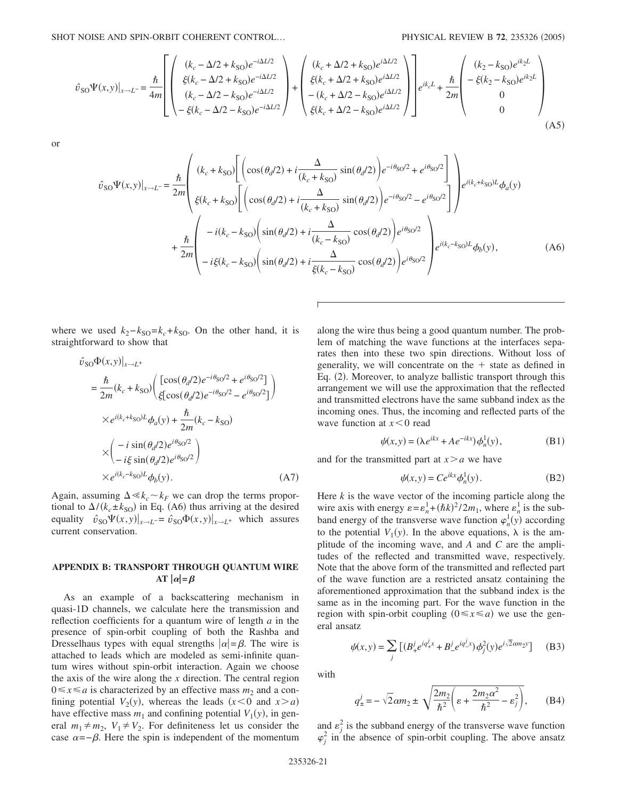SHOT NOISE AND SPIN-ORBIT COHERENT CONTROL...

$$
\hat{v}_{SO}\Psi(x,y)|_{x\to L^{-}} = \frac{\hbar}{4m} \left[ \begin{pmatrix} (k_c - \Delta/2 + k_{SO})e^{-i\Delta L/2} \\ \xi(k_c - \Delta/2 + k_{SO})e^{-i\Delta L/2} \\ (k_c - \Delta/2 - k_{SO})e^{-i\Delta L/2} \\ -\xi(k_c - \Delta/2 - k_{SO})e^{-i\Delta L/2} \end{pmatrix} + \begin{pmatrix} (k_c + \Delta/2 + k_{SO})e^{i\Delta L/2} \\ \xi(k_c + \Delta/2 + k_{SO})e^{i\Delta L/2} \\ -(k_c + \Delta/2 - k_{SO})e^{i\Delta L/2} \\ \xi(k_c + \Delta/2 - k_{SO})e^{i\Delta L/2} \end{pmatrix} \right] e^{ik_c L} + \frac{\hbar}{2m} \left( \begin{pmatrix} (k_2 - k_{SO})e^{ik_2 L} \\ -\xi(k_2 - k_{SO})e^{ik_2 L} \\ 0 \\ 0 \end{pmatrix} \right)
$$
\n(A5)

or

$$
\hat{v}_{\text{SO}}\Psi(x,y)|_{x\to L^{-}} = \frac{\hbar}{2m} \left( \frac{(k_c + k_{\text{SO}}) \left[ \left( \cos(\theta_d/2) + i \frac{\Delta}{(k_c + k_{\text{SO}})} \sin(\theta_d/2) \right) e^{-i\theta_{\text{SO}}/2} + e^{i\theta_{\text{SO}}/2} \right]}{\xi(k_c + k_{\text{SO}}) \left[ \left( \cos(\theta_d/2) + i \frac{\Delta}{(k_c + k_{\text{SO}})} \sin(\theta_d/2) \right) e^{-i\theta_{\text{SO}}/2} - e^{i\theta_{\text{SO}}/2} \right]} \right) e^{i(k_c + k_{\text{SO}}) L} \phi_a(y)
$$
\n
$$
+ \frac{\hbar}{2m} \left( -i(k_c - k_{\text{SO}}) \left( \sin(\theta_d/2) + i \frac{\Delta}{(k_c - k_{\text{SO}})} \cos(\theta_d/2) \right) e^{i\theta_{\text{SO}}/2} \right) e^{i(k_c - k_{\text{SO}}) L} \phi_b(y), \tag{A6}
$$

where we used  $k_2 - k_{\text{SO}} = k_c + k_{\text{SO}}$ . On the other hand, it is straightforward to show that

$$
\hat{v}_{\text{SO}}\Phi(x,y)|_{x\to L^{+}}\n= \frac{\hbar}{2m}(k_{c}+k_{\text{SO}})\left(\frac{[\cos(\theta_{d}/2)e^{-i\theta_{\text{SO}}/2}+e^{i\theta_{\text{SO}}/2}]}{\xi[\cos(\theta_{d}/2)e^{-i\theta_{\text{SO}}/2}-e^{i\theta_{\text{SO}}/2}]\right)\n\times e^{i(k_{c}+k_{\text{SO}})L}\phi_{a}(y)+\frac{\hbar}{2m}(k_{c}-k_{\text{SO}})\n\times\left(-i\sin(\theta_{d}/2)e^{i\theta_{\text{SO}}/2}\right)\n\times e^{i(k_{c}-k_{\text{SO}})L}\phi_{b}(y).
$$
\n(A7)

Again, assuming  $\Delta \ll k_c \sim k_F$  we can drop the terms proportional to  $\Delta/(k_c \pm k_{\text{SO}})$  in Eq. (A6) thus arriving at the desired equality  $\hat{v}_{\text{SO}}\Psi(x, y)|_{x \to L^{-}} = \hat{v}_{\text{SO}}\Phi(x, y)|_{x \to L^{+}}$  which assures current conservation.

# **APPENDIX B: TRANSPORT THROUGH QUANTUM WIRE**  $\bf{AT}$   $|\alpha| = \bf{\beta}$

As an example of a backscattering mechanism in quasi-1D channels, we calculate here the transmission and reflection coefficients for a quantum wire of length *a* in the presence of spin-orbit coupling of both the Rashba and Dresselhaus types with equal strengths  $|\alpha| = \beta$ . The wire is attached to leads which are modeled as semi-infinite quantum wires without spin-orbit interaction. Again we choose the axis of the wire along the *x* direction. The central region  $0 \le x \le a$  is characterized by an effective mass  $m_2$  and a confining potential  $V_2(y)$ , whereas the leads  $(x < 0$  and  $x > a$ ) have effective mass  $m_1$  and confining potential  $V_1(y)$ , in general  $m_1 \neq m_2$ ,  $V_1 \neq V_2$ . For definiteness let us consider the case  $\alpha = -\beta$ . Here the spin is independent of the momentum along the wire thus being a good quantum number. The problem of matching the wave functions at the interfaces separates then into these two spin directions. Without loss of generality, we will concentrate on the  $+$  state as defined in Eq. (2). Moreover, to analyze ballistic transport through this arrangement we will use the approximation that the reflected and transmitted electrons have the same subband index as the incoming ones. Thus, the incoming and reflected parts of the wave function at  $x < 0$  read

$$
\psi(x, y) = (\lambda e^{ikx} + Ae^{-ikx})\phi_n^1(y), \tag{B1}
$$

and for the transmitted part at  $x > a$  we have

$$
\psi(x, y) = Ce^{ikx} \phi_n^1(y). \tag{B2}
$$

Here *k* is the wave vector of the incoming particle along the wire axis with energy  $\varepsilon = \varepsilon_n^1 + (\hbar k)^2 / 2m_1$ , where  $\varepsilon_n^1$  is the subband energy of the transverse wave function  $\varphi_n^1(y)$  according to the potential  $V_1(y)$ . In the above equations,  $\lambda$  is the amplitude of the incoming wave, and *A* and *C* are the amplitudes of the reflected and transmitted wave, respectively. Note that the above form of the transmitted and reflected part of the wave function are a restricted ansatz containing the aforementioned approximation that the subband index is the same as in the incoming part. For the wave function in the region with spin-orbit coupling  $(0 \le x \le a)$  we use the general ansatz

$$
\psi(x, y) = \sum_{j} \left[ (B_{+}^{j} e^{iq_{+}^{j}x} + B_{-}^{j} e^{iq_{-}^{j}x}) \phi_{j}^{2}(y) e^{i\sqrt{2}\alpha m_{2}y} \right]
$$
(B3)

with

$$
q_{\pm}^{j} = -\sqrt{2}\alpha m_{2} \pm \sqrt{\frac{2m_{2}}{\hbar^{2}} \left(\varepsilon + \frac{2m_{2}\alpha^{2}}{\hbar^{2}} - \varepsilon_{j}^{2}\right)},
$$
 (B4)

and  $\varepsilon_j^2$  is the subband energy of the transverse wave function  $\varphi_j^2$  in the absence of spin-orbit coupling. The above ansatz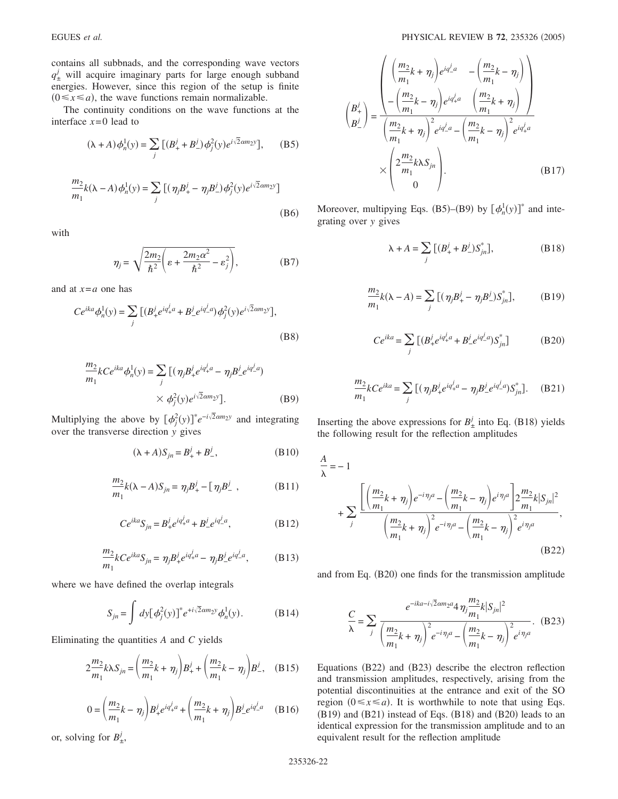contains all subbnads, and the corresponding wave vectors  $q_{\pm}^{j}$  will acquire imaginary parts for large enough subband energies. However, since this region of the setup is finite  $(0 \le x \le a)$ , the wave functions remain normalizable.

The continuity conditions on the wave functions at the interface  $x=0$  lead to

$$
(\lambda + A)\phi_n^1(y) = \sum_j \left[ (B_+^j + B_-^j) \phi_j^2(y) e^{i\sqrt{2}\alpha m_2 y} \right], \quad (B5)
$$

$$
\frac{m_2}{m_1}k(\lambda - A)\phi_n^1(y) = \sum_j \left[ (\eta_j B_+^j - \eta_j B_-^j) \phi_j^2(y) e^{i\sqrt{2}\alpha m_2 y} \right]
$$
\n(B6)

with

$$
\eta_j = \sqrt{\frac{2m_2}{\hbar^2} \left(\varepsilon + \frac{2m_2\alpha^2}{\hbar^2} - \varepsilon_j^2\right)},
$$
 (B7)

and at *x*=*a* one has

$$
Ce^{ika}\phi_n^1(y) = \sum_j \left[ (B_+^j e^{iq_+^j a} + B_-^j e^{iq_-^j a}) \phi_j^2(y) e^{i\sqrt{2}\alpha m_2 y} \right],
$$
\n(B8)

$$
\frac{m_2}{m_1}kCe^{ika}\phi_n^1(y) = \sum_j \left[ (\eta_j B_+^j e^{iq_x^j a} - \eta_j B_-^j e^{iq_x^j a} \right] \times \phi_j^2(y)e^{i\sqrt{2}\alpha m_2 y}].
$$
\n(B9)

Multiplying the above by  $\left[\phi_j^2(y)\right]^* e^{-i\sqrt{2}\alpha m_2 y}$  and integrating over the transverse direction *y* gives

$$
(\lambda + A)S_{jn} = B_{+}^{j} + B_{-}^{j}, \tag{B10}
$$

$$
\frac{m_2}{m_1}k(\lambda - A)S_{jn} = \eta_j B_+^j - [\eta_j B_-^j , \qquad (B11)
$$

$$
Ce^{ika}S_{jn} = B_{+}^{j}e^{iq_{+}^{j}a} + B_{-}^{j}e^{iq_{-}^{j}a}, \qquad (B12)
$$

$$
\frac{m_2}{m_1}kCe^{ika}S_{jn} = \eta_j B_+^j e^{iq_+^j a} - \eta_j B_-^j e^{iq_-^j a},\tag{B13}
$$

where we have defined the overlap integrals

$$
S_{jn} = \int dy [\phi_j^2(y)]^* e^{+i\sqrt{2}\alpha m_2 y} \phi_n^1(y). \tag{B14}
$$

Eliminating the quantities *A* and *C* yields

$$
2\frac{m_2}{m_1}k\lambda S_{jn} = \left(\frac{m_2}{m_1}k + \eta_j\right)B_+^j + \left(\frac{m_2}{m_1}k - \eta_j\right)B_-^j, \quad (B15)
$$

$$
0 = \left(\frac{m_2}{m_1}k - \eta_j\right)B_+^j e^{iq_+^j a} + \left(\frac{m_2}{m_1}k + \eta_j\right)B_-^j e^{iq_-^j a} \quad (B16)
$$

or, solving for  $B_{\pm}^j$ ,

$$
\begin{pmatrix}\n\left(\frac{m_2}{m_1}k + \eta_j\right)e^{iq_{-}^j a} & -\left(\frac{m_2}{m_1}k - \eta_j\right) \\
-\left(\frac{m_2}{m_1}k - \eta_j\right)e^{iq_{+}^j a} & \left(\frac{m_2}{m_1}k + \eta_j\right) \\
B_{-}^j\n\end{pmatrix}
$$
\n
$$
\times \begin{pmatrix}\n2\frac{m_2}{m_1}k + \eta_j \\
0\n\end{pmatrix}.
$$
\n(B17)

Moreover, multipying Eqs. (B5)–(B9) by  $\left[\phi_n^1(y)\right]^*$  and integrating over *y* gives

$$
\lambda + A = \sum_{j} [(B_{+}^{j} + B_{-}^{j})S_{jn}^{*}], \tag{B18}
$$

$$
\frac{m_2}{m_1}k(\lambda - A) = \sum_j [(\eta_j B_+^j - \eta_j B_-^j) S_{jn}^*],
$$
 (B19)

$$
Ce^{ika} = \sum_{j} \left[ (B_{+}^{j} e^{iq_{+}^{j}a} + B_{-}^{j} e^{iq_{-}^{j}a}) S_{jn}^{*} \right]
$$
 (B20)

$$
\frac{m_2}{m_1}kCe^{ika} = \sum_j [(\eta_j B_+^j e^{iq_+^j a} - \eta_j B_-^j e^{iq_-^j a})S_{jn}^*].
$$
 (B21)

Inserting the above expressions for  $B_{\pm}^{j}$  into Eq. (B18) yields the following result for the reflection amplitudes

$$
\frac{A}{\lambda} = -1
$$
\n
$$
+ \sum_{j} \frac{\left[ \left( \frac{m_2}{m_1} k + \eta_j \right) e^{-i \eta_j a} - \left( \frac{m_2}{m_1} k - \eta_j \right) e^{i \eta_j a} \right] 2 \frac{m_2}{m_1} k |S_{jn}|^2}{\left( \frac{m_2}{m_1} k + \eta_j \right)^2 e^{-i \eta_j a} - \left( \frac{m_2}{m_1} k - \eta_j \right)^2 e^{i \eta_j a}},
$$
\n(B22)

and from Eq. (B20) one finds for the transmission amplitude

$$
\frac{C}{\lambda} = \sum_{j} \frac{e^{-ika - i\sqrt{2}\alpha m_2 a} 4 \eta_j \frac{m_2}{m_1} k |S_{jn}|^2}{\left(\frac{m_2}{m_1} k + \eta_j\right)^2 e^{-i\eta_j a} - \left(\frac{m_2}{m_1} k - \eta_j\right)^2 e^{i\eta_j a}}.
$$
 (B23)

Equations (B22) and (B23) describe the electron reflection and transmission amplitudes, respectively, arising from the potential discontinuities at the entrance and exit of the SO region  $(0 \le x \le a)$ . It is worthwhile to note that using Eqs.  $(B19)$  and  $(B21)$  instead of Eqs.  $(B18)$  and  $(B20)$  leads to an identical expression for the transmission amplitude and to an equivalent result for the reflection amplitude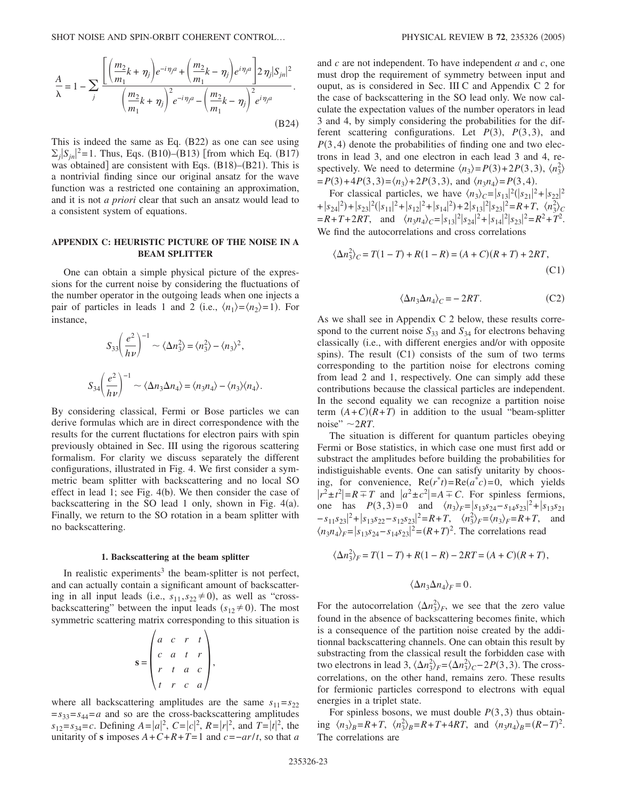$$
\frac{A}{\lambda} = 1 - \sum_{j} \frac{\left[ \left( \frac{m_2}{m_1} k + \eta_j \right) e^{-i \eta_j a} + \left( \frac{m_2}{m_1} k - \eta_j \right) e^{i \eta_j a} \right] 2 \eta_j |S_{jn}|^2}{\left( \frac{m_2}{m_1} k + \eta_j \right)^2 e^{-i \eta_j a} - \left( \frac{m_2}{m_1} k - \eta_j \right)^2 e^{i \eta_j a}}.
$$
\n(B24)

This is indeed the same as Eq.  $(B22)$  as one can see using  $\sum_{j} |S_{jn}|^2 = 1$ . Thus, Eqs. (B10)–(B13) [from which Eq. (B17) was obtained] are consistent with Eqs. (B18)–(B21). This is a nontrivial finding since our original ansatz for the wave function was a restricted one containing an approximation, and it is not *a priori* clear that such an ansatz would lead to a consistent system of equations.

## **APPENDIX C: HEURISTIC PICTURE OF THE NOISE IN A BEAM SPLITTER**

One can obtain a simple physical picture of the expressions for the current noise by considering the fluctuations of the number operator in the outgoing leads when one injects a pair of particles in leads 1 and 2 (i.e.,  $\langle n_1 \rangle = \langle n_2 \rangle = 1$ ). For instance,

$$
S_{33}\left(\frac{e^2}{h\nu}\right)^{-1} \sim \langle \Delta n_3^2 \rangle = \langle n_3^2 \rangle - \langle n_3 \rangle^2,
$$
  

$$
S_{34}\left(\frac{e^2}{h\nu}\right)^{-1} \sim \langle \Delta n_3 \Delta n_4 \rangle = \langle n_3 n_4 \rangle - \langle n_3 \rangle \langle n_4 \rangle.
$$

By considering classical, Fermi or Bose particles we can derive formulas which are in direct correspondence with the results for the current fluctations for electron pairs with spin previously obtained in Sec. III using the rigorous scattering formalism. For clarity we discuss separately the different configurations, illustrated in Fig. 4. We first consider a symmetric beam splitter with backscattering and no local SO effect in lead 1; see Fig.  $4(b)$ . We then consider the case of backscattering in the SO lead 1 only, shown in Fig.  $4(a)$ . Finally, we return to the SO rotation in a beam splitter with no backscattering.

#### **1. Backscattering at the beam splitter**

In realistic experiments<sup>3</sup> the beam-splitter is not perfect, and can actually contain a significant amount of backscattering in all input leads (i.e.,  $s_{11}$ ,  $s_{22} \neq 0$ ), as well as "crossbackscattering" between the input leads  $(s_{12} \neq 0)$ . The most symmetric scattering matrix corresponding to this situation is

$$
\mathbf{s} = \begin{pmatrix} a & c & r & t \\ c & a & t & r \\ r & t & a & c \\ t & r & c & a \end{pmatrix},
$$

where all backscattering amplitudes are the same  $s_{11}=s_{22}$  $=s_{33}=s_{44}=a$  and so are the cross-backscattering amplitudes  $s_{12}=s_{34}=c$ . Defining  $A=|a|^2$ ,  $C=|c|^2$ ,  $R=|r|^2$ , and  $T=|t|^2$ , the unitarity of **s** imposes  $A + C + R + T = 1$  and  $c = -ar/t$ , so that *a*  and *c* are not independent. To have independent *a* and *c*, one must drop the requirement of symmetry between input and ouput, as is considered in Sec. III C and Appendix C 2 for the case of backscattering in the SO lead only. We now calculate the expectation values of the number operators in lead 3 and 4, by simply considering the probabilities for the different scattering configurations. Let  $P(3)$ ,  $P(3,3)$ , and  $P(3,4)$  denote the probabilities of finding one and two electrons in lead 3, and one electron in each lead 3 and 4, respectively. We need to determine  $\langle n_3 \rangle = P(3) + 2P(3,3), \langle n_3^2 \rangle$  $= P(3) + 4P(3,3) = \langle n_3 \rangle + 2P(3,3), \text{ and } \langle n_3 n_4 \rangle = P(3,4).$ 

For classical particles, we have  $\langle n_3 \rangle_c = |s_{13}|^2 (|s_{21}|^2 + |s_{22}|^2)$  $+|s_{24}|^2$  +  $|s_{23}|^2(|s_{11}|^2 + |s_{12}|^2 + |s_{14}|^2) + 2|s_{13}|^2|s_{23}|^2 = R + T$ ,  $\langle n_3^2 \rangle_C$  $=R+T+2RT$ , and  $\langle n_3n_4\rangle_C = |s_{13}|^2|s_{24}|^2 + |s_{14}|^2|s_{23}|^2 = R^2 + T^2$ . We find the autocorrelations and cross correlations

$$
\langle \Delta n_3^2 \rangle_C = T(1 - T) + R(1 - R) = (A + C)(R + T) + 2RT,
$$
\n(C1)

$$
\langle \Delta n_3 \Delta n_4 \rangle_C = -2RT. \tag{C2}
$$

As we shall see in Appendix C 2 below, these results correspond to the current noise  $S_{33}$  and  $S_{34}$  for electrons behaving classically (i.e., with different energies and/or with opposite spins). The result (C1) consists of the sum of two terms corresponding to the partition noise for electrons coming from lead 2 and 1, respectively. One can simply add these contributions because the classical particles are independent. In the second equality we can recognize a partition noise term  $(A+C)(R+T)$  in addition to the usual "beam-splitter noise"  $\sim$  2*RT*.

The situation is different for quantum particles obeying Fermi or Bose statistics, in which case one must first add or substract the amplitudes before building the probabilities for indistiguishable events. One can satisfy unitarity by choosing, for convenience,  $Re(r^*t) = Re(a^*c) = 0$ , which yields  $|r^2 \pm t^2| = R \pm T$  and  $|a^2 \pm c^2| = A \pm C$ . For spinless fermions, one has  $P(3,3)=0$  and  $\langle n_3 \rangle_F = |s_{13}s_{24}-s_{14}s_{23}|^2 + |s_{13}s_{21}|^2$  $-s_{11} s_{23} |^{2} + |s_{13} s_{22} - s_{12} s_{23}|^{2} = R + T$ ,  $\langle n_{3}^{2} \rangle_{F} = \langle n_{3} \rangle_{F} = R + T$ , and  $\langle n_3 n_4 \rangle_F = |s_{13} s_{24} - s_{14} s_{23}|^2 = (R + T)^2$ . The correlations read

$$
\langle \Delta n_3^2 \rangle_F = T(1 - T) + R(1 - R) - 2RT = (A + C)(R + T),
$$

$$
\langle \Delta n_3 \Delta n_4 \rangle_F = 0.
$$

For the autocorrelation  $\langle \Delta n_3^2 \rangle_F$ , we see that the zero value found in the absence of backscattering becomes finite, which is a consequence of the partition noise created by the additionnal backscattering channels. One can obtain this result by substracting from the classical result the forbidden case with two electrons in lead 3,  $\langle \Delta n_3^2 \rangle_F = \langle \Delta n_3^2 \rangle_C - 2P(3,3)$ . The crosscorrelations, on the other hand, remains zero. These results for fermionic particles correspond to electrons with equal energies in a triplet state.

For spinless bosons, we must double  $P(3,3)$  thus obtaining  $\langle n_3 \rangle_B = R + T$ ,  $\langle n_3^2 \rangle_B = R + T + 4RT$ , and  $\langle n_3 n_4 \rangle_B = (R - T)^2$ . The correlations are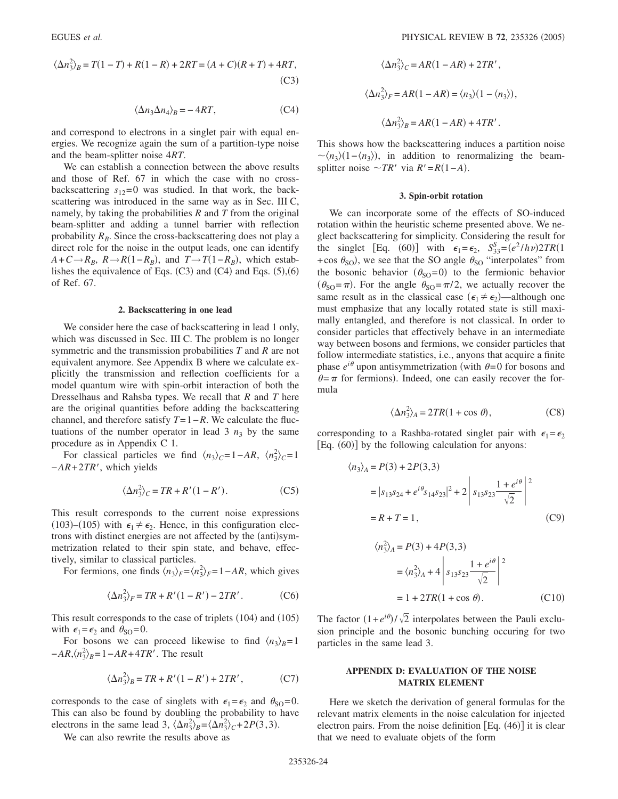$$
\langle \Delta n_3^2 \rangle_B = T(1 - T) + R(1 - R) + 2RT = (A + C)(R + T) + 4RT,
$$
\n(C3)

$$
\langle \Delta n_3 \Delta n_4 \rangle_B = -4RT,\tag{C4}
$$

and correspond to electrons in a singlet pair with equal energies. We recognize again the sum of a partition-type noise and the beam-splitter noise 4*RT*.

We can establish a connection between the above results and those of Ref. 67 in which the case with no crossbackscattering  $s_{12}=0$  was studied. In that work, the backscattering was introduced in the same way as in Sec. III C, namely, by taking the probabilities *R* and *T* from the original beam-splitter and adding a tunnel barrier with reflection probability  $R_B$ . Since the cross-backscattering does not play a direct role for the noise in the output leads, one can identify  $A + C \rightarrow R_B$ ,  $R \rightarrow R(1 - R_B)$ , and  $T \rightarrow T(1 - R_B)$ , which establishes the equivalence of Eqs.  $(C3)$  and  $(C4)$  and Eqs.  $(5),(6)$ of Ref. 67.

#### **2. Backscattering in one lead**

We consider here the case of backscattering in lead 1 only, which was discussed in Sec. III C. The problem is no longer symmetric and the transmission probabilities *T* and *R* are not equivalent anymore. See Appendix B where we calculate explicitly the transmission and reflection coefficients for a model quantum wire with spin-orbit interaction of both the Dresselhaus and Rahsba types. We recall that *R* and *T* here are the original quantities before adding the backscattering channel, and therefore satisfy *T*=1−*R*. We calculate the fluctuations of the number operator in lead  $3 n_3$  by the same procedure as in Appendix C 1.

For classical particles we find  $\langle n_3 \rangle_C = 1 - AR$ ,  $\langle n_3^2 \rangle_C = 1$ −*AR*+2*TR*, which yields

$$
\langle \Delta n_3^2 \rangle_C = TR + R'(1 - R'). \tag{C5}
$$

This result corresponds to the current noise expressions (103)–(105) with  $\epsilon_1 \neq \epsilon_2$ . Hence, in this configuration electrons with distinct energies are not affected by the (anti)symmetrization related to their spin state, and behave, effectively, similar to classical particles.

For fermions, one finds  $\langle n_3 \rangle_F = \langle n_3^2 \rangle_F = 1 - AR$ , which gives

$$
\langle \Delta n_3^2 \rangle_F = TR + R'(1 - R') - 2TR'.
$$
 (C6)

This result corresponds to the case of triplets  $(104)$  and  $(105)$ with  $\epsilon_1 = \epsilon_2$  and  $\theta_{\text{SO}}=0$ .

For bosons we can proceed likewise to find  $\langle n_3 \rangle_B = 1$  $-AR, \langle n_3^2 \rangle_B = 1 - AR + 4TR'$ . The result

$$
\langle \Delta n_3^2 \rangle_B = TR + R'(1 - R') + 2TR', \tag{C7}
$$

corresponds to the case of singlets with  $\epsilon_1 = \epsilon_2$  and  $\theta_{\text{SO}}=0$ . This can also be found by doubling the probability to have electrons in the same lead 3,  $\langle \Delta n_3^2 \rangle_B = \langle \Delta n_3^2 \rangle_C + 2P(3,3)$ .

We can also rewrite the results above as

$$
\langle \Delta n_3^2 \rangle_C = AR(1 - AR) + 2TR',
$$
  

$$
\langle \Delta n_3^2 \rangle_F = AR(1 - AR) = \langle n_3 \rangle (1 - \langle n_3 \rangle),
$$
  

$$
\langle \Delta n_3^2 \rangle_B = AR(1 - AR) + 4TR'.
$$

This shows how the backscattering induces a partition noise  $\sim$   $\langle n_3 \rangle$ (1– $\langle n_3 \rangle$ ), in addition to renormalizing the beamsplitter noise  $\sim TR'$  via  $R' = R(1-A)$ .

#### **3. Spin-orbit rotation**

We can incorporate some of the effects of SO-induced rotation within the heuristic scheme presented above. We neglect backscattering for simplicity. Considering the result for the singlet [Eq. (60)] with  $\epsilon_1 = \epsilon_2$ ,  $S_{33}^S = (e^2/h\nu)2TR(1)$ +cos  $\theta_{\text{SO}}$ , we see that the SO angle  $\theta_{\text{SO}}$  "interpolates" from the bosonic behavior  $(\theta_{SO}=0)$  to the fermionic behavior  $(\theta_{\text{SO}} = \pi)$ . For the angle  $\theta_{\text{SO}} = \pi/2$ , we actually recover the same result as in the classical case  $(\epsilon_1 \neq \epsilon_2)$ —although one must emphasize that any locally rotated state is still maximally entangled, and therefore is not classical. In order to consider particles that effectively behave in an intermediate way between bosons and fermions, we consider particles that follow intermediate statistics, i.e., anyons that acquire a finite phase  $e^{i\theta}$  upon antisymmetrization (with  $\theta = 0$  for bosons and  $\theta = \pi$  for fermions). Indeed, one can easily recover the formula

$$
\langle \Delta n_3^2 \rangle_A = 2TR(1 + \cos \theta), \tag{C8}
$$

corresponding to a Rashba-rotated singlet pair with  $\epsilon_1 = \epsilon_2$ [Eq. (60)] by the following calculation for anyons:

$$
\langle n_3 \rangle_A = P(3) + 2P(3,3)
$$
  
=  $|s_{13}s_{24} + e^{i\theta}s_{14}s_{23}|^2 + 2 \left| s_{13}s_{23} \frac{1 + e^{i\theta}}{\sqrt{2}} \right|^2$   
=  $R + T = 1$ , (C9)  
 $\langle n^2 \rangle = P(3) + AP(3,3)$ 

$$
\langle n_3^2 \rangle_A = P(3) + 4P(3,3)
$$
  
=  $\langle n_3^2 \rangle_A + 4 \left| s_{13} s_{23} \frac{1 + e^{i\theta}}{\sqrt{2}} \right|^2$   
=  $1 + 2TR(1 + \cos \theta)$ . (C10)

The factor  $(1+e^{i\theta})/\sqrt{2}$  interpolates between the Pauli exclusion principle and the bosonic bunching occuring for two particles in the same lead 3.

# **APPENDIX D: EVALUATION OF THE NOISE MATRIX ELEMENT**

Here we sketch the derivation of general formulas for the relevant matrix elements in the noise calculation for injected electron pairs. From the noise definition [Eq. (46)] it is clear that we need to evaluate objets of the form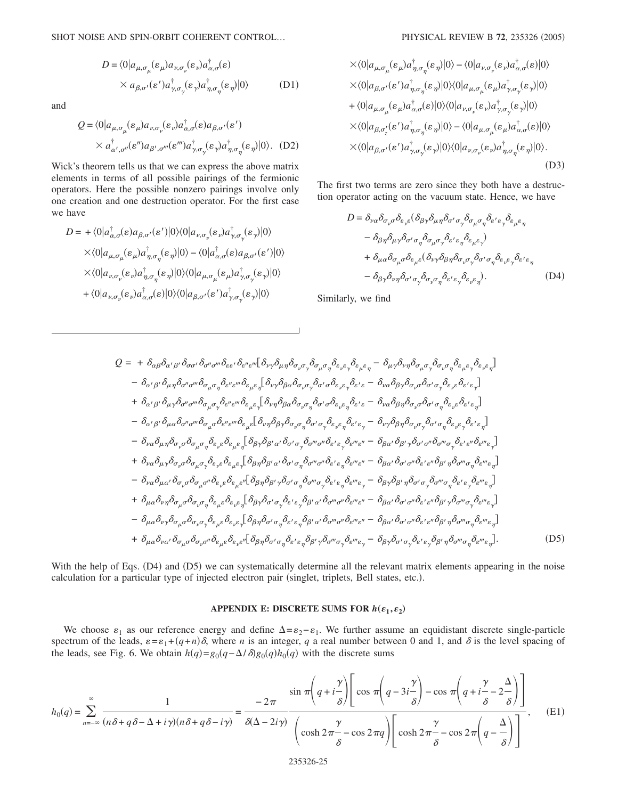$$
D = \langle 0 | a_{\mu,\sigma_{\mu}}(\varepsilon_{\mu}) a_{\nu,\sigma_{\nu}}(\varepsilon_{\nu}) a_{\alpha,\sigma}^{\dagger}(\varepsilon) \times a_{\beta,\sigma'}(\varepsilon') a_{\gamma,\sigma_{\gamma}}^{\dagger}(\varepsilon_{\gamma}) a_{\eta,\sigma_{\eta}}^{\dagger}(\varepsilon_{\eta}) | 0 \rangle
$$
 (D1)

and

$$
Q = \langle 0 | a_{\mu,\sigma_{\mu}}(\varepsilon_{\mu}) a_{\nu,\sigma_{\nu}}(\varepsilon_{\nu}) a_{\alpha,\sigma}^{\dagger}(\varepsilon) a_{\beta,\sigma'}(\varepsilon')
$$
  
 
$$
\times a_{\alpha',\sigma''}^{\dagger}(\varepsilon'') a_{\beta',\sigma'''}(\varepsilon''') a_{\gamma,\sigma_{\gamma}}^{\dagger}(\varepsilon_{\gamma}) a_{\eta,\sigma_{\eta}}^{\dagger}(\varepsilon_{\eta}) | 0 \rangle. \quad (D2)
$$

Wick's theorem tells us that we can express the above matrix elements in terms of all possible pairings of the fermionic operators. Here the possible nonzero pairings involve only one creation and one destruction operator. For the first case we have

$$
D = + \langle 0 | a_{\alpha,\sigma}^{\dagger}(\varepsilon) a_{\beta,\sigma'}(\varepsilon') | 0 \rangle \langle 0 | a_{\nu,\sigma_{\nu}}(\varepsilon_{\nu}) a_{\gamma,\sigma_{\gamma}}^{\dagger}(\varepsilon_{\gamma}) | 0 \rangle
$$
  
 
$$
\times \langle 0 | a_{\mu,\sigma_{\mu}}(\varepsilon_{\mu}) a_{\eta,\sigma_{\eta}}^{\dagger}(\varepsilon_{\eta}) | 0 \rangle - \langle 0 | a_{\alpha,\sigma}^{\dagger}(\varepsilon) a_{\beta,\sigma'}(\varepsilon') | 0 \rangle
$$
  
 
$$
\times \langle 0 | a_{\nu,\sigma_{\nu}}(\varepsilon_{\nu}) a_{\eta,\sigma_{\eta}}^{\dagger}(\varepsilon_{\eta}) | 0 \rangle \langle 0 | a_{\mu,\sigma_{\mu}}(\varepsilon_{\mu}) a_{\gamma,\sigma_{\gamma}}^{\dagger}(\varepsilon_{\gamma}) | 0 \rangle
$$
  
+ 
$$
\langle 0 | a_{\nu,\sigma_{\nu}}(\varepsilon_{\nu}) a_{\alpha,\sigma}^{\dagger}(\varepsilon) | 0 \rangle \langle 0 | a_{\beta,\sigma'}(\varepsilon') a_{\gamma,\sigma_{\gamma}}^{\dagger}(\varepsilon_{\gamma}) | 0 \rangle
$$

$$
\times \langle 0 | a_{\mu,\sigma_{\mu}}(\varepsilon_{\mu}) a_{\eta,\sigma_{\eta}}^{\dagger}(\varepsilon_{\eta}) | 0 \rangle - \langle 0 | a_{\nu,\sigma_{\nu}}(\varepsilon_{\nu}) a_{\alpha,\sigma}^{\dagger}(\varepsilon) | 0 \rangle \times \langle 0 | a_{\beta,\sigma'}(\varepsilon') a_{\eta,\sigma_{\eta}}^{\dagger}(\varepsilon_{\eta}) | 0 \rangle \langle 0 | a_{\mu,\sigma_{\mu}}(\varepsilon_{\mu}) a_{\gamma,\sigma_{\gamma}}^{\dagger}(\varepsilon_{\gamma}) | 0 \rangle + \langle 0 | a_{\mu,\sigma_{\mu}}(\varepsilon_{\mu}) a_{\alpha,\sigma}^{\dagger}(\varepsilon) | 0 \rangle \langle 0 | a_{\nu,\sigma_{\mu}}(\varepsilon_{\nu}) a_{\gamma,\sigma_{\gamma}}^{\dagger}(\varepsilon_{\gamma}) | 0 \rangle \times \langle 0 | a_{\beta,\sigma'_{\zeta}}(\varepsilon') a_{\eta,\sigma_{\eta}}^{\dagger}(\varepsilon_{\eta}) | 0 \rangle - \langle 0 | a_{\mu,\sigma_{\mu}}(\varepsilon_{\mu}) a_{\alpha,\sigma}^{\dagger}(\varepsilon) | 0 \rangle \times \langle 0 | a_{\beta,\sigma'}(\varepsilon') a_{\gamma,\sigma_{\gamma}}^{\dagger}(\varepsilon_{\gamma}) | 0 \rangle \langle 0 | a_{\nu,\sigma_{\nu}}(\varepsilon_{\nu}) a_{\eta,\sigma_{\eta}}^{\dagger}(\varepsilon_{\eta}) | 0 \rangle.
$$
\n(D3)

The first two terms are zero since they both have a destruction operator acting on the vacuum state. Hence, we have

$$
D = \delta_{\nu\alpha}\delta_{\sigma_{\nu}\sigma}\delta_{\varepsilon_{\nu}\varepsilon}(\delta_{\beta\gamma}\delta_{\mu\eta}\delta_{\sigma'\sigma_{\gamma}}\delta_{\sigma_{\mu}\sigma_{\eta}}\delta_{\varepsilon'\varepsilon_{\gamma}}\delta_{\varepsilon_{\mu}\varepsilon_{\eta}}
$$

$$
- \delta_{\beta\eta}\delta_{\mu\gamma}\delta_{\sigma'\sigma_{\eta}}\delta_{\sigma_{\mu}\sigma_{\gamma}}\delta_{\varepsilon'\varepsilon_{\eta}}\delta_{\varepsilon_{\mu}\varepsilon_{\gamma}}\rangle
$$

$$
+ \delta_{\mu\alpha}\delta_{\sigma_{\mu}\sigma}\delta_{\varepsilon_{\mu}\varepsilon}(\delta_{\nu\gamma}\delta_{\beta\eta}\delta_{\sigma_{\nu}\sigma_{\gamma}}\delta_{\sigma'\sigma_{\eta}}\delta_{\varepsilon_{\nu}\varepsilon_{\gamma}}\delta_{\varepsilon'\varepsilon_{\eta}}
$$

$$
- \delta_{\beta\gamma}\delta_{\nu\eta}\delta_{\sigma'\sigma_{\gamma}}\delta_{\sigma_{\nu}\sigma_{\eta}}\delta_{\varepsilon'\varepsilon_{\gamma}}\delta_{\varepsilon_{\nu}\varepsilon_{\eta}}).
$$
(D4)

Similarly, we find

$$
Q = + \delta_{\alpha\beta}\delta_{\alpha'\beta'}\delta_{\sigma\sigma'}\delta_{\sigma''\sigma''}\delta_{\epsilon\epsilon'}\delta_{\epsilon''\epsilon'''}[\delta_{\nu\gamma}\delta_{\mu\eta}\delta_{\sigma_{\nu}\sigma_{\gamma}}\delta_{\sigma_{\mu}\sigma_{\eta}}\delta_{\epsilon_{\mu}\epsilon_{\gamma}} - \delta_{\mu\gamma}\delta_{\nu\eta}\delta_{\sigma_{\mu}\sigma_{\gamma}}\delta_{\sigma_{\nu}\sigma_{\eta}}\delta_{\epsilon_{\mu}\epsilon_{\gamma}}\delta_{\epsilon_{\gamma}\epsilon_{\gamma}}
$$
  
\n
$$
- \delta_{\alpha'\beta'}\delta_{\mu\eta}\delta_{\sigma''\sigma''}\delta_{\sigma_{\mu}\sigma_{\eta}}\delta_{\epsilon''\epsilon'''}\delta_{\epsilon_{\mu}\epsilon_{\eta}}[\delta_{\nu\gamma}\delta_{\beta\alpha}\delta_{\sigma_{\nu}\sigma_{\gamma}}\delta_{\sigma'\sigma}\delta_{\epsilon_{\nu}\epsilon_{\gamma}}\delta_{\epsilon'\epsilon} - \delta_{\nu\alpha}\delta_{\beta\gamma}\delta_{\sigma_{\nu}\sigma}\delta_{\sigma'\sigma_{\gamma}}\delta_{\epsilon_{\nu}\epsilon}\delta_{\epsilon'\epsilon_{\gamma}}]
$$
  
\n
$$
+ \delta_{\alpha'\beta'}\delta_{\mu\gamma}\delta_{\sigma''\sigma'''}\delta_{\sigma_{\mu}\sigma_{\gamma}}\delta_{\epsilon''\epsilon'''}\delta_{\epsilon_{\mu}\epsilon_{\gamma}}[\delta_{\nu\eta}\delta_{\beta\alpha}\delta_{\sigma_{\nu}\sigma_{\gamma}}\delta_{\sigma'\sigma}\delta_{\epsilon_{\nu}\epsilon_{\gamma}}\delta_{\epsilon'\epsilon} - \delta_{\nu\alpha}\delta_{\beta\eta}\delta_{\sigma_{\nu}\sigma}\delta_{\sigma'\sigma_{\gamma}}\delta_{\epsilon_{\nu}\epsilon}\delta_{\epsilon'\epsilon_{\gamma}}]
$$
  
\n
$$
- \delta_{\alpha'\beta'}\delta_{\mu\alpha}\delta_{\sigma''\sigma'''}\delta_{\sigma_{\mu}\sigma_{\eta}}\delta_{\epsilon_{\mu}\epsilon_{\eta}}[\delta_{\beta\gamma}\delta_{\beta\alpha}\delta_{\sigma_{\nu}\sigma_{\gamma}}\delta_{\sigma'\sigma_{\gamma}}\delta_{\epsilon_{\nu}\epsilon_{\gamma}}\delta_{\epsilon'\epsilon} - \delta_{\nu\alpha}\delta_{\beta\eta}\delta_{\sigma_{\nu}\sigma}\delta_{\sigma'\sigma_{\gamma}}\delta_{\epsilon'\epsilon_{\gamma}}]
$$
  
\n
$$
- \delta_{\nu\alpha}\delta_{\mu\eta
$$

With the help of Eqs. (D4) and (D5) we can systematically determine all the relevant matrix elements appearing in the noise calculation for a particular type of injected electron pair (singlet, triplets, Bell states, etc.).

### APPENDIX E: DISCRETE SUMS FOR  $h(\epsilon_1, \epsilon_2)$

We choose  $\varepsilon_1$  as our reference energy and define  $\Delta = \varepsilon_2 - \varepsilon_1$ . We further assume an equidistant discrete single-particle spectrum of the leads,  $\varepsilon = \varepsilon_1 + (q+n)\delta$ , where *n* is an integer, *q* a real number between 0 and 1, and  $\delta$  is the level spacing of the leads, see Fig. 6. We obtain  $h(q) = g_0(q - \Delta/\delta)g_0(q)h_0(q)$  with the discrete sums

$$
h_0(q) = \sum_{n=-\infty}^{\infty} \frac{1}{(n\delta + q\delta - \Delta + i\gamma)(n\delta + q\delta - i\gamma)} = \frac{-2\pi}{\delta(\Delta - 2i\gamma)} \frac{\sin \pi \left( q + i\frac{\gamma}{\delta} \right) \left[ \cos \pi \left( q - 3i\frac{\gamma}{\delta} \right) - \cos \pi \left( q + i\frac{\gamma}{\delta} - 2\frac{\Delta}{\delta} \right) \right]}{\left( \cosh 2\pi \frac{\gamma}{\delta} - \cos 2\pi q \right) \left[ \cosh 2\pi \frac{\gamma}{\delta} - \cos 2\pi \left( q - \frac{\Delta}{\delta} \right) \right]}, \quad (E1)
$$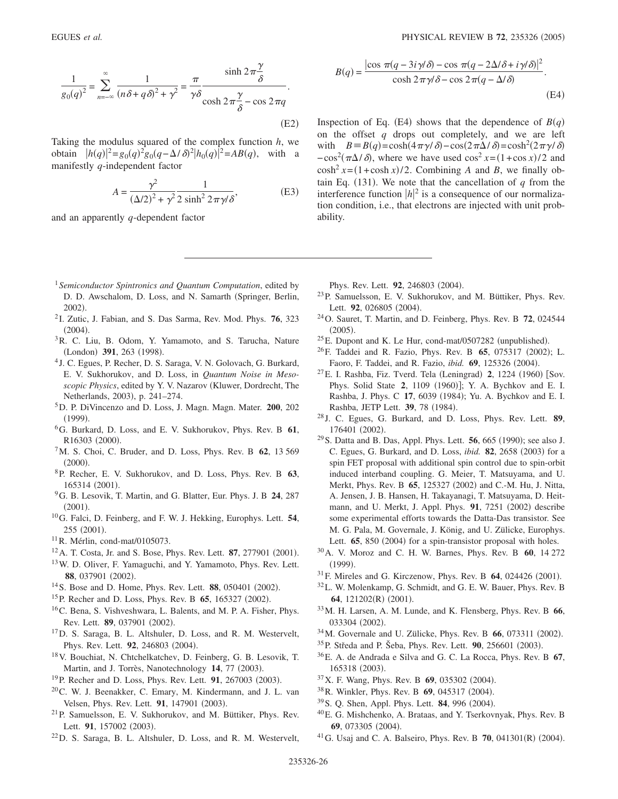2002).

 $(2004).$ 

 $(1999).$ 

 $(2000).$ 

 $(2001).$ 

255 (2001).

11R. Mérlin, cond-mat/0105073.

Rev. Lett. **89**, 037901 (2002).

Lett. 91, 157002 (2003).

Phys. Rev. Lett. 92, 246803 (2004).

Velsen, Phys. Rev. Lett. 91, 147901 (2003).

88, 037901 (2002).

R16303 (2000).

165314 (2001).

$$
\frac{1}{g_0(q)^2} = \sum_{n=-\infty}^{\infty} \frac{1}{(n\delta + q\delta)^2 + \gamma^2} = \frac{\pi}{\gamma \delta} \frac{\sinh 2\pi \frac{\gamma}{\delta}}{\cosh 2\pi \frac{\gamma}{\delta} - \cos 2\pi q}.
$$
\n(E2)

Taking the modulus squared of the complex function *h*, we obtain  $|h(q)|^2 = g_0(q)^2 g_0(q - \Delta/\delta)^2 |h_0(q)|^2 = AB(q)$ , with a manifestly *q*-independent factor

<sup>1</sup> *Semiconductor Spintronics and Quantum Computation*, edited by D. D. Awschalom, D. Loss, and N. Samarth (Springer, Berlin,

<sup>2</sup> I. Zutic, J. Fabian, and S. Das Sarma, Rev. Mod. Phys. **76**, 323

<sup>3</sup>R. C. Liu, B. Odom, Y. Yamamoto, and S. Tarucha, Nature

<sup>4</sup> J. C. Egues, P. Recher, D. S. Saraga, V. N. Golovach, G. Burkard, E. V. Sukhorukov, and D. Loss, in *Quantum Noise in Mesoscopic Physics*, edited by Y. V. Nazarov (Kluwer, Dordrecht, The

5D. P. DiVincenzo and D. Loss, J. Magn. Magn. Mater. **200**, 202

6G. Burkard, D. Loss, and E. V. Sukhorukov, Phys. Rev. B **61**,

7M. S. Choi, C. Bruder, and D. Loss, Phys. Rev. B **62**, 13 569

8P. Recher, E. V. Sukhorukov, and D. Loss, Phys. Rev. B **63**,

9G. B. Lesovik, T. Martin, and G. Blatter, Eur. Phys. J. B **24**, 287

10G. Falci, D. Feinberg, and F. W. J. Hekking, Europhys. Lett. **54**,

<sup>12</sup> A. T. Costa, Jr. and S. Bose, Phys. Rev. Lett. **87**, 277901 (2001). 13W. D. Oliver, F. Yamaguchi, and Y. Yamamoto, Phys. Rev. Lett.

<sup>17</sup>D. S. Saraga, B. L. Altshuler, D. Loss, and R. M. Westervelt,

18V. Bouchiat, N. Chtchelkatchev, D. Feinberg, G. B. Lesovik, T.

<sup>14</sup> S. Bose and D. Home, Phys. Rev. Lett. **88**, 050401 (2002). <sup>15</sup>P. Recher and D. Loss, Phys. Rev. B **65**, 165327 (2002). 16C. Bena, S. Vishveshwara, L. Balents, and M. P. A. Fisher, Phys.

$$
A = \frac{\gamma^2}{(\Delta/2)^2 + \gamma^2} \frac{1}{2\sinh^2 2\pi \gamma/\delta},
$$
 (E3)

and an apparently *q*-dependent factor

(London) 391, 263 (1998).

Netherlands, 2003), p. 241-274.

 $B(q) = \frac{|\cos \pi (q - 3i\gamma/\delta) - \cos \pi (q - 2\Delta/\delta + i\gamma/\delta)|^2}{\Delta q^2}$  $\frac{\cosh 2\pi\gamma/\delta - \cos 2\pi(q - \Delta/\delta)}{\cosh 2\pi\gamma/\delta - \cos 2\pi(q - \Delta/\delta)}.$  $(E4)$ 

Inspection of Eq. (E4) shows that the dependence of  $B(q)$ on the offset *q* drops out completely, and we are left with  $B = B(q) = \cosh(4\pi\gamma/\delta) - \cos(2\pi\Delta/\delta) = \cosh^2(2\pi\gamma/\delta)$  $-\cos^2(\pi\Delta/\delta)$ , where we have used  $\cos^2 x = (1+\cos x)/2$  and  $\cosh^2 x = (1 + \cosh x)/2$ . Combining *A* and *B*, we finally obtain Eq.  $(131)$ . We note that the cancellation of *q* from the interference function  $|h|^2$  is a consequence of our normalization condition, i.e., that electrons are injected with unit probability.

Phys. Rev. Lett. 92, 246803 (2004).

- 23P. Samuelsson, E. V. Sukhorukov, and M. Büttiker, Phys. Rev. Lett. 92, 026805 (2004).
- 24O. Sauret, T. Martin, and D. Feinberg, Phys. Rev. B **72**, 024544  $(2005).$
- $^{25}$ E. Dupont and K. Le Hur, cond-mat/0507282 (unpublished).
- <sup>26</sup>F. Taddei and R. Fazio, Phys. Rev. B **65**, 075317 (2002); L. Faoro, F. Taddei, and R. Fazio, *ibid.* **69**, 125326 (2004).
- $^{27}$ E. I. Rashba, Fiz. Tverd. Tela (Leningrad) 2, 1224 (1960) [Sov. Phys. Solid State 2, 1109 (1960)]; Y. A. Bychkov and E. I. Rashba, J. Phys. C 17, 6039 (1984); Yu. A. Bychkov and E. I. Rashba, JETP Lett. 39, 78 (1984).
- <sup>28</sup> J. C. Egues, G. Burkard, and D. Loss, Phys. Rev. Lett. **89**, 176401 (2002).
- $^{29}$ S. Datta and B. Das, Appl. Phys. Lett. **56**, 665 (1990); see also J. C. Egues, G. Burkard, and D. Loss, *ibid.* 82, 2658 (2003) for a spin FET proposal with additional spin control due to spin-orbit induced interband coupling. G. Meier, T. Matsuyama, and U. Merkt, Phys. Rev. B 65, 125327 (2002) and C.-M. Hu, J. Nitta, A. Jensen, J. B. Hansen, H. Takayanagi, T. Matsuyama, D. Heitmann, and U. Merkt, J. Appl. Phys. 91, 7251 (2002) describe some experimental efforts towards the Datta-Das transistor. See M. G. Pala, M. Governale, J. König, and U. Zülicke, Europhys. Lett. 65, 850 (2004) for a spin-transistor proposal with holes.
- 30A. V. Moroz and C. H. W. Barnes, Phys. Rev. B **60**, 14 272  $(1999).$
- $31$  F. Mireles and G. Kirczenow, Phys. Rev. B  $64$ , 024426 (2001).
- 32L. W. Molenkamp, G. Schmidt, and G. E. W. Bauer, Phys. Rev. B 64, 121202(R) (2001).
- 33M. H. Larsen, A. M. Lunde, and K. Flensberg, Phys. Rev. B **66**, 033304 (2002).
- <sup>34</sup> M. Governale and U. Zülicke, Phys. Rev. B **66**, 073311 (2002).
- <sup>35</sup>P. Středa and P. Šeba, Phys. Rev. Lett. **90**, 256601 (2003).
- 36E. A. de Andrada e Silva and G. C. La Rocca, Phys. Rev. B **67**,
- <sup>37</sup>X. F. Wang, Phys. Rev. B **69**, 035302 (2004).
- <sup>38</sup> R. Winkler, Phys. Rev. B **69**, 045317 (2004).
- <sup>39</sup> S. Q. Shen, Appl. Phys. Lett. **84**, 996 (2004).
- 40E. G. Mishchenko, A. Brataas, and Y. Tserkovnyak, Phys. Rev. B
- 22D. S. Saraga, B. L. Altshuler, D. Loss, and R. M. Westervelt,

21P. Samuelsson, E. V. Sukhorukov, and M. Büttiker, Phys. Rev.

- $^{41}$ G. Usaj and C. A. Balseiro, Phys. Rev. B  $70$ , 041301(R) (2004).
- $20$ C. W. J. Beenakker, C. Emary, M. Kindermann, and J. L. van
- Martin, and J. Torrès, Nanotechnology 14, 77 (2003). <sup>19</sup> P. Recher and D. Loss, Phys. Rev. Lett. **91**, 267003 (2003). 165318 (2003).
	-
	-
	-
	- 69, 073305 (2004).
	-